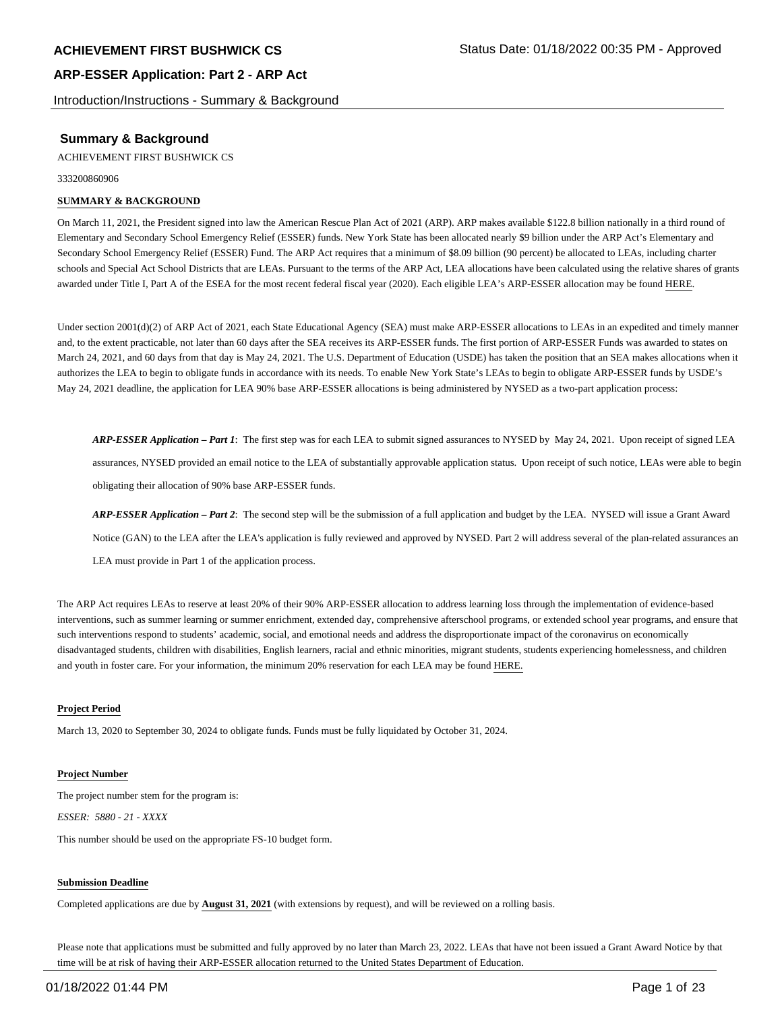Introduction/Instructions - Summary & Background

## **Summary & Background**

ACHIEVEMENT FIRST BUSHWICK CS

333200860906

### **SUMMARY & BACKGROUND**

On March 11, 2021, the President signed into law the American Rescue Plan Act of 2021 (ARP). ARP makes available \$122.8 billion nationally in a third round of Elementary and Secondary School Emergency Relief (ESSER) funds. New York State has been allocated nearly \$9 billion under the ARP Act's Elementary and Secondary School Emergency Relief (ESSER) Fund. The ARP Act requires that a minimum of \$8.09 billion (90 percent) be allocated to LEAs, including charter schools and Special Act School Districts that are LEAs. Pursuant to the terms of the ARP Act, LEA allocations have been calculated using the relative shares of grants awarded under Title I, Part A of the ESEA for the most recent federal fiscal year (2020). Each eligible LEA's ARP-ESSER allocation may be found HERE.

Under section 2001(d)(2) of ARP Act of 2021, each State Educational Agency (SEA) must make ARP-ESSER allocations to LEAs in an expedited and timely manner and, to the extent practicable, not later than 60 days after the SEA receives its ARP-ESSER funds. The first portion of ARP-ESSER Funds was awarded to states on March 24, 2021, and 60 days from that day is May 24, 2021. The U.S. Department of Education (USDE) has taken the position that an SEA makes allocations when it authorizes the LEA to begin to obligate funds in accordance with its needs. To enable New York State's LEAs to begin to obligate ARP-ESSER funds by USDE's May 24, 2021 deadline, the application for LEA 90% base ARP-ESSER allocations is being administered by NYSED as a two-part application process:

*ARP-ESSER Application – Part 1*: The first step was for each LEA to submit signed assurances to NYSED by May 24, 2021. Upon receipt of signed LEA assurances, NYSED provided an email notice to the LEA of substantially approvable application status. Upon receipt of such notice, LEAs were able to begin obligating their allocation of 90% base ARP-ESSER funds.

*ARP-ESSER Application – Part 2*: The second step will be the submission of a full application and budget by the LEA. NYSED will issue a Grant Award Notice (GAN) to the LEA after the LEA's application is fully reviewed and approved by NYSED. Part 2 will address several of the plan-related assurances an LEA must provide in Part 1 of the application process.

The ARP Act requires LEAs to reserve at least 20% of their 90% ARP-ESSER allocation to address learning loss through the implementation of evidence-based interventions, such as summer learning or summer enrichment, extended day, comprehensive afterschool programs, or extended school year programs, and ensure that such interventions respond to students' academic, social, and emotional needs and address the disproportionate impact of the coronavirus on economically disadvantaged students, children with disabilities, English learners, racial and ethnic minorities, migrant students, students experiencing homelessness, and children and youth in foster care. For your information, the minimum 20% reservation for each LEA may be found HERE.

#### **Project Period**

March 13, 2020 to September 30, 2024 to obligate funds. Funds must be fully liquidated by October 31, 2024.

#### **Project Number**

The project number stem for the program is: *ESSER: 5880 - 21 - XXXX*

This number should be used on the appropriate FS-10 budget form.

#### **Submission Deadline**

Completed applications are due by **August 31, 2021** (with extensions by request), and will be reviewed on a rolling basis.

Please note that applications must be submitted and fully approved by no later than March 23, 2022. LEAs that have not been issued a Grant Award Notice by that time will be at risk of having their ARP-ESSER allocation returned to the United States Department of Education.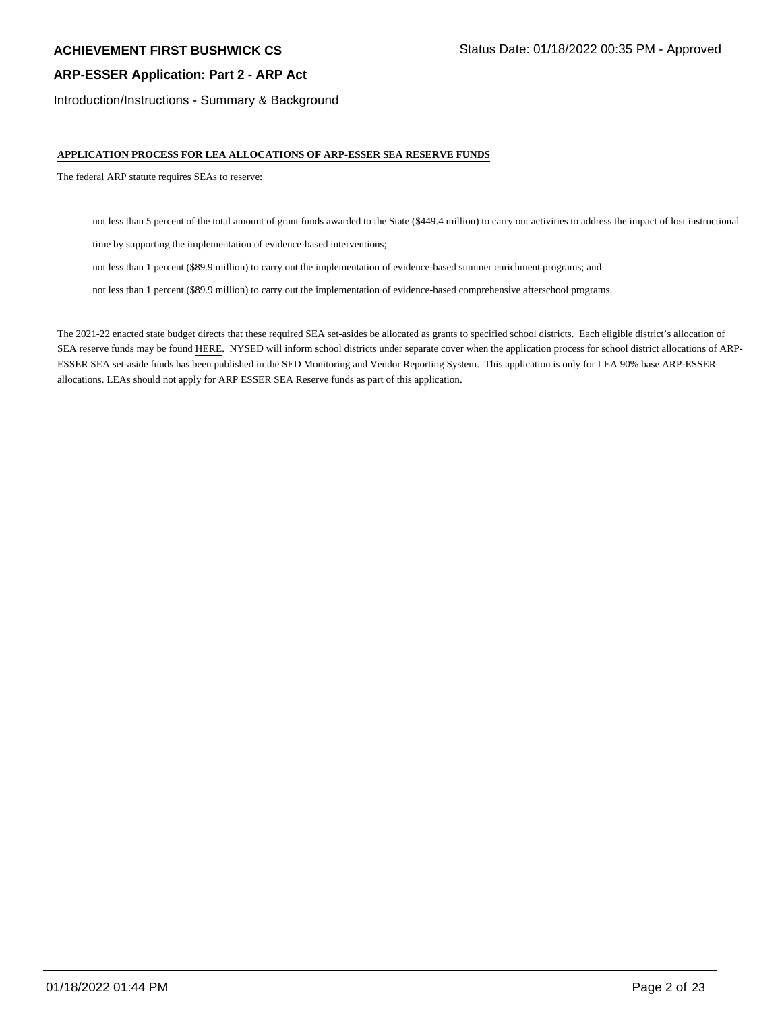Introduction/Instructions - Summary & Background

## **APPLICATION PROCESS FOR LEA ALLOCATIONS OF ARP-ESSER SEA RESERVE FUNDS**

The federal ARP statute requires SEAs to reserve:

not less than 5 percent of the total amount of grant funds awarded to the State (\$449.4 million) to carry out activities to address the impact of lost instructional

time by supporting the implementation of evidence-based interventions;

not less than 1 percent (\$89.9 million) to carry out the implementation of evidence-based summer enrichment programs; and

not less than 1 percent (\$89.9 million) to carry out the implementation of evidence-based comprehensive afterschool programs.

The 2021-22 enacted state budget directs that these required SEA set-asides be allocated as grants to specified school districts. Each eligible district's allocation of SEA reserve funds may be found HERE. NYSED will inform school districts under separate cover when the application process for school district allocations of ARP-ESSER SEA set-aside funds has been published in the SED Monitoring and Vendor Reporting System. This application is only for LEA 90% base ARP-ESSER allocations. LEAs should not apply for ARP ESSER SEA Reserve funds as part of this application.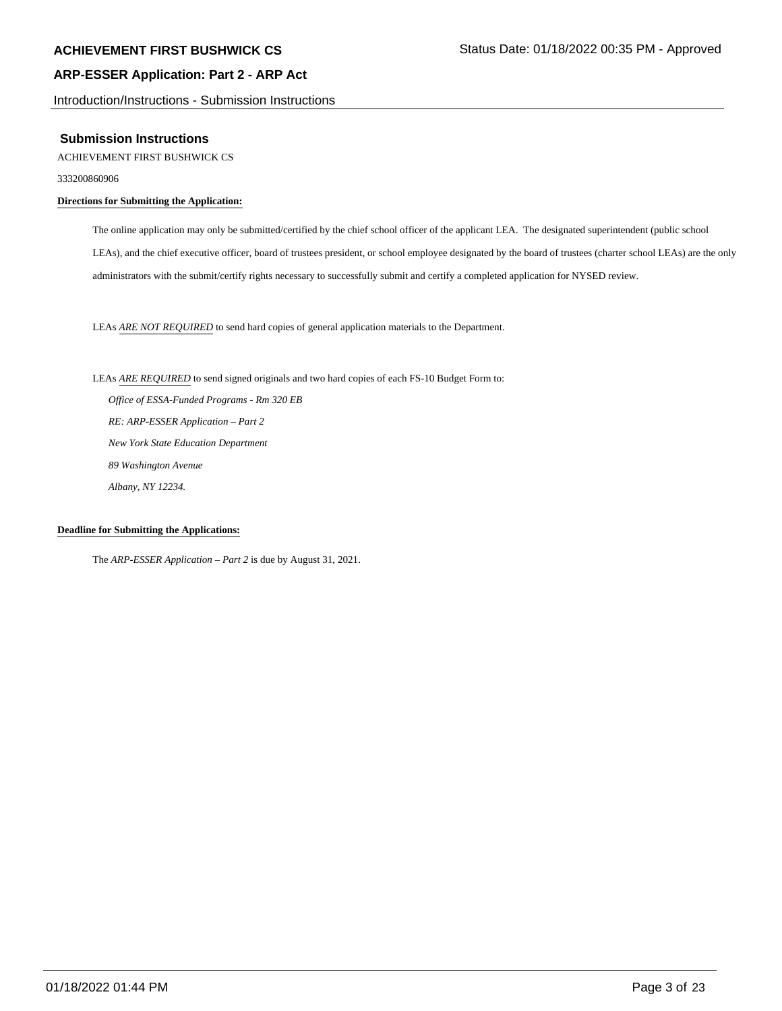Introduction/Instructions - Submission Instructions

## **Submission Instructions**

ACHIEVEMENT FIRST BUSHWICK CS

333200860906

## **Directions for Submitting the Application:**

The online application may only be submitted/certified by the chief school officer of the applicant LEA. The designated superintendent (public school LEAs), and the chief executive officer, board of trustees president, or school employee designated by the board of trustees (charter school LEAs) are the only administrators with the submit/certify rights necessary to successfully submit and certify a completed application for NYSED review.

LEAs *ARE NOT REQUIRED* to send hard copies of general application materials to the Department.

LEAs *ARE REQUIRED* to send signed originals and two hard copies of each FS-10 Budget Form to:  *Office of ESSA-Funded Programs - Rm 320 EB RE: ARP-ESSER Application – Part 2 New York State Education Department 89 Washington Avenue Albany, NY 12234.*

#### **Deadline for Submitting the Applications:**

The *ARP-ESSER Application – Part 2* is due by August 31, 2021.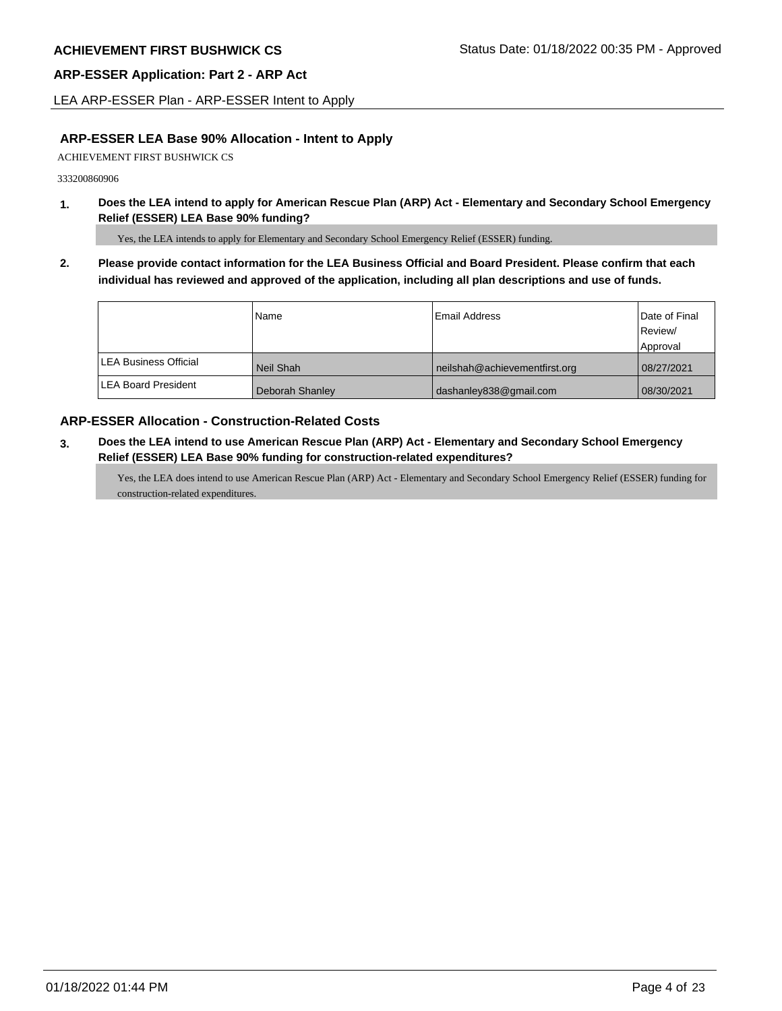LEA ARP-ESSER Plan - ARP-ESSER Intent to Apply

## **ARP-ESSER LEA Base 90% Allocation - Intent to Apply**

ACHIEVEMENT FIRST BUSHWICK CS

333200860906

**1. Does the LEA intend to apply for American Rescue Plan (ARP) Act - Elementary and Secondary School Emergency Relief (ESSER) LEA Base 90% funding?**

Yes, the LEA intends to apply for Elementary and Secondary School Emergency Relief (ESSER) funding.

**2. Please provide contact information for the LEA Business Official and Board President. Please confirm that each individual has reviewed and approved of the application, including all plan descriptions and use of funds.** 

|                               | Name            | Email Address                 | Date of Final<br>Review/ |
|-------------------------------|-----------------|-------------------------------|--------------------------|
|                               |                 |                               | Approval                 |
| <b>ILEA Business Official</b> | Neil Shah       | neilshah@achievementfirst.org | 08/27/2021               |
| <b>ILEA Board President</b>   | Deborah Shanley | dashanley838@gmail.com        | 08/30/2021               |

## **ARP-ESSER Allocation - Construction-Related Costs**

**3. Does the LEA intend to use American Rescue Plan (ARP) Act - Elementary and Secondary School Emergency Relief (ESSER) LEA Base 90% funding for construction-related expenditures?**

Yes, the LEA does intend to use American Rescue Plan (ARP) Act - Elementary and Secondary School Emergency Relief (ESSER) funding for construction-related expenditures.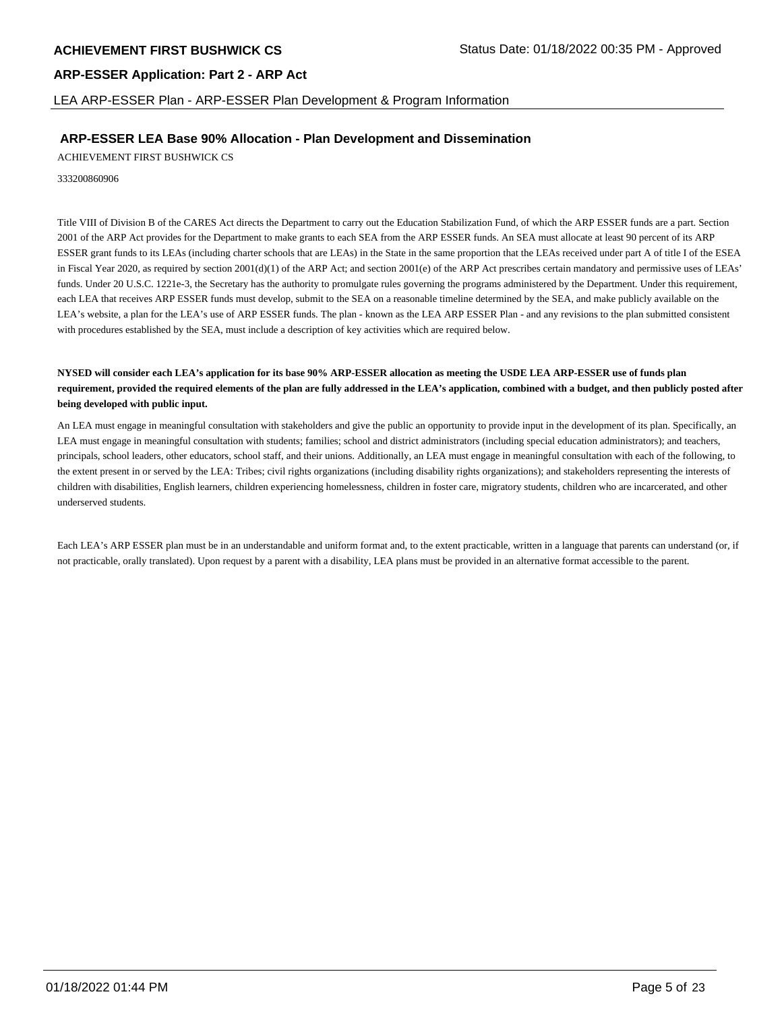LEA ARP-ESSER Plan - ARP-ESSER Plan Development & Program Information

## **ARP-ESSER LEA Base 90% Allocation - Plan Development and Dissemination**

ACHIEVEMENT FIRST BUSHWICK CS

333200860906

Title VIII of Division B of the CARES Act directs the Department to carry out the Education Stabilization Fund, of which the ARP ESSER funds are a part. Section 2001 of the ARP Act provides for the Department to make grants to each SEA from the ARP ESSER funds. An SEA must allocate at least 90 percent of its ARP ESSER grant funds to its LEAs (including charter schools that are LEAs) in the State in the same proportion that the LEAs received under part A of title I of the ESEA in Fiscal Year 2020, as required by section  $2001(d)(1)$  of the ARP Act; and section  $2001(e)$  of the ARP Act prescribes certain mandatory and permissive uses of LEAs' funds. Under 20 U.S.C. 1221e-3, the Secretary has the authority to promulgate rules governing the programs administered by the Department. Under this requirement, each LEA that receives ARP ESSER funds must develop, submit to the SEA on a reasonable timeline determined by the SEA, and make publicly available on the LEA's website, a plan for the LEA's use of ARP ESSER funds. The plan - known as the LEA ARP ESSER Plan - and any revisions to the plan submitted consistent with procedures established by the SEA, must include a description of key activities which are required below.

## **NYSED will consider each LEA's application for its base 90% ARP-ESSER allocation as meeting the USDE LEA ARP-ESSER use of funds plan requirement, provided the required elements of the plan are fully addressed in the LEA's application, combined with a budget, and then publicly posted after being developed with public input.**

An LEA must engage in meaningful consultation with stakeholders and give the public an opportunity to provide input in the development of its plan. Specifically, an LEA must engage in meaningful consultation with students; families; school and district administrators (including special education administrators); and teachers, principals, school leaders, other educators, school staff, and their unions. Additionally, an LEA must engage in meaningful consultation with each of the following, to the extent present in or served by the LEA: Tribes; civil rights organizations (including disability rights organizations); and stakeholders representing the interests of children with disabilities, English learners, children experiencing homelessness, children in foster care, migratory students, children who are incarcerated, and other underserved students.

Each LEA's ARP ESSER plan must be in an understandable and uniform format and, to the extent practicable, written in a language that parents can understand (or, if not practicable, orally translated). Upon request by a parent with a disability, LEA plans must be provided in an alternative format accessible to the parent.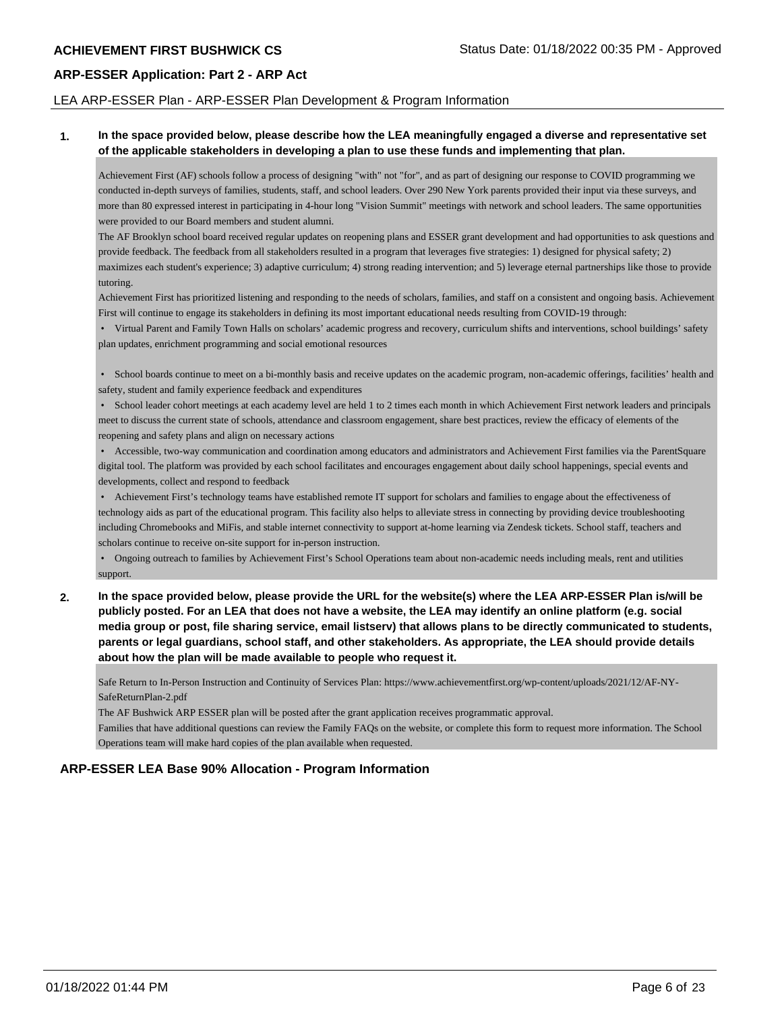## LEA ARP-ESSER Plan - ARP-ESSER Plan Development & Program Information

## **1. In the space provided below, please describe how the LEA meaningfully engaged a diverse and representative set of the applicable stakeholders in developing a plan to use these funds and implementing that plan.**

Achievement First (AF) schools follow a process of designing "with" not "for", and as part of designing our response to COVID programming we conducted in-depth surveys of families, students, staff, and school leaders. Over 290 New York parents provided their input via these surveys, and more than 80 expressed interest in participating in 4-hour long "Vision Summit" meetings with network and school leaders. The same opportunities were provided to our Board members and student alumni.

The AF Brooklyn school board received regular updates on reopening plans and ESSER grant development and had opportunities to ask questions and provide feedback. The feedback from all stakeholders resulted in a program that leverages five strategies: 1) designed for physical safety; 2) maximizes each student's experience; 3) adaptive curriculum; 4) strong reading intervention; and 5) leverage eternal partnerships like those to provide tutoring.

Achievement First has prioritized listening and responding to the needs of scholars, families, and staff on a consistent and ongoing basis. Achievement First will continue to engage its stakeholders in defining its most important educational needs resulting from COVID-19 through:

 • Virtual Parent and Family Town Halls on scholars' academic progress and recovery, curriculum shifts and interventions, school buildings' safety plan updates, enrichment programming and social emotional resources

 • School boards continue to meet on a bi-monthly basis and receive updates on the academic program, non-academic offerings, facilities' health and safety, student and family experience feedback and expenditures

 • School leader cohort meetings at each academy level are held 1 to 2 times each month in which Achievement First network leaders and principals meet to discuss the current state of schools, attendance and classroom engagement, share best practices, review the efficacy of elements of the reopening and safety plans and align on necessary actions

 • Accessible, two-way communication and coordination among educators and administrators and Achievement First families via the ParentSquare digital tool. The platform was provided by each school facilitates and encourages engagement about daily school happenings, special events and developments, collect and respond to feedback

 • Achievement First's technology teams have established remote IT support for scholars and families to engage about the effectiveness of technology aids as part of the educational program. This facility also helps to alleviate stress in connecting by providing device troubleshooting including Chromebooks and MiFis, and stable internet connectivity to support at-home learning via Zendesk tickets. School staff, teachers and scholars continue to receive on-site support for in-person instruction.

 • Ongoing outreach to families by Achievement First's School Operations team about non-academic needs including meals, rent and utilities support.

**2. In the space provided below, please provide the URL for the website(s) where the LEA ARP-ESSER Plan is/will be publicly posted. For an LEA that does not have a website, the LEA may identify an online platform (e.g. social media group or post, file sharing service, email listserv) that allows plans to be directly communicated to students, parents or legal guardians, school staff, and other stakeholders. As appropriate, the LEA should provide details about how the plan will be made available to people who request it.**

Safe Return to In-Person Instruction and Continuity of Services Plan: https://www.achievementfirst.org/wp-content/uploads/2021/12/AF-NY-SafeReturnPlan-2.pdf

The AF Bushwick ARP ESSER plan will be posted after the grant application receives programmatic approval.

Families that have additional questions can review the Family FAQs on the website, or complete this form to request more information. The School Operations team will make hard copies of the plan available when requested.

## **ARP-ESSER LEA Base 90% Allocation - Program Information**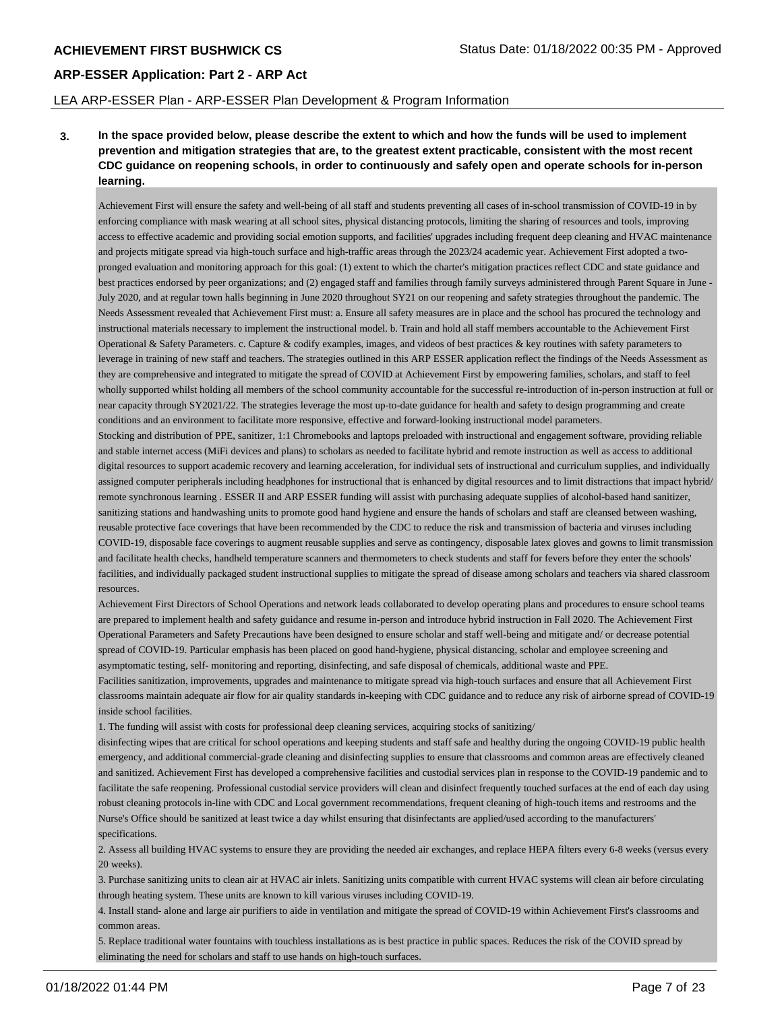## LEA ARP-ESSER Plan - ARP-ESSER Plan Development & Program Information

**3. In the space provided below, please describe the extent to which and how the funds will be used to implement prevention and mitigation strategies that are, to the greatest extent practicable, consistent with the most recent CDC guidance on reopening schools, in order to continuously and safely open and operate schools for in-person learning.**

Achievement First will ensure the safety and well-being of all staff and students preventing all cases of in-school transmission of COVID-19 in by enforcing compliance with mask wearing at all school sites, physical distancing protocols, limiting the sharing of resources and tools, improving access to effective academic and providing social emotion supports, and facilities' upgrades including frequent deep cleaning and HVAC maintenance and projects mitigate spread via high-touch surface and high-traffic areas through the 2023/24 academic year. Achievement First adopted a twopronged evaluation and monitoring approach for this goal: (1) extent to which the charter's mitigation practices reflect CDC and state guidance and best practices endorsed by peer organizations; and (2) engaged staff and families through family surveys administered through Parent Square in June - July 2020, and at regular town halls beginning in June 2020 throughout SY21 on our reopening and safety strategies throughout the pandemic. The Needs Assessment revealed that Achievement First must: a. Ensure all safety measures are in place and the school has procured the technology and instructional materials necessary to implement the instructional model. b. Train and hold all staff members accountable to the Achievement First Operational & Safety Parameters. c. Capture & codify examples, images, and videos of best practices & key routines with safety parameters to leverage in training of new staff and teachers. The strategies outlined in this ARP ESSER application reflect the findings of the Needs Assessment as they are comprehensive and integrated to mitigate the spread of COVID at Achievement First by empowering families, scholars, and staff to feel wholly supported whilst holding all members of the school community accountable for the successful re-introduction of in-person instruction at full or near capacity through SY2021/22. The strategies leverage the most up-to-date guidance for health and safety to design programming and create conditions and an environment to facilitate more responsive, effective and forward-looking instructional model parameters.

Stocking and distribution of PPE, sanitizer, 1:1 Chromebooks and laptops preloaded with instructional and engagement software, providing reliable and stable internet access (MiFi devices and plans) to scholars as needed to facilitate hybrid and remote instruction as well as access to additional digital resources to support academic recovery and learning acceleration, for individual sets of instructional and curriculum supplies, and individually assigned computer peripherals including headphones for instructional that is enhanced by digital resources and to limit distractions that impact hybrid/ remote synchronous learning . ESSER II and ARP ESSER funding will assist with purchasing adequate supplies of alcohol-based hand sanitizer, sanitizing stations and handwashing units to promote good hand hygiene and ensure the hands of scholars and staff are cleansed between washing, reusable protective face coverings that have been recommended by the CDC to reduce the risk and transmission of bacteria and viruses including COVID-19, disposable face coverings to augment reusable supplies and serve as contingency, disposable latex gloves and gowns to limit transmission and facilitate health checks, handheld temperature scanners and thermometers to check students and staff for fevers before they enter the schools' facilities, and individually packaged student instructional supplies to mitigate the spread of disease among scholars and teachers via shared classroom resources.

Achievement First Directors of School Operations and network leads collaborated to develop operating plans and procedures to ensure school teams are prepared to implement health and safety guidance and resume in-person and introduce hybrid instruction in Fall 2020. The Achievement First Operational Parameters and Safety Precautions have been designed to ensure scholar and staff well-being and mitigate and/ or decrease potential spread of COVID-19. Particular emphasis has been placed on good hand-hygiene, physical distancing, scholar and employee screening and asymptomatic testing, self- monitoring and reporting, disinfecting, and safe disposal of chemicals, additional waste and PPE.

Facilities sanitization, improvements, upgrades and maintenance to mitigate spread via high-touch surfaces and ensure that all Achievement First classrooms maintain adequate air flow for air quality standards in-keeping with CDC guidance and to reduce any risk of airborne spread of COVID-19 inside school facilities.

1. The funding will assist with costs for professional deep cleaning services, acquiring stocks of sanitizing/

disinfecting wipes that are critical for school operations and keeping students and staff safe and healthy during the ongoing COVID-19 public health emergency, and additional commercial-grade cleaning and disinfecting supplies to ensure that classrooms and common areas are effectively cleaned and sanitized. Achievement First has developed a comprehensive facilities and custodial services plan in response to the COVID-19 pandemic and to facilitate the safe reopening. Professional custodial service providers will clean and disinfect frequently touched surfaces at the end of each day using robust cleaning protocols in-line with CDC and Local government recommendations, frequent cleaning of high-touch items and restrooms and the Nurse's Office should be sanitized at least twice a day whilst ensuring that disinfectants are applied/used according to the manufacturers' specifications.

2. Assess all building HVAC systems to ensure they are providing the needed air exchanges, and replace HEPA filters every 6-8 weeks (versus every 20 weeks).

3. Purchase sanitizing units to clean air at HVAC air inlets. Sanitizing units compatible with current HVAC systems will clean air before circulating through heating system. These units are known to kill various viruses including COVID-19.

4. Install stand- alone and large air purifiers to aide in ventilation and mitigate the spread of COVID-19 within Achievement First's classrooms and common areas.

5. Replace traditional water fountains with touchless installations as is best practice in public spaces. Reduces the risk of the COVID spread by eliminating the need for scholars and staff to use hands on high-touch surfaces.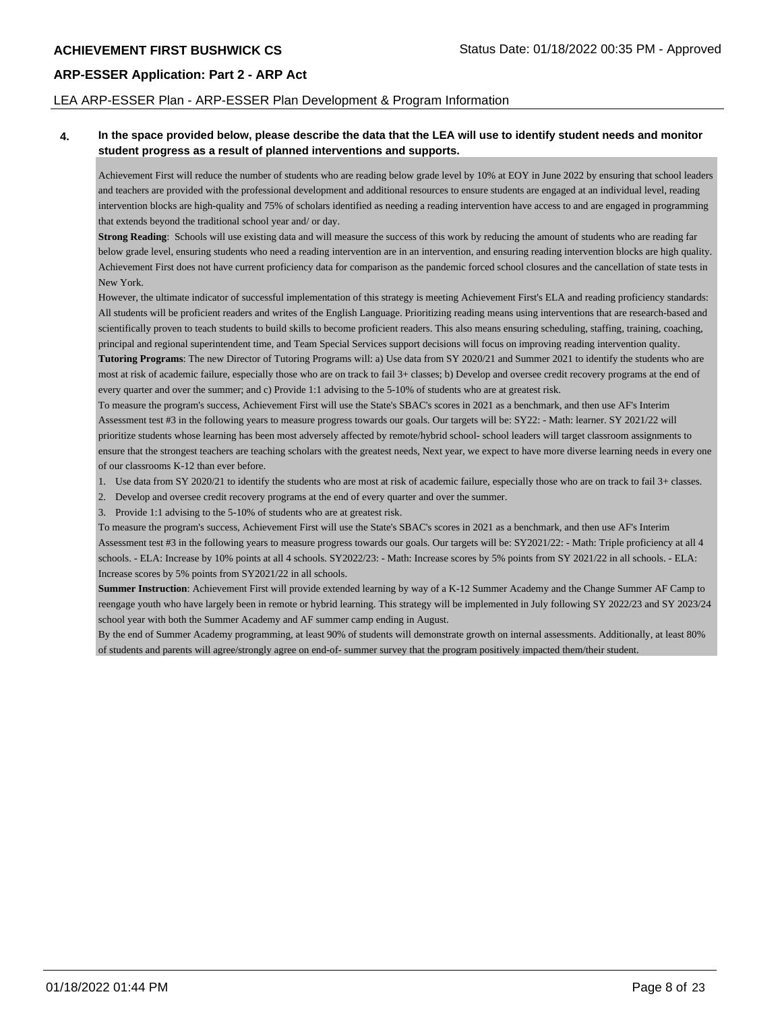## LEA ARP-ESSER Plan - ARP-ESSER Plan Development & Program Information

## **4. In the space provided below, please describe the data that the LEA will use to identify student needs and monitor student progress as a result of planned interventions and supports.**

Achievement First will reduce the number of students who are reading below grade level by 10% at EOY in June 2022 by ensuring that school leaders and teachers are provided with the professional development and additional resources to ensure students are engaged at an individual level, reading intervention blocks are high-quality and 75% of scholars identified as needing a reading intervention have access to and are engaged in programming that extends beyond the traditional school year and/ or day.

**Strong Reading**: Schools will use existing data and will measure the success of this work by reducing the amount of students who are reading far below grade level, ensuring students who need a reading intervention are in an intervention, and ensuring reading intervention blocks are high quality. Achievement First does not have current proficiency data for comparison as the pandemic forced school closures and the cancellation of state tests in New York.

However, the ultimate indicator of successful implementation of this strategy is meeting Achievement First's ELA and reading proficiency standards: All students will be proficient readers and writes of the English Language. Prioritizing reading means using interventions that are research-based and scientifically proven to teach students to build skills to become proficient readers. This also means ensuring scheduling, staffing, training, coaching, principal and regional superintendent time, and Team Special Services support decisions will focus on improving reading intervention quality. **Tutoring Programs**: The new Director of Tutoring Programs will: a) Use data from SY 2020/21 and Summer 2021 to identify the students who are most at risk of academic failure, especially those who are on track to fail 3+ classes; b) Develop and oversee credit recovery programs at the end of

every quarter and over the summer; and c) Provide 1:1 advising to the 5-10% of students who are at greatest risk.

To measure the program's success, Achievement First will use the State's SBAC's scores in 2021 as a benchmark, and then use AF's Interim Assessment test #3 in the following years to measure progress towards our goals. Our targets will be: SY22: - Math: learner. SY 2021/22 will prioritize students whose learning has been most adversely affected by remote/hybrid school- school leaders will target classroom assignments to ensure that the strongest teachers are teaching scholars with the greatest needs, Next year, we expect to have more diverse learning needs in every one of our classrooms K-12 than ever before.

- 1. Use data from SY 2020/21 to identify the students who are most at risk of academic failure, especially those who are on track to fail 3+ classes.
- 2. Develop and oversee credit recovery programs at the end of every quarter and over the summer.

3. Provide 1:1 advising to the 5-10% of students who are at greatest risk.

To measure the program's success, Achievement First will use the State's SBAC's scores in 2021 as a benchmark, and then use AF's Interim Assessment test #3 in the following years to measure progress towards our goals. Our targets will be: SY2021/22: - Math: Triple proficiency at all 4 schools. - ELA: Increase by 10% points at all 4 schools. SY2022/23: - Math: Increase scores by 5% points from SY 2021/22 in all schools. - ELA: Increase scores by 5% points from SY2021/22 in all schools.

**Summer Instruction**: Achievement First will provide extended learning by way of a K-12 Summer Academy and the Change Summer AF Camp to reengage youth who have largely been in remote or hybrid learning. This strategy will be implemented in July following SY 2022/23 and SY 2023/24 school year with both the Summer Academy and AF summer camp ending in August.

By the end of Summer Academy programming, at least 90% of students will demonstrate growth on internal assessments. Additionally, at least 80% of students and parents will agree/strongly agree on end-of- summer survey that the program positively impacted them/their student.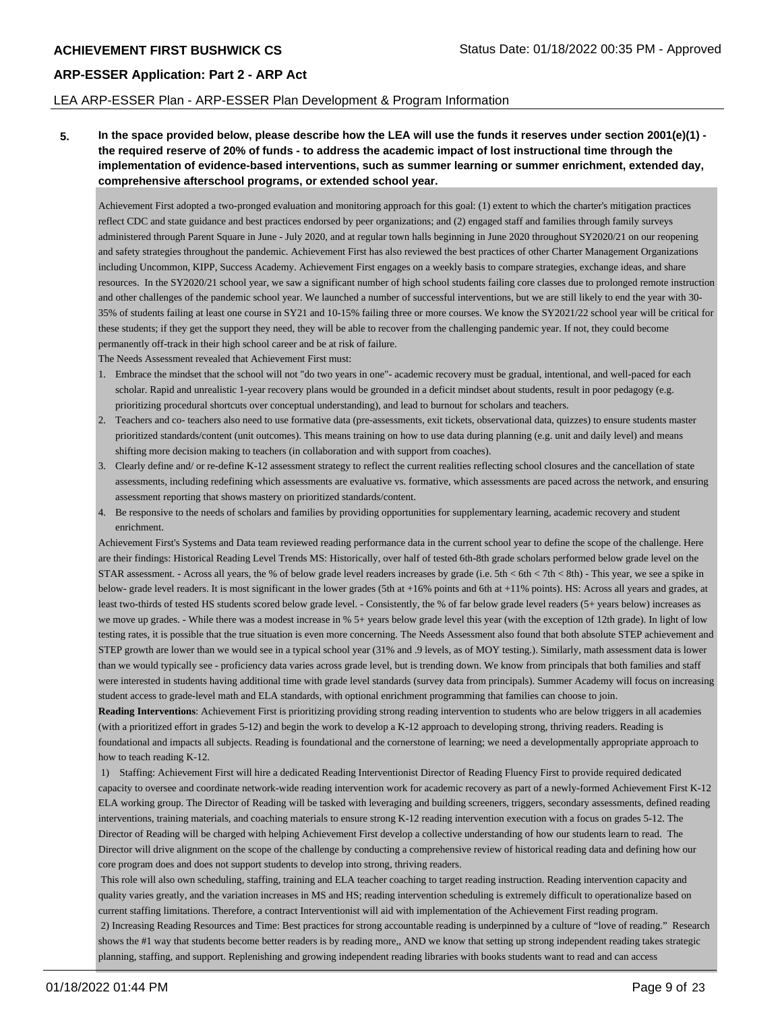## LEA ARP-ESSER Plan - ARP-ESSER Plan Development & Program Information

**5. In the space provided below, please describe how the LEA will use the funds it reserves under section 2001(e)(1) the required reserve of 20% of funds - to address the academic impact of lost instructional time through the implementation of evidence-based interventions, such as summer learning or summer enrichment, extended day, comprehensive afterschool programs, or extended school year.**

Achievement First adopted a two-pronged evaluation and monitoring approach for this goal: (1) extent to which the charter's mitigation practices reflect CDC and state guidance and best practices endorsed by peer organizations; and (2) engaged staff and families through family surveys administered through Parent Square in June - July 2020, and at regular town halls beginning in June 2020 throughout SY2020/21 on our reopening and safety strategies throughout the pandemic. Achievement First has also reviewed the best practices of other Charter Management Organizations including Uncommon, KIPP, Success Academy. Achievement First engages on a weekly basis to compare strategies, exchange ideas, and share resources. In the SY2020/21 school year, we saw a significant number of high school students failing core classes due to prolonged remote instruction and other challenges of the pandemic school year. We launched a number of successful interventions, but we are still likely to end the year with 30- 35% of students failing at least one course in SY21 and 10-15% failing three or more courses. We know the SY2021/22 school year will be critical for these students; if they get the support they need, they will be able to recover from the challenging pandemic year. If not, they could become permanently off-track in their high school career and be at risk of failure.

The Needs Assessment revealed that Achievement First must:

- 1. Embrace the mindset that the school will not "do two years in one"- academic recovery must be gradual, intentional, and well-paced for each scholar. Rapid and unrealistic 1-year recovery plans would be grounded in a deficit mindset about students, result in poor pedagogy (e.g. prioritizing procedural shortcuts over conceptual understanding), and lead to burnout for scholars and teachers.
- 2. Teachers and co- teachers also need to use formative data (pre-assessments, exit tickets, observational data, quizzes) to ensure students master prioritized standards/content (unit outcomes). This means training on how to use data during planning (e.g. unit and daily level) and means shifting more decision making to teachers (in collaboration and with support from coaches).
- 3. Clearly define and/ or re-define K-12 assessment strategy to reflect the current realities reflecting school closures and the cancellation of state assessments, including redefining which assessments are evaluative vs. formative, which assessments are paced across the network, and ensuring assessment reporting that shows mastery on prioritized standards/content.
- 4. Be responsive to the needs of scholars and families by providing opportunities for supplementary learning, academic recovery and student enrichment.

Achievement First's Systems and Data team reviewed reading performance data in the current school year to define the scope of the challenge. Here are their findings: Historical Reading Level Trends MS: Historically, over half of tested 6th-8th grade scholars performed below grade level on the STAR assessment. - Across all years, the % of below grade level readers increases by grade (i.e. 5th < 6th < 7th < 8th) - This year, we see a spike in below- grade level readers. It is most significant in the lower grades (5th at +16% points and 6th at +11% points). HS: Across all years and grades, at least two-thirds of tested HS students scored below grade level. - Consistently, the % of far below grade level readers (5+ years below) increases as we move up grades. - While there was a modest increase in % 5+ years below grade level this year (with the exception of 12th grade). In light of low testing rates, it is possible that the true situation is even more concerning. The Needs Assessment also found that both absolute STEP achievement and STEP growth are lower than we would see in a typical school year (31% and .9 levels, as of MOY testing.). Similarly, math assessment data is lower than we would typically see - proficiency data varies across grade level, but is trending down. We know from principals that both families and staff were interested in students having additional time with grade level standards (survey data from principals). Summer Academy will focus on increasing student access to grade-level math and ELA standards, with optional enrichment programming that families can choose to join.

**Reading Interventions**: Achievement First is prioritizing providing strong reading intervention to students who are below triggers in all academies (with a prioritized effort in grades 5-12) and begin the work to develop a K-12 approach to developing strong, thriving readers. Reading is foundational and impacts all subjects. Reading is foundational and the cornerstone of learning; we need a developmentally appropriate approach to how to teach reading K-12.

 1) Staffing: Achievement First will hire a dedicated Reading Interventionist Director of Reading Fluency First to provide required dedicated capacity to oversee and coordinate network-wide reading intervention work for academic recovery as part of a newly-formed Achievement First K-12 ELA working group. The Director of Reading will be tasked with leveraging and building screeners, triggers, secondary assessments, defined reading interventions, training materials, and coaching materials to ensure strong K-12 reading intervention execution with a focus on grades 5-12. The Director of Reading will be charged with helping Achievement First develop a collective understanding of how our students learn to read. The Director will drive alignment on the scope of the challenge by conducting a comprehensive review of historical reading data and defining how our core program does and does not support students to develop into strong, thriving readers.

 This role will also own scheduling, staffing, training and ELA teacher coaching to target reading instruction. Reading intervention capacity and quality varies greatly, and the variation increases in MS and HS; reading intervention scheduling is extremely difficult to operationalize based on current staffing limitations. Therefore, a contract Interventionist will aid with implementation of the Achievement First reading program. 2) Increasing Reading Resources and Time: Best practices for strong accountable reading is underpinned by a culture of "love of reading." Research shows the #1 way that students become better readers is by reading more,, AND we know that setting up strong independent reading takes strategic planning, staffing, and support. Replenishing and growing independent reading libraries with books students want to read and can access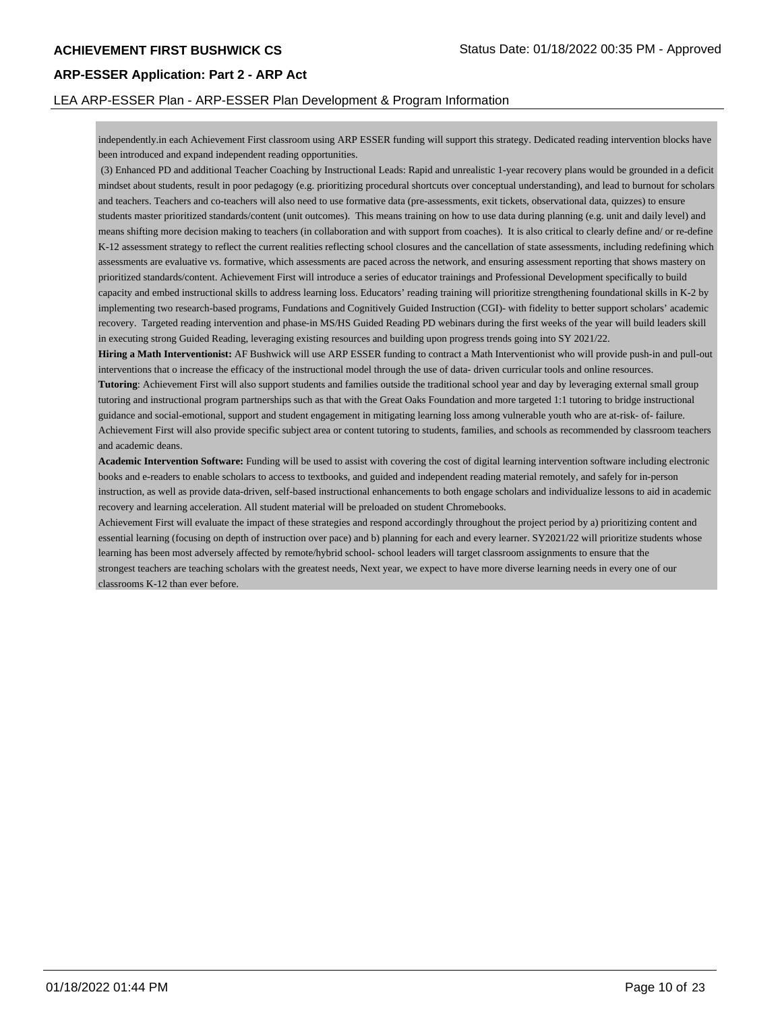## LEA ARP-ESSER Plan - ARP-ESSER Plan Development & Program Information

independently.in each Achievement First classroom using ARP ESSER funding will support this strategy. Dedicated reading intervention blocks have been introduced and expand independent reading opportunities.

 (3) Enhanced PD and additional Teacher Coaching by Instructional Leads: Rapid and unrealistic 1-year recovery plans would be grounded in a deficit mindset about students, result in poor pedagogy (e.g. prioritizing procedural shortcuts over conceptual understanding), and lead to burnout for scholars and teachers. Teachers and co-teachers will also need to use formative data (pre-assessments, exit tickets, observational data, quizzes) to ensure students master prioritized standards/content (unit outcomes). This means training on how to use data during planning (e.g. unit and daily level) and means shifting more decision making to teachers (in collaboration and with support from coaches). It is also critical to clearly define and/ or re-define K-12 assessment strategy to reflect the current realities reflecting school closures and the cancellation of state assessments, including redefining which assessments are evaluative vs. formative, which assessments are paced across the network, and ensuring assessment reporting that shows mastery on prioritized standards/content. Achievement First will introduce a series of educator trainings and Professional Development specifically to build capacity and embed instructional skills to address learning loss. Educators' reading training will prioritize strengthening foundational skills in K-2 by implementing two research-based programs, Fundations and Cognitively Guided Instruction (CGI)- with fidelity to better support scholars' academic recovery. Targeted reading intervention and phase-in MS/HS Guided Reading PD webinars during the first weeks of the year will build leaders skill in executing strong Guided Reading, leveraging existing resources and building upon progress trends going into SY 2021/22.

**Hiring a Math Interventionist:** AF Bushwick will use ARP ESSER funding to contract a Math Interventionist who will provide push-in and pull-out interventions that o increase the efficacy of the instructional model through the use of data- driven curricular tools and online resources.

**Tutoring**: Achievement First will also support students and families outside the traditional school year and day by leveraging external small group tutoring and instructional program partnerships such as that with the Great Oaks Foundation and more targeted 1:1 tutoring to bridge instructional guidance and social-emotional, support and student engagement in mitigating learning loss among vulnerable youth who are at-risk- of- failure. Achievement First will also provide specific subject area or content tutoring to students, families, and schools as recommended by classroom teachers and academic deans.

**Academic Intervention Software:** Funding will be used to assist with covering the cost of digital learning intervention software including electronic books and e-readers to enable scholars to access to textbooks, and guided and independent reading material remotely, and safely for in-person instruction, as well as provide data-driven, self-based instructional enhancements to both engage scholars and individualize lessons to aid in academic recovery and learning acceleration. All student material will be preloaded on student Chromebooks.

Achievement First will evaluate the impact of these strategies and respond accordingly throughout the project period by a) prioritizing content and essential learning (focusing on depth of instruction over pace) and b) planning for each and every learner. SY2021/22 will prioritize students whose learning has been most adversely affected by remote/hybrid school- school leaders will target classroom assignments to ensure that the strongest teachers are teaching scholars with the greatest needs, Next year, we expect to have more diverse learning needs in every one of our classrooms K-12 than ever before.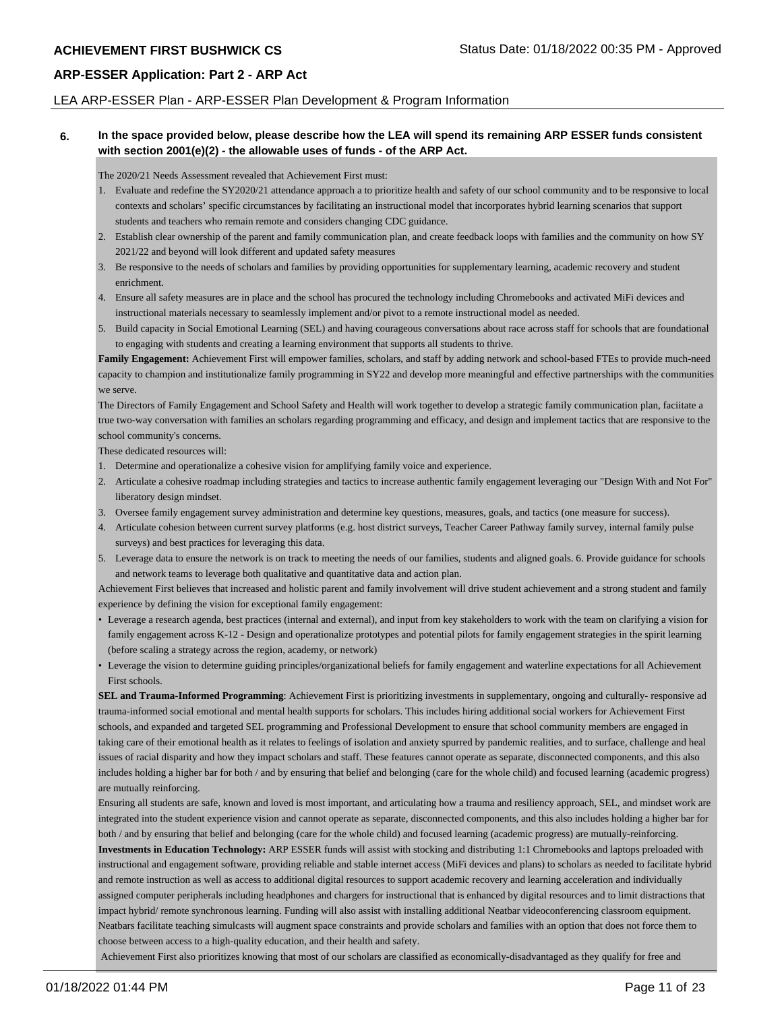## LEA ARP-ESSER Plan - ARP-ESSER Plan Development & Program Information

## **6. In the space provided below, please describe how the LEA will spend its remaining ARP ESSER funds consistent with section 2001(e)(2) - the allowable uses of funds - of the ARP Act.**

The 2020/21 Needs Assessment revealed that Achievement First must:

- 1. Evaluate and redefine the SY2020/21 attendance approach a to prioritize health and safety of our school community and to be responsive to local contexts and scholars' specific circumstances by facilitating an instructional model that incorporates hybrid learning scenarios that support students and teachers who remain remote and considers changing CDC guidance.
- 2. Establish clear ownership of the parent and family communication plan, and create feedback loops with families and the community on how SY 2021/22 and beyond will look different and updated safety measures
- 3. Be responsive to the needs of scholars and families by providing opportunities for supplementary learning, academic recovery and student enrichment.
- 4. Ensure all safety measures are in place and the school has procured the technology including Chromebooks and activated MiFi devices and instructional materials necessary to seamlessly implement and/or pivot to a remote instructional model as needed.
- 5. Build capacity in Social Emotional Learning (SEL) and having courageous conversations about race across staff for schools that are foundational to engaging with students and creating a learning environment that supports all students to thrive.

Family Engagement: Achievement First will empower families, scholars, and staff by adding network and school-based FTEs to provide much-need capacity to champion and institutionalize family programming in SY22 and develop more meaningful and effective partnerships with the communities we serve.

The Directors of Family Engagement and School Safety and Health will work together to develop a strategic family communication plan, faciitate a true two-way conversation with families an scholars regarding programming and efficacy, and design and implement tactics that are responsive to the school community's concerns.

These dedicated resources will:

- 1. Determine and operationalize a cohesive vision for amplifying family voice and experience.
- 2. Articulate a cohesive roadmap including strategies and tactics to increase authentic family engagement leveraging our "Design With and Not For" liberatory design mindset.
- 3. Oversee family engagement survey administration and determine key questions, measures, goals, and tactics (one measure for success).
- 4. Articulate cohesion between current survey platforms (e.g. host district surveys, Teacher Career Pathway family survey, internal family pulse surveys) and best practices for leveraging this data.
- 5. Leverage data to ensure the network is on track to meeting the needs of our families, students and aligned goals. 6. Provide guidance for schools and network teams to leverage both qualitative and quantitative data and action plan.

Achievement First believes that increased and holistic parent and family involvement will drive student achievement and a strong student and family experience by defining the vision for exceptional family engagement:

- Leverage a research agenda, best practices (internal and external), and input from key stakeholders to work with the team on clarifying a vision for family engagement across K-12 - Design and operationalize prototypes and potential pilots for family engagement strategies in the spirit learning (before scaling a strategy across the region, academy, or network)
- Leverage the vision to determine guiding principles/organizational beliefs for family engagement and waterline expectations for all Achievement First schools.

**SEL and Trauma-Informed Programming**: Achievement First is prioritizing investments in supplementary, ongoing and culturally- responsive ad trauma-informed social emotional and mental health supports for scholars. This includes hiring additional social workers for Achievement First schools, and expanded and targeted SEL programming and Professional Development to ensure that school community members are engaged in taking care of their emotional health as it relates to feelings of isolation and anxiety spurred by pandemic realities, and to surface, challenge and heal issues of racial disparity and how they impact scholars and staff. These features cannot operate as separate, disconnected components, and this also includes holding a higher bar for both / and by ensuring that belief and belonging (care for the whole child) and focused learning (academic progress) are mutually reinforcing.

Ensuring all students are safe, known and loved is most important, and articulating how a trauma and resiliency approach, SEL, and mindset work are integrated into the student experience vision and cannot operate as separate, disconnected components, and this also includes holding a higher bar for both / and by ensuring that belief and belonging (care for the whole child) and focused learning (academic progress) are mutually-reinforcing.

**Investments in Education Technology:** ARP ESSER funds will assist with stocking and distributing 1:1 Chromebooks and laptops preloaded with instructional and engagement software, providing reliable and stable internet access (MiFi devices and plans) to scholars as needed to facilitate hybrid and remote instruction as well as access to additional digital resources to support academic recovery and learning acceleration and individually assigned computer peripherals including headphones and chargers for instructional that is enhanced by digital resources and to limit distractions that impact hybrid/ remote synchronous learning. Funding will also assist with installing additional Neatbar videoconferencing classroom equipment. Neatbars facilitate teaching simulcasts will augment space constraints and provide scholars and families with an option that does not force them to choose between access to a high-quality education, and their health and safety.

Achievement First also prioritizes knowing that most of our scholars are classified as economically-disadvantaged as they qualify for free and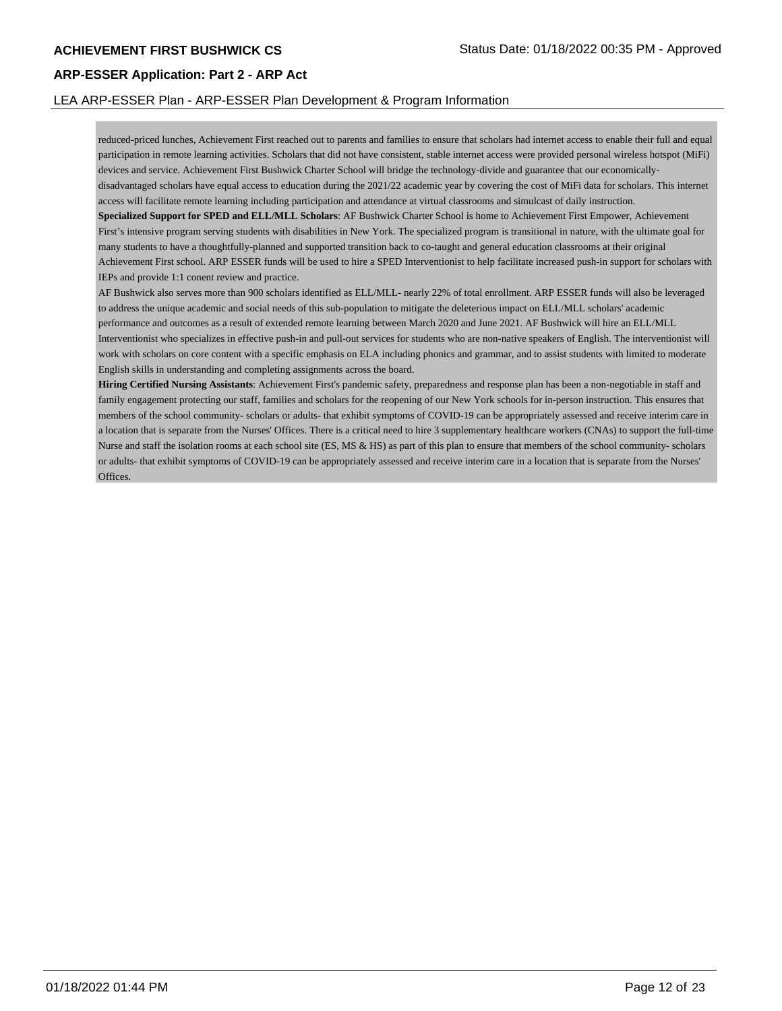## LEA ARP-ESSER Plan - ARP-ESSER Plan Development & Program Information

reduced-priced lunches, Achievement First reached out to parents and families to ensure that scholars had internet access to enable their full and equal participation in remote learning activities. Scholars that did not have consistent, stable internet access were provided personal wireless hotspot (MiFi) devices and service. Achievement First Bushwick Charter School will bridge the technology-divide and guarantee that our economicallydisadvantaged scholars have equal access to education during the 2021/22 academic year by covering the cost of MiFi data for scholars. This internet access will facilitate remote learning including participation and attendance at virtual classrooms and simulcast of daily instruction.

**Specialized Support for SPED and ELL/MLL Scholars**: AF Bushwick Charter School is home to Achievement First Empower, Achievement First's intensive program serving students with disabilities in New York. The specialized program is transitional in nature, with the ultimate goal for many students to have a thoughtfully-planned and supported transition back to co-taught and general education classrooms at their original Achievement First school. ARP ESSER funds will be used to hire a SPED Interventionist to help facilitate increased push-in support for scholars with IEPs and provide 1:1 conent review and practice.

AF Bushwick also serves more than 900 scholars identified as ELL/MLL- nearly 22% of total enrollment. ARP ESSER funds will also be leveraged to address the unique academic and social needs of this sub-population to mitigate the deleterious impact on ELL/MLL scholars' academic performance and outcomes as a result of extended remote learning between March 2020 and June 2021. AF Bushwick will hire an ELL/MLL Interventionist who specializes in effective push-in and pull-out services for students who are non-native speakers of English. The interventionist will work with scholars on core content with a specific emphasis on ELA including phonics and grammar, and to assist students with limited to moderate English skills in understanding and completing assignments across the board.

**Hiring Certified Nursing Assistants**: Achievement First's pandemic safety, preparedness and response plan has been a non-negotiable in staff and family engagement protecting our staff, families and scholars for the reopening of our New York schools for in-person instruction. This ensures that members of the school community- scholars or adults- that exhibit symptoms of COVID-19 can be appropriately assessed and receive interim care in a location that is separate from the Nurses' Offices. There is a critical need to hire 3 supplementary healthcare workers (CNAs) to support the full-time Nurse and staff the isolation rooms at each school site (ES, MS & HS) as part of this plan to ensure that members of the school community- scholars or adults- that exhibit symptoms of COVID-19 can be appropriately assessed and receive interim care in a location that is separate from the Nurses' Offices.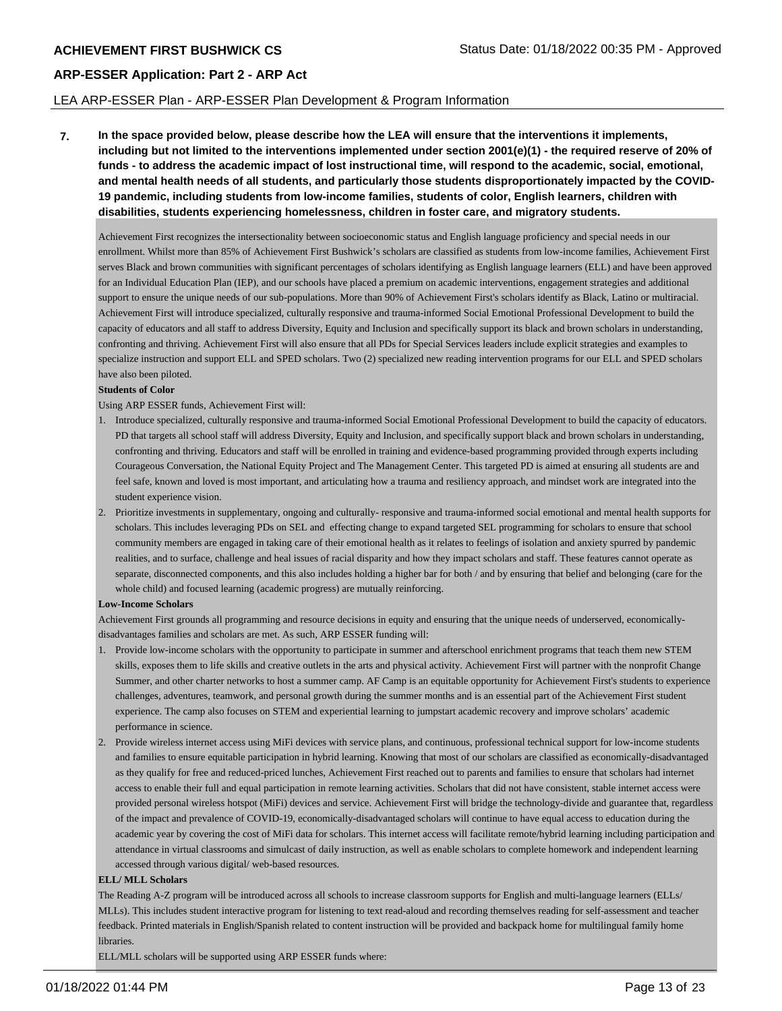## LEA ARP-ESSER Plan - ARP-ESSER Plan Development & Program Information

**7. In the space provided below, please describe how the LEA will ensure that the interventions it implements, including but not limited to the interventions implemented under section 2001(e)(1) - the required reserve of 20% of funds - to address the academic impact of lost instructional time, will respond to the academic, social, emotional, and mental health needs of all students, and particularly those students disproportionately impacted by the COVID-19 pandemic, including students from low-income families, students of color, English learners, children with disabilities, students experiencing homelessness, children in foster care, and migratory students.**

Achievement First recognizes the intersectionality between socioeconomic status and English language proficiency and special needs in our enrollment. Whilst more than 85% of Achievement First Bushwick's scholars are classified as students from low-income families, Achievement First serves Black and brown communities with significant percentages of scholars identifying as English language learners (ELL) and have been approved for an Individual Education Plan (IEP), and our schools have placed a premium on academic interventions, engagement strategies and additional support to ensure the unique needs of our sub-populations. More than 90% of Achievement First's scholars identify as Black, Latino or multiracial. Achievement First will introduce specialized, culturally responsive and trauma-informed Social Emotional Professional Development to build the capacity of educators and all staff to address Diversity, Equity and Inclusion and specifically support its black and brown scholars in understanding, confronting and thriving. Achievement First will also ensure that all PDs for Special Services leaders include explicit strategies and examples to specialize instruction and support ELL and SPED scholars. Two (2) specialized new reading intervention programs for our ELL and SPED scholars have also been piloted.

#### **Students of Color**

Using ARP ESSER funds, Achievement First will:

- 1. Introduce specialized, culturally responsive and trauma-informed Social Emotional Professional Development to build the capacity of educators. PD that targets all school staff will address Diversity, Equity and Inclusion, and specifically support black and brown scholars in understanding, confronting and thriving. Educators and staff will be enrolled in training and evidence-based programming provided through experts including Courageous Conversation, the National Equity Project and The Management Center. This targeted PD is aimed at ensuring all students are and feel safe, known and loved is most important, and articulating how a trauma and resiliency approach, and mindset work are integrated into the student experience vision.
- 2. Prioritize investments in supplementary, ongoing and culturally- responsive and trauma-informed social emotional and mental health supports for scholars. This includes leveraging PDs on SEL and effecting change to expand targeted SEL programming for scholars to ensure that school community members are engaged in taking care of their emotional health as it relates to feelings of isolation and anxiety spurred by pandemic realities, and to surface, challenge and heal issues of racial disparity and how they impact scholars and staff. These features cannot operate as separate, disconnected components, and this also includes holding a higher bar for both / and by ensuring that belief and belonging (care for the whole child) and focused learning (academic progress) are mutually reinforcing.

#### **Low-Income Scholars**

Achievement First grounds all programming and resource decisions in equity and ensuring that the unique needs of underserved, economicallydisadvantages families and scholars are met. As such, ARP ESSER funding will:

- 1. Provide low-income scholars with the opportunity to participate in summer and afterschool enrichment programs that teach them new STEM skills, exposes them to life skills and creative outlets in the arts and physical activity. Achievement First will partner with the nonprofit Change Summer, and other charter networks to host a summer camp. AF Camp is an equitable opportunity for Achievement First's students to experience challenges, adventures, teamwork, and personal growth during the summer months and is an essential part of the Achievement First student experience. The camp also focuses on STEM and experiential learning to jumpstart academic recovery and improve scholars' academic performance in science.
- 2. Provide wireless internet access using MiFi devices with service plans, and continuous, professional technical support for low-income students and families to ensure equitable participation in hybrid learning. Knowing that most of our scholars are classified as economically-disadvantaged as they qualify for free and reduced-priced lunches, Achievement First reached out to parents and families to ensure that scholars had internet access to enable their full and equal participation in remote learning activities. Scholars that did not have consistent, stable internet access were provided personal wireless hotspot (MiFi) devices and service. Achievement First will bridge the technology-divide and guarantee that, regardless of the impact and prevalence of COVID-19, economically-disadvantaged scholars will continue to have equal access to education during the academic year by covering the cost of MiFi data for scholars. This internet access will facilitate remote/hybrid learning including participation and attendance in virtual classrooms and simulcast of daily instruction, as well as enable scholars to complete homework and independent learning accessed through various digital/ web-based resources.

#### **ELL/ MLL Scholars**

The Reading A-Z program will be introduced across all schools to increase classroom supports for English and multi-language learners (ELLs/ MLLs). This includes student interactive program for listening to text read-aloud and recording themselves reading for self-assessment and teacher feedback. Printed materials in English/Spanish related to content instruction will be provided and backpack home for multilingual family home libraries.

ELL/MLL scholars will be supported using ARP ESSER funds where: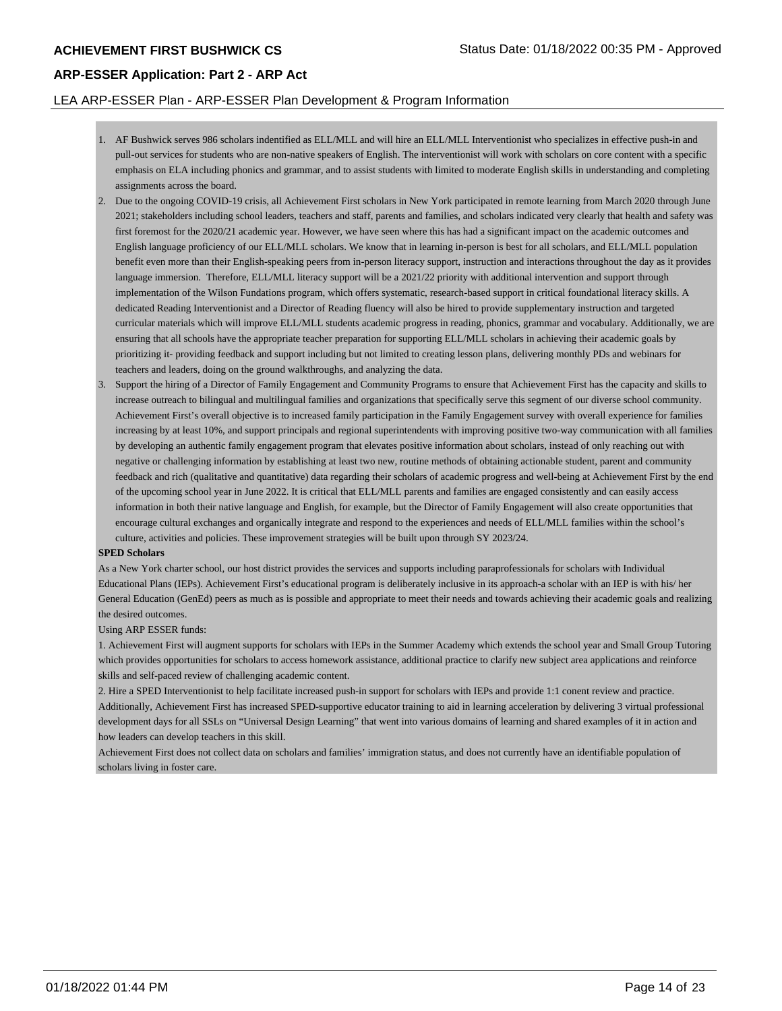## LEA ARP-ESSER Plan - ARP-ESSER Plan Development & Program Information

- 1. AF Bushwick serves 986 scholars indentified as ELL/MLL and will hire an ELL/MLL Interventionist who specializes in effective push-in and pull-out services for students who are non-native speakers of English. The interventionist will work with scholars on core content with a specific emphasis on ELA including phonics and grammar, and to assist students with limited to moderate English skills in understanding and completing assignments across the board.
- 2. Due to the ongoing COVID-19 crisis, all Achievement First scholars in New York participated in remote learning from March 2020 through June 2021; stakeholders including school leaders, teachers and staff, parents and families, and scholars indicated very clearly that health and safety was first foremost for the 2020/21 academic year. However, we have seen where this has had a significant impact on the academic outcomes and English language proficiency of our ELL/MLL scholars. We know that in learning in-person is best for all scholars, and ELL/MLL population benefit even more than their English-speaking peers from in-person literacy support, instruction and interactions throughout the day as it provides language immersion. Therefore, ELL/MLL literacy support will be a 2021/22 priority with additional intervention and support through implementation of the Wilson Fundations program, which offers systematic, research-based support in critical foundational literacy skills. A dedicated Reading Interventionist and a Director of Reading fluency will also be hired to provide supplementary instruction and targeted curricular materials which will improve ELL/MLL students academic progress in reading, phonics, grammar and vocabulary. Additionally, we are ensuring that all schools have the appropriate teacher preparation for supporting ELL/MLL scholars in achieving their academic goals by prioritizing it- providing feedback and support including but not limited to creating lesson plans, delivering monthly PDs and webinars for teachers and leaders, doing on the ground walkthroughs, and analyzing the data.
- 3. Support the hiring of a Director of Family Engagement and Community Programs to ensure that Achievement First has the capacity and skills to increase outreach to bilingual and multilingual families and organizations that specifically serve this segment of our diverse school community. Achievement First's overall objective is to increased family participation in the Family Engagement survey with overall experience for families increasing by at least 10%, and support principals and regional superintendents with improving positive two-way communication with all families by developing an authentic family engagement program that elevates positive information about scholars, instead of only reaching out with negative or challenging information by establishing at least two new, routine methods of obtaining actionable student, parent and community feedback and rich (qualitative and quantitative) data regarding their scholars of academic progress and well-being at Achievement First by the end of the upcoming school year in June 2022. It is critical that ELL/MLL parents and families are engaged consistently and can easily access information in both their native language and English, for example, but the Director of Family Engagement will also create opportunities that encourage cultural exchanges and organically integrate and respond to the experiences and needs of ELL/MLL families within the school's culture, activities and policies. These improvement strategies will be built upon through SY 2023/24.

#### **SPED Scholars**

As a New York charter school, our host district provides the services and supports including paraprofessionals for scholars with Individual Educational Plans (IEPs). Achievement First's educational program is deliberately inclusive in its approach-a scholar with an IEP is with his/ her General Education (GenEd) peers as much as is possible and appropriate to meet their needs and towards achieving their academic goals and realizing the desired outcomes.

#### Using ARP ESSER funds:

1. Achievement First will augment supports for scholars with IEPs in the Summer Academy which extends the school year and Small Group Tutoring which provides opportunities for scholars to access homework assistance, additional practice to clarify new subject area applications and reinforce skills and self-paced review of challenging academic content.

2. Hire a SPED Interventionist to help facilitate increased push-in support for scholars with IEPs and provide 1:1 conent review and practice. Additionally, Achievement First has increased SPED-supportive educator training to aid in learning acceleration by delivering 3 virtual professional development days for all SSLs on "Universal Design Learning" that went into various domains of learning and shared examples of it in action and how leaders can develop teachers in this skill.

Achievement First does not collect data on scholars and families' immigration status, and does not currently have an identifiable population of scholars living in foster care.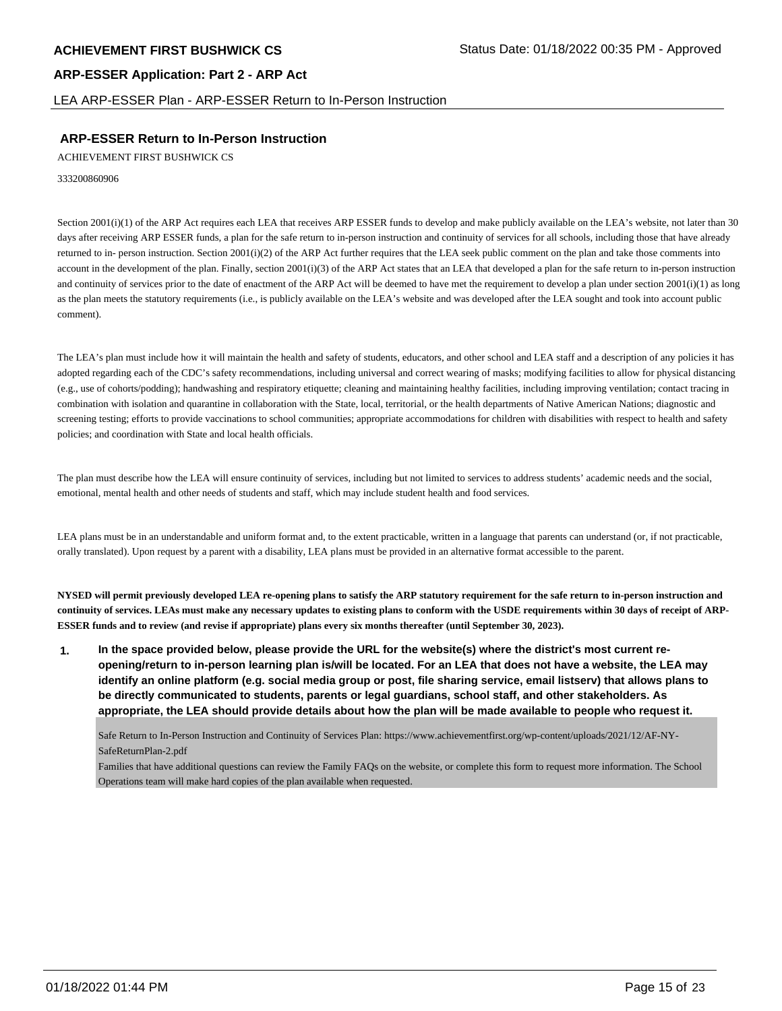LEA ARP-ESSER Plan - ARP-ESSER Return to In-Person Instruction

## **ARP-ESSER Return to In-Person Instruction**

ACHIEVEMENT FIRST BUSHWICK CS

333200860906

Section 2001(i)(1) of the ARP Act requires each LEA that receives ARP ESSER funds to develop and make publicly available on the LEA's website, not later than 30 days after receiving ARP ESSER funds, a plan for the safe return to in-person instruction and continuity of services for all schools, including those that have already returned to in- person instruction. Section 2001(i)(2) of the ARP Act further requires that the LEA seek public comment on the plan and take those comments into account in the development of the plan. Finally, section 2001(i)(3) of the ARP Act states that an LEA that developed a plan for the safe return to in-person instruction and continuity of services prior to the date of enactment of the ARP Act will be deemed to have met the requirement to develop a plan under section  $2001(i)(1)$  as long as the plan meets the statutory requirements (i.e., is publicly available on the LEA's website and was developed after the LEA sought and took into account public comment).

The LEA's plan must include how it will maintain the health and safety of students, educators, and other school and LEA staff and a description of any policies it has adopted regarding each of the CDC's safety recommendations, including universal and correct wearing of masks; modifying facilities to allow for physical distancing (e.g., use of cohorts/podding); handwashing and respiratory etiquette; cleaning and maintaining healthy facilities, including improving ventilation; contact tracing in combination with isolation and quarantine in collaboration with the State, local, territorial, or the health departments of Native American Nations; diagnostic and screening testing; efforts to provide vaccinations to school communities; appropriate accommodations for children with disabilities with respect to health and safety policies; and coordination with State and local health officials.

The plan must describe how the LEA will ensure continuity of services, including but not limited to services to address students' academic needs and the social, emotional, mental health and other needs of students and staff, which may include student health and food services.

LEA plans must be in an understandable and uniform format and, to the extent practicable, written in a language that parents can understand (or, if not practicable, orally translated). Upon request by a parent with a disability, LEA plans must be provided in an alternative format accessible to the parent.

**NYSED will permit previously developed LEA re-opening plans to satisfy the ARP statutory requirement for the safe return to in-person instruction and continuity of services. LEAs must make any necessary updates to existing plans to conform with the USDE requirements within 30 days of receipt of ARP-ESSER funds and to review (and revise if appropriate) plans every six months thereafter (until September 30, 2023).**

**1. In the space provided below, please provide the URL for the website(s) where the district's most current reopening/return to in-person learning plan is/will be located. For an LEA that does not have a website, the LEA may identify an online platform (e.g. social media group or post, file sharing service, email listserv) that allows plans to be directly communicated to students, parents or legal guardians, school staff, and other stakeholders. As appropriate, the LEA should provide details about how the plan will be made available to people who request it.**

Safe Return to In-Person Instruction and Continuity of Services Plan: https://www.achievementfirst.org/wp-content/uploads/2021/12/AF-NY-SafeReturnPlan-2.pdf

Families that have additional questions can review the Family FAQs on the website, or complete this form to request more information. The School Operations team will make hard copies of the plan available when requested.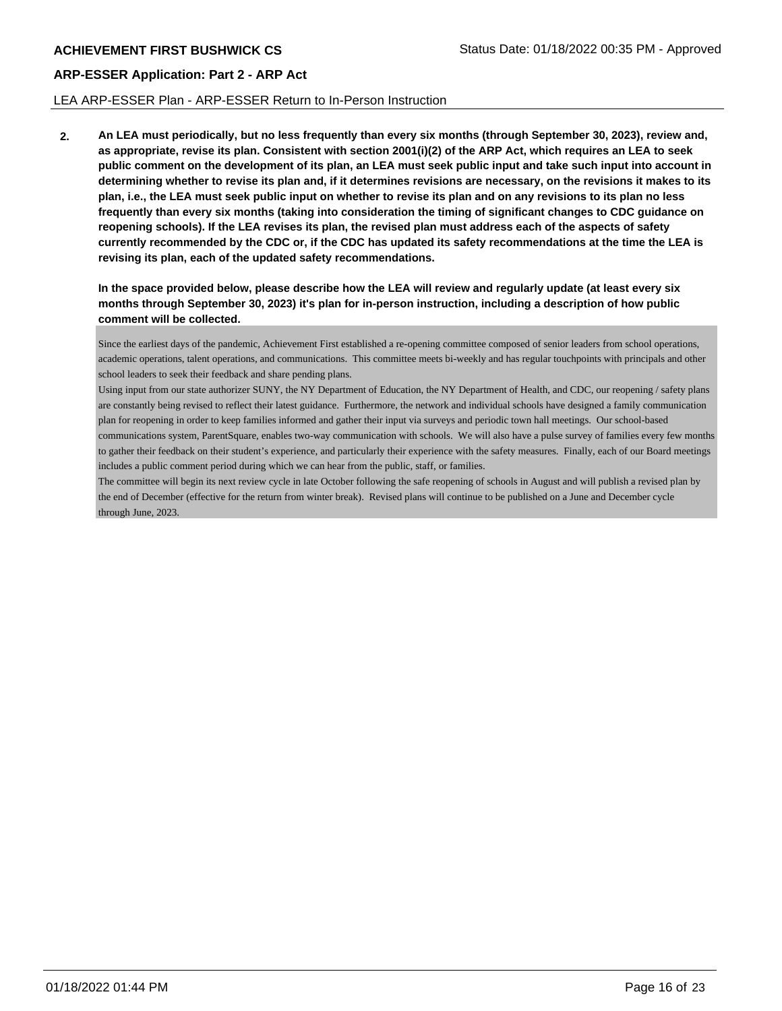## LEA ARP-ESSER Plan - ARP-ESSER Return to In-Person Instruction

**2. An LEA must periodically, but no less frequently than every six months (through September 30, 2023), review and, as appropriate, revise its plan. Consistent with section 2001(i)(2) of the ARP Act, which requires an LEA to seek public comment on the development of its plan, an LEA must seek public input and take such input into account in determining whether to revise its plan and, if it determines revisions are necessary, on the revisions it makes to its plan, i.e., the LEA must seek public input on whether to revise its plan and on any revisions to its plan no less frequently than every six months (taking into consideration the timing of significant changes to CDC guidance on reopening schools). If the LEA revises its plan, the revised plan must address each of the aspects of safety currently recommended by the CDC or, if the CDC has updated its safety recommendations at the time the LEA is revising its plan, each of the updated safety recommendations.**

**In the space provided below, please describe how the LEA will review and regularly update (at least every six months through September 30, 2023) it's plan for in-person instruction, including a description of how public comment will be collected.**

Since the earliest days of the pandemic, Achievement First established a re-opening committee composed of senior leaders from school operations, academic operations, talent operations, and communications. This committee meets bi-weekly and has regular touchpoints with principals and other school leaders to seek their feedback and share pending plans.

Using input from our state authorizer SUNY, the NY Department of Education, the NY Department of Health, and CDC, our reopening / safety plans are constantly being revised to reflect their latest guidance. Furthermore, the network and individual schools have designed a family communication plan for reopening in order to keep families informed and gather their input via surveys and periodic town hall meetings. Our school-based communications system, ParentSquare, enables two-way communication with schools. We will also have a pulse survey of families every few months to gather their feedback on their student's experience, and particularly their experience with the safety measures. Finally, each of our Board meetings includes a public comment period during which we can hear from the public, staff, or families.

The committee will begin its next review cycle in late October following the safe reopening of schools in August and will publish a revised plan by the end of December (effective for the return from winter break). Revised plans will continue to be published on a June and December cycle through June, 2023.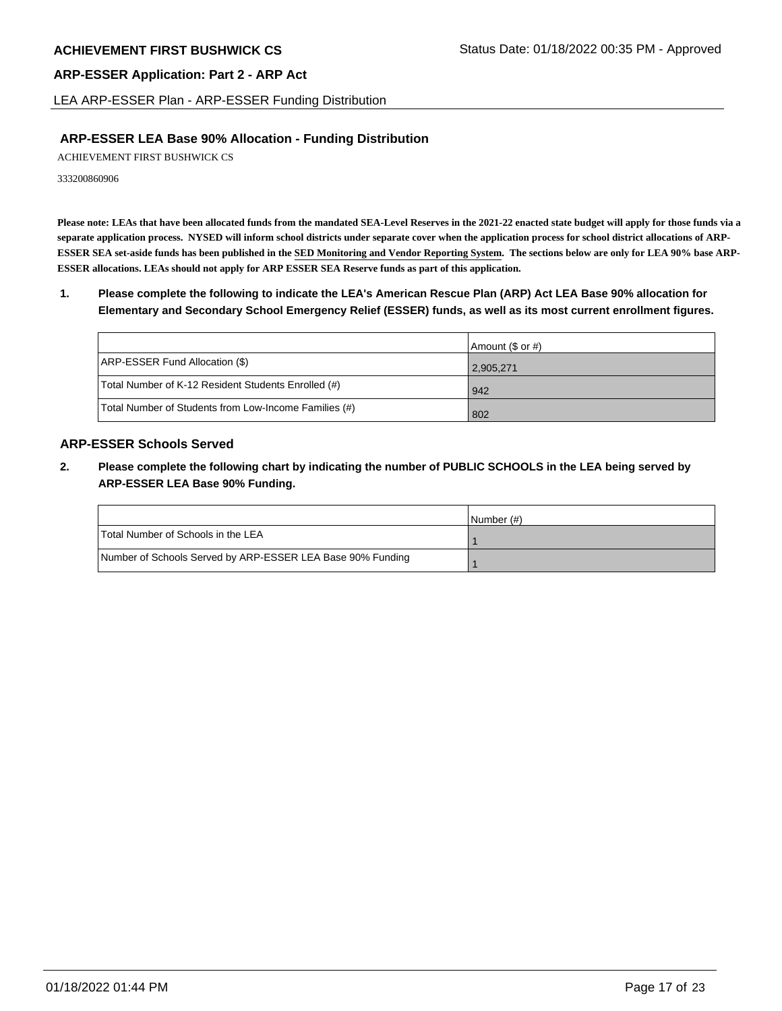LEA ARP-ESSER Plan - ARP-ESSER Funding Distribution

## **ARP-ESSER LEA Base 90% Allocation - Funding Distribution**

ACHIEVEMENT FIRST BUSHWICK CS

333200860906

**Please note: LEAs that have been allocated funds from the mandated SEA-Level Reserves in the 2021-22 enacted state budget will apply for those funds via a separate application process. NYSED will inform school districts under separate cover when the application process for school district allocations of ARP-ESSER SEA set-aside funds has been published in the SED Monitoring and Vendor Reporting System. The sections below are only for LEA 90% base ARP-ESSER allocations. LEAs should not apply for ARP ESSER SEA Reserve funds as part of this application.**

**1. Please complete the following to indicate the LEA's American Rescue Plan (ARP) Act LEA Base 90% allocation for Elementary and Secondary School Emergency Relief (ESSER) funds, as well as its most current enrollment figures.**

|                                                       | Amount (\$ or #) |
|-------------------------------------------------------|------------------|
| ARP-ESSER Fund Allocation (\$)                        | 2,905,271        |
| Total Number of K-12 Resident Students Enrolled (#)   | l 942            |
| Total Number of Students from Low-Income Families (#) | 802              |

## **ARP-ESSER Schools Served**

**2. Please complete the following chart by indicating the number of PUBLIC SCHOOLS in the LEA being served by ARP-ESSER LEA Base 90% Funding.**

|                                                            | INumber (#) |
|------------------------------------------------------------|-------------|
| Total Number of Schools in the LEA                         |             |
| Number of Schools Served by ARP-ESSER LEA Base 90% Funding |             |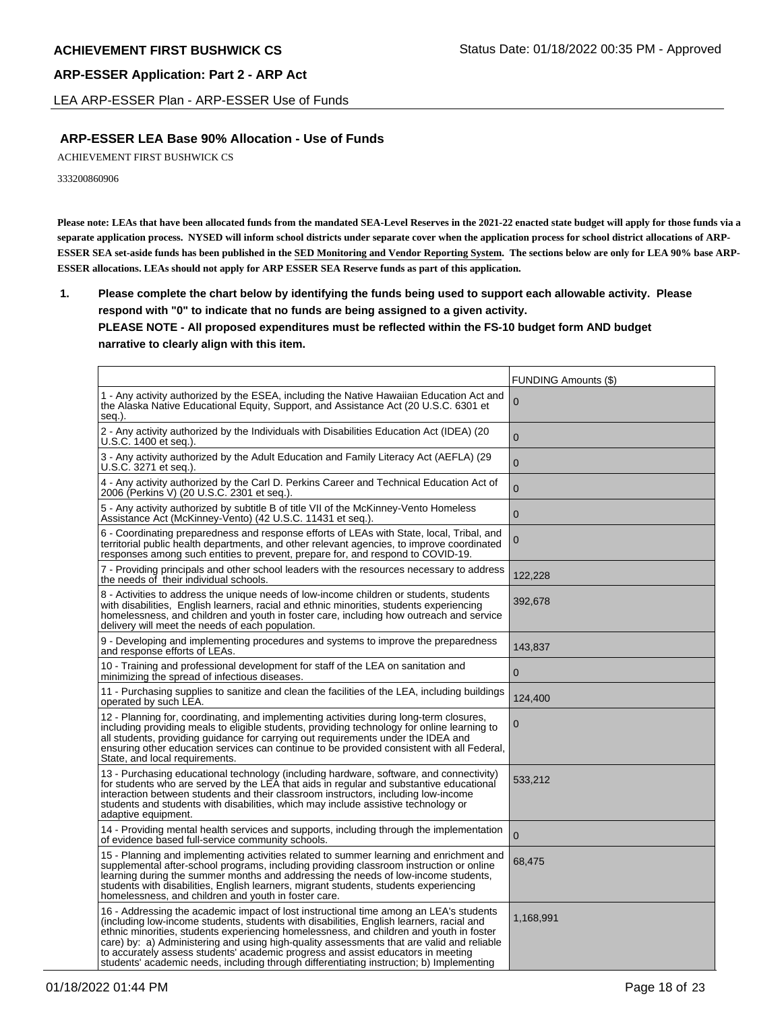LEA ARP-ESSER Plan - ARP-ESSER Use of Funds

## **ARP-ESSER LEA Base 90% Allocation - Use of Funds**

ACHIEVEMENT FIRST BUSHWICK CS

333200860906

**Please note: LEAs that have been allocated funds from the mandated SEA-Level Reserves in the 2021-22 enacted state budget will apply for those funds via a separate application process. NYSED will inform school districts under separate cover when the application process for school district allocations of ARP-ESSER SEA set-aside funds has been published in the SED Monitoring and Vendor Reporting System. The sections below are only for LEA 90% base ARP-ESSER allocations. LEAs should not apply for ARP ESSER SEA Reserve funds as part of this application.**

**1. Please complete the chart below by identifying the funds being used to support each allowable activity. Please respond with "0" to indicate that no funds are being assigned to a given activity. PLEASE NOTE - All proposed expenditures must be reflected within the FS-10 budget form AND budget narrative to clearly align with this item.**

|                                                                                                                                                                                                                                                                                                                                                                                                                                                                                                                                                            | FUNDING Amounts (\$) |
|------------------------------------------------------------------------------------------------------------------------------------------------------------------------------------------------------------------------------------------------------------------------------------------------------------------------------------------------------------------------------------------------------------------------------------------------------------------------------------------------------------------------------------------------------------|----------------------|
| 1 - Any activity authorized by the ESEA, including the Native Hawaiian Education Act and<br>the Alaska Native Educational Equity, Support, and Assistance Act (20 U.S.C. 6301 et<br>seg.).                                                                                                                                                                                                                                                                                                                                                                 | 0                    |
| 2 - Any activity authorized by the Individuals with Disabilities Education Act (IDEA) (20<br>U.S.C. 1400 et seg.).                                                                                                                                                                                                                                                                                                                                                                                                                                         | $\mathbf 0$          |
| 3 - Any activity authorized by the Adult Education and Family Literacy Act (AEFLA) (29<br>U.S.C. 3271 et seq.).                                                                                                                                                                                                                                                                                                                                                                                                                                            | $\mathbf 0$          |
| 4 - Any activity authorized by the Carl D. Perkins Career and Technical Education Act of<br>2006 (Perkins V) (20 U.S.C. 2301 et seq.).                                                                                                                                                                                                                                                                                                                                                                                                                     | $\mathbf 0$          |
| 5 - Any activity authorized by subtitle B of title VII of the McKinney-Vento Homeless<br>Assistance Act (McKinney-Vento) (42 U.S.C. 11431 et seg.).                                                                                                                                                                                                                                                                                                                                                                                                        | $\mathbf 0$          |
| 6 - Coordinating preparedness and response efforts of LEAs with State, local, Tribal, and<br>territorial public health departments, and other relevant agencies, to improve coordinated<br>responses among such entities to prevent, prepare for, and respond to COVID-19.                                                                                                                                                                                                                                                                                 | $\mathbf 0$          |
| 7 - Providing principals and other school leaders with the resources necessary to address<br>the needs of their individual schools.                                                                                                                                                                                                                                                                                                                                                                                                                        | 122,228              |
| 8 - Activities to address the unique needs of low-income children or students, students<br>with disabilities, English learners, racial and ethnic minorities, students experiencing<br>homelessness, and children and youth in foster care, including how outreach and service<br>delivery will meet the needs of each population.                                                                                                                                                                                                                         | 392,678              |
| 9 - Developing and implementing procedures and systems to improve the preparedness<br>and response efforts of LEAs.                                                                                                                                                                                                                                                                                                                                                                                                                                        | 143,837              |
| 10 - Training and professional development for staff of the LEA on sanitation and<br>minimizing the spread of infectious diseases.                                                                                                                                                                                                                                                                                                                                                                                                                         | $\mathbf{0}$         |
| 11 - Purchasing supplies to sanitize and clean the facilities of the LEA, including buildings<br>operated by such LEA.                                                                                                                                                                                                                                                                                                                                                                                                                                     | 124,400              |
| 12 - Planning for, coordinating, and implementing activities during long-term closures,<br>including providing meals to eligible students, providing technology for online learning to<br>all students, providing guidance for carrying out requirements under the IDEA and<br>ensuring other education services can continue to be provided consistent with all Federal,<br>State, and local requirements.                                                                                                                                                | 0                    |
| 13 - Purchasing educational technology (including hardware, software, and connectivity)<br>for students who are served by the LEA that aids in regular and substantive educational<br>interaction between students and their classroom instructors, including low-income<br>students and students with disabilities, which may include assistive technology or<br>adaptive equipment.                                                                                                                                                                      | 533,212              |
| 14 - Providing mental health services and supports, including through the implementation<br>of evidence based full-service community schools.                                                                                                                                                                                                                                                                                                                                                                                                              | $\mathbf{0}$         |
| 15 - Planning and implementing activities related to summer learning and enrichment and<br>supplemental after-school programs, including providing classroom instruction or online<br>learning during the summer months and addressing the needs of low-income students,<br>students with disabilities, English learners, migrant students, students experiencing<br>homelessness, and children and youth in foster care.                                                                                                                                  | 68,475               |
| 16 - Addressing the academic impact of lost instructional time among an LEA's students<br>(including low-income students, students with disabilities, English learners, racial and<br>ethnic minorities, students experiencing homelessness, and children and youth in foster<br>care) by: a) Administering and using high-quality assessments that are valid and reliable<br>to accurately assess students' academic progress and assist educators in meeting<br>students' academic needs, including through differentiating instruction; b) Implementing | 1,168,991            |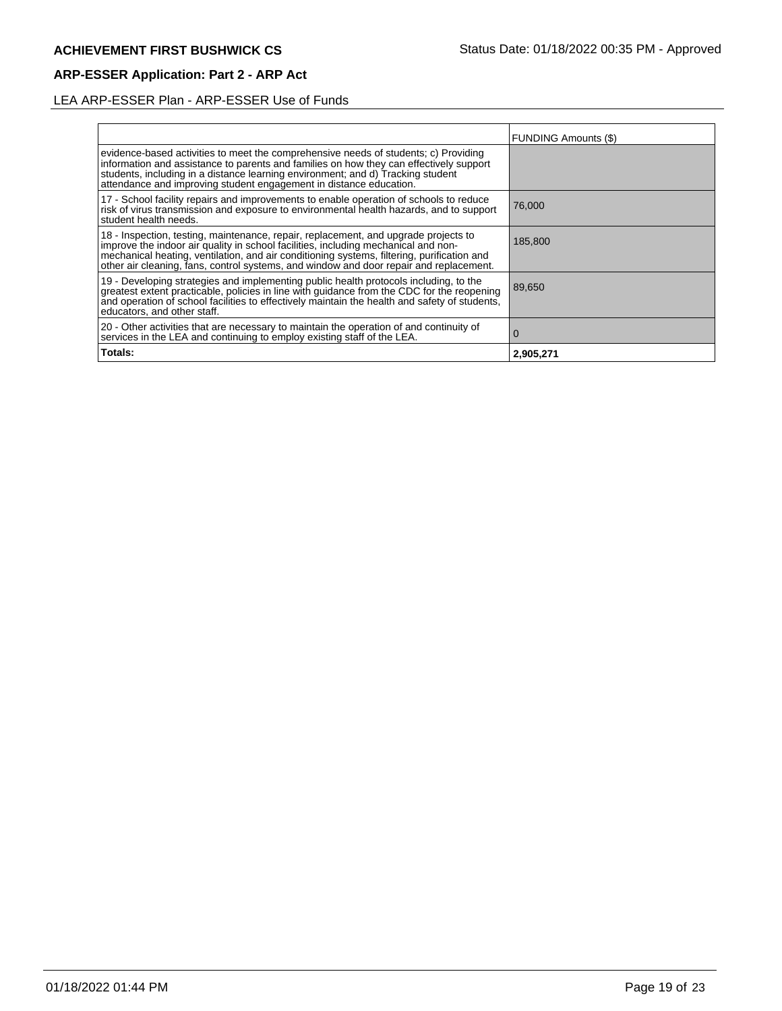# LEA ARP-ESSER Plan - ARP-ESSER Use of Funds

|                                                                                                                                                                                                                                                                                                                                                                   | <b>FUNDING Amounts (\$)</b> |
|-------------------------------------------------------------------------------------------------------------------------------------------------------------------------------------------------------------------------------------------------------------------------------------------------------------------------------------------------------------------|-----------------------------|
| evidence-based activities to meet the comprehensive needs of students; c) Providing<br>information and assistance to parents and families on how they can effectively support<br>students, including in a distance learning environment; and d) Tracking student<br>attendance and improving student engagement in distance education.                            |                             |
| 17 - School facility repairs and improvements to enable operation of schools to reduce<br>risk of virus transmission and exposure to environmental health hazards, and to support<br>student health needs.                                                                                                                                                        | 76,000                      |
| 18 - Inspection, testing, maintenance, repair, replacement, and upgrade projects to<br>improve the indoor air quality in school facilities, including mechanical and non-<br>mechanical heating, ventilation, and air conditioning systems, filtering, purification and<br>other air cleaning, fans, control systems, and window and door repair and replacement. | 185,800                     |
| 19 - Developing strategies and implementing public health protocols including, to the<br>greatest extent practicable, policies in line with guidance from the CDC for the reopening<br>and operation of school facilities to effectively maintain the health and safety of students,<br>educators, and other staff.                                               | 89,650                      |
| 20 - Other activities that are necessary to maintain the operation of and continuity of<br>services in the LEA and continuing to employ existing staff of the LEA.                                                                                                                                                                                                | $\Omega$                    |
| Totals:                                                                                                                                                                                                                                                                                                                                                           | 2,905,271                   |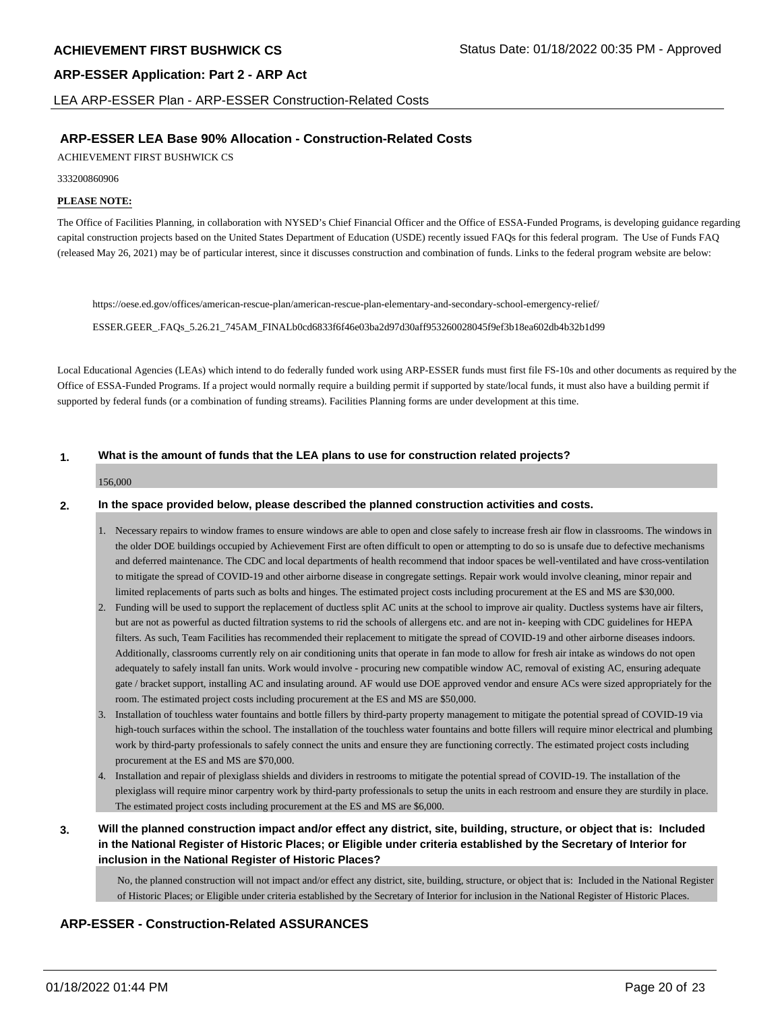LEA ARP-ESSER Plan - ARP-ESSER Construction-Related Costs

## **ARP-ESSER LEA Base 90% Allocation - Construction-Related Costs**

ACHIEVEMENT FIRST BUSHWICK CS

#### 333200860906

### **PLEASE NOTE:**

The Office of Facilities Planning, in collaboration with NYSED's Chief Financial Officer and the Office of ESSA-Funded Programs, is developing guidance regarding capital construction projects based on the United States Department of Education (USDE) recently issued FAQs for this federal program. The Use of Funds FAQ (released May 26, 2021) may be of particular interest, since it discusses construction and combination of funds. Links to the federal program website are below:

https://oese.ed.gov/offices/american-rescue-plan/american-rescue-plan-elementary-and-secondary-school-emergency-relief/

ESSER.GEER\_.FAQs\_5.26.21\_745AM\_FINALb0cd6833f6f46e03ba2d97d30aff953260028045f9ef3b18ea602db4b32b1d99

Local Educational Agencies (LEAs) which intend to do federally funded work using ARP-ESSER funds must first file FS-10s and other documents as required by the Office of ESSA-Funded Programs. If a project would normally require a building permit if supported by state/local funds, it must also have a building permit if supported by federal funds (or a combination of funding streams). Facilities Planning forms are under development at this time.

### **1. What is the amount of funds that the LEA plans to use for construction related projects?**

#### 156,000

### **2. In the space provided below, please described the planned construction activities and costs.**

- 1. Necessary repairs to window frames to ensure windows are able to open and close safely to increase fresh air flow in classrooms. The windows in the older DOE buildings occupied by Achievement First are often difficult to open or attempting to do so is unsafe due to defective mechanisms and deferred maintenance. The CDC and local departments of health recommend that indoor spaces be well-ventilated and have cross-ventilation to mitigate the spread of COVID-19 and other airborne disease in congregate settings. Repair work would involve cleaning, minor repair and limited replacements of parts such as bolts and hinges. The estimated project costs including procurement at the ES and MS are \$30,000.
- 2. Funding will be used to support the replacement of ductless split AC units at the school to improve air quality. Ductless systems have air filters, but are not as powerful as ducted filtration systems to rid the schools of allergens etc. and are not in- keeping with CDC guidelines for HEPA filters. As such, Team Facilities has recommended their replacement to mitigate the spread of COVID-19 and other airborne diseases indoors. Additionally, classrooms currently rely on air conditioning units that operate in fan mode to allow for fresh air intake as windows do not open adequately to safely install fan units. Work would involve - procuring new compatible window AC, removal of existing AC, ensuring adequate gate / bracket support, installing AC and insulating around. AF would use DOE approved vendor and ensure ACs were sized appropriately for the room. The estimated project costs including procurement at the ES and MS are \$50,000.
- 3. Installation of touchless water fountains and bottle fillers by third-party property management to mitigate the potential spread of COVID-19 via high-touch surfaces within the school. The installation of the touchless water fountains and botte fillers will require minor electrical and plumbing work by third-party professionals to safely connect the units and ensure they are functioning correctly. The estimated project costs including procurement at the ES and MS are \$70,000.
- 4. Installation and repair of plexiglass shields and dividers in restrooms to mitigate the potential spread of COVID-19. The installation of the plexiglass will require minor carpentry work by third-party professionals to setup the units in each restroom and ensure they are sturdily in place. The estimated project costs including procurement at the ES and MS are \$6,000.
- **3. Will the planned construction impact and/or effect any district, site, building, structure, or object that is: Included in the National Register of Historic Places; or Eligible under criteria established by the Secretary of Interior for inclusion in the National Register of Historic Places?**

No, the planned construction will not impact and/or effect any district, site, building, structure, or object that is: Included in the National Register of Historic Places; or Eligible under criteria established by the Secretary of Interior for inclusion in the National Register of Historic Places.

## **ARP-ESSER - Construction-Related ASSURANCES**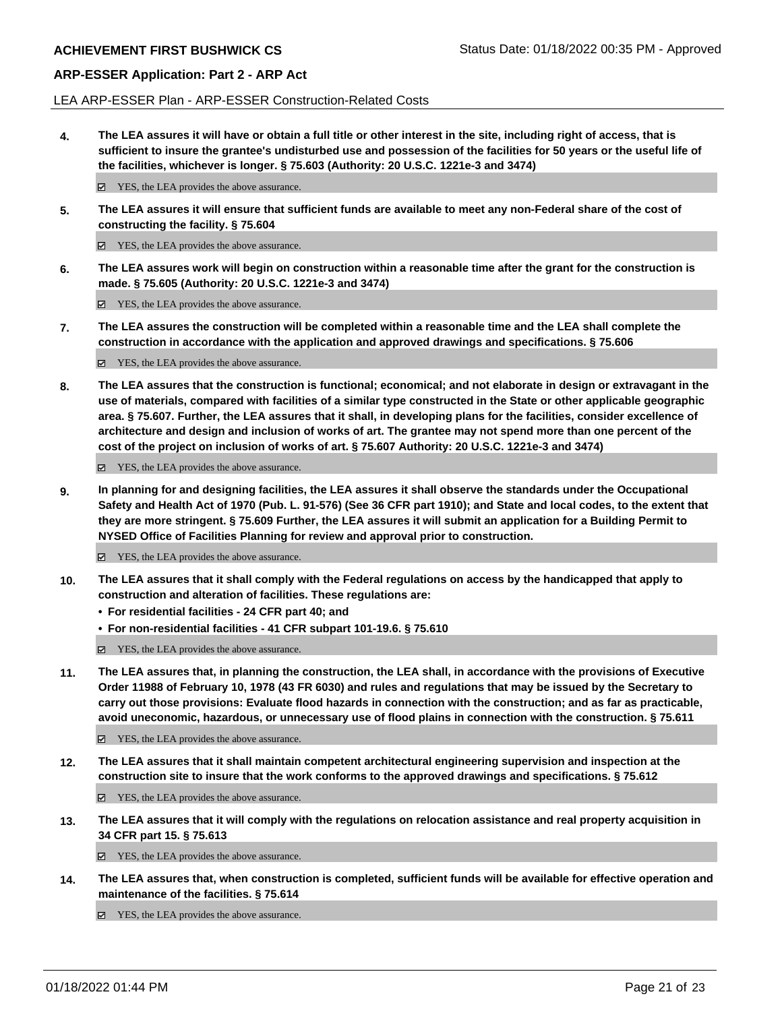LEA ARP-ESSER Plan - ARP-ESSER Construction-Related Costs

**4. The LEA assures it will have or obtain a full title or other interest in the site, including right of access, that is sufficient to insure the grantee's undisturbed use and possession of the facilities for 50 years or the useful life of the facilities, whichever is longer. § 75.603 (Authority: 20 U.S.C. 1221e-3 and 3474)**

 $✓$  YES, the LEA provides the above assurance.

**5. The LEA assures it will ensure that sufficient funds are available to meet any non-Federal share of the cost of constructing the facility. § 75.604**

YES, the LEA provides the above assurance.

**6. The LEA assures work will begin on construction within a reasonable time after the grant for the construction is made. § 75.605 (Authority: 20 U.S.C. 1221e-3 and 3474)**

■ YES, the LEA provides the above assurance.

**7. The LEA assures the construction will be completed within a reasonable time and the LEA shall complete the construction in accordance with the application and approved drawings and specifications. § 75.606**

YES, the LEA provides the above assurance.

**8. The LEA assures that the construction is functional; economical; and not elaborate in design or extravagant in the use of materials, compared with facilities of a similar type constructed in the State or other applicable geographic area. § 75.607. Further, the LEA assures that it shall, in developing plans for the facilities, consider excellence of architecture and design and inclusion of works of art. The grantee may not spend more than one percent of the cost of the project on inclusion of works of art. § 75.607 Authority: 20 U.S.C. 1221e-3 and 3474)**

YES, the LEA provides the above assurance.

**9. In planning for and designing facilities, the LEA assures it shall observe the standards under the Occupational Safety and Health Act of 1970 (Pub. L. 91-576) (See 36 CFR part 1910); and State and local codes, to the extent that they are more stringent. § 75.609 Further, the LEA assures it will submit an application for a Building Permit to NYSED Office of Facilities Planning for review and approval prior to construction.**

■ YES, the LEA provides the above assurance.

- **10. The LEA assures that it shall comply with the Federal regulations on access by the handicapped that apply to construction and alteration of facilities. These regulations are:**
	- **• For residential facilities 24 CFR part 40; and**
	- **• For non-residential facilities 41 CFR subpart 101-19.6. § 75.610**
	- YES, the LEA provides the above assurance.
- **11. The LEA assures that, in planning the construction, the LEA shall, in accordance with the provisions of Executive Order 11988 of February 10, 1978 (43 FR 6030) and rules and regulations that may be issued by the Secretary to carry out those provisions: Evaluate flood hazards in connection with the construction; and as far as practicable, avoid uneconomic, hazardous, or unnecessary use of flood plains in connection with the construction. § 75.611**

YES, the LEA provides the above assurance.

**12. The LEA assures that it shall maintain competent architectural engineering supervision and inspection at the construction site to insure that the work conforms to the approved drawings and specifications. § 75.612**

YES, the LEA provides the above assurance.

**13. The LEA assures that it will comply with the regulations on relocation assistance and real property acquisition in 34 CFR part 15. § 75.613**

YES, the LEA provides the above assurance.

**14. The LEA assures that, when construction is completed, sufficient funds will be available for effective operation and maintenance of the facilities. § 75.614**

■ YES, the LEA provides the above assurance.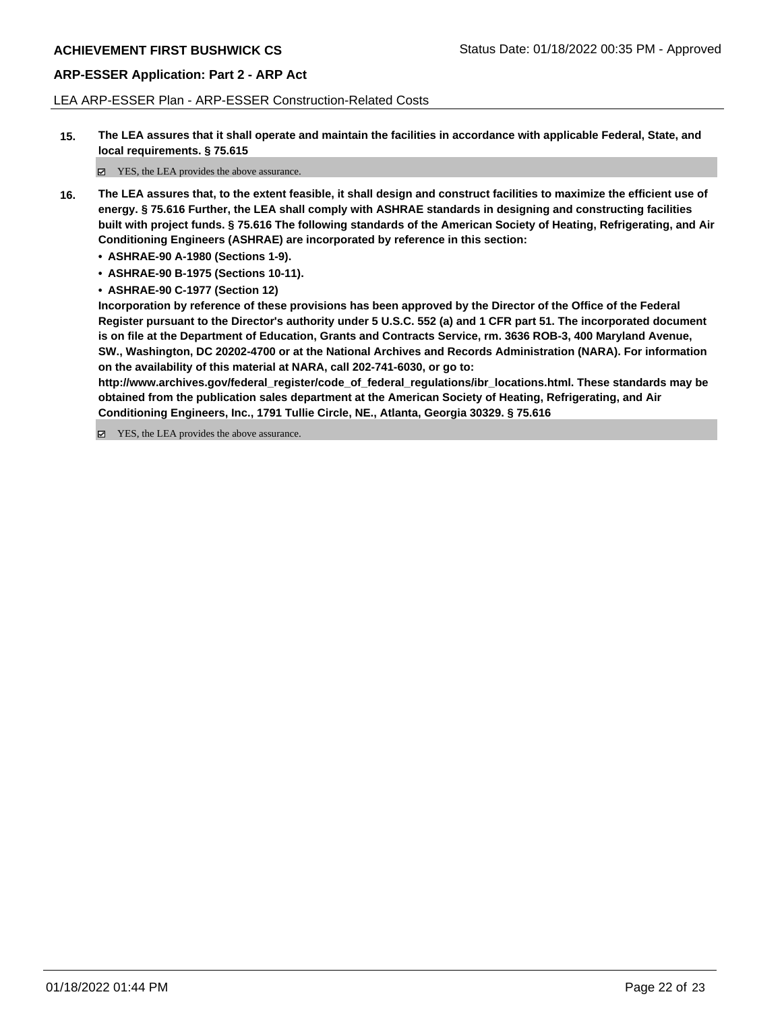LEA ARP-ESSER Plan - ARP-ESSER Construction-Related Costs

**15. The LEA assures that it shall operate and maintain the facilities in accordance with applicable Federal, State, and local requirements. § 75.615**

YES, the LEA provides the above assurance.

- **16. The LEA assures that, to the extent feasible, it shall design and construct facilities to maximize the efficient use of energy. § 75.616 Further, the LEA shall comply with ASHRAE standards in designing and constructing facilities built with project funds. § 75.616 The following standards of the American Society of Heating, Refrigerating, and Air Conditioning Engineers (ASHRAE) are incorporated by reference in this section:**
	- **• ASHRAE-90 A-1980 (Sections 1-9).**
	- **• ASHRAE-90 B-1975 (Sections 10-11).**
	- **• ASHRAE-90 C-1977 (Section 12)**

**Incorporation by reference of these provisions has been approved by the Director of the Office of the Federal Register pursuant to the Director's authority under 5 U.S.C. 552 (a) and 1 CFR part 51. The incorporated document is on file at the Department of Education, Grants and Contracts Service, rm. 3636 ROB-3, 400 Maryland Avenue, SW., Washington, DC 20202-4700 or at the National Archives and Records Administration (NARA). For information on the availability of this material at NARA, call 202-741-6030, or go to:**

**http://www.archives.gov/federal\_register/code\_of\_federal\_regulations/ibr\_locations.html. These standards may be obtained from the publication sales department at the American Society of Heating, Refrigerating, and Air Conditioning Engineers, Inc., 1791 Tullie Circle, NE., Atlanta, Georgia 30329. § 75.616**

YES, the LEA provides the above assurance.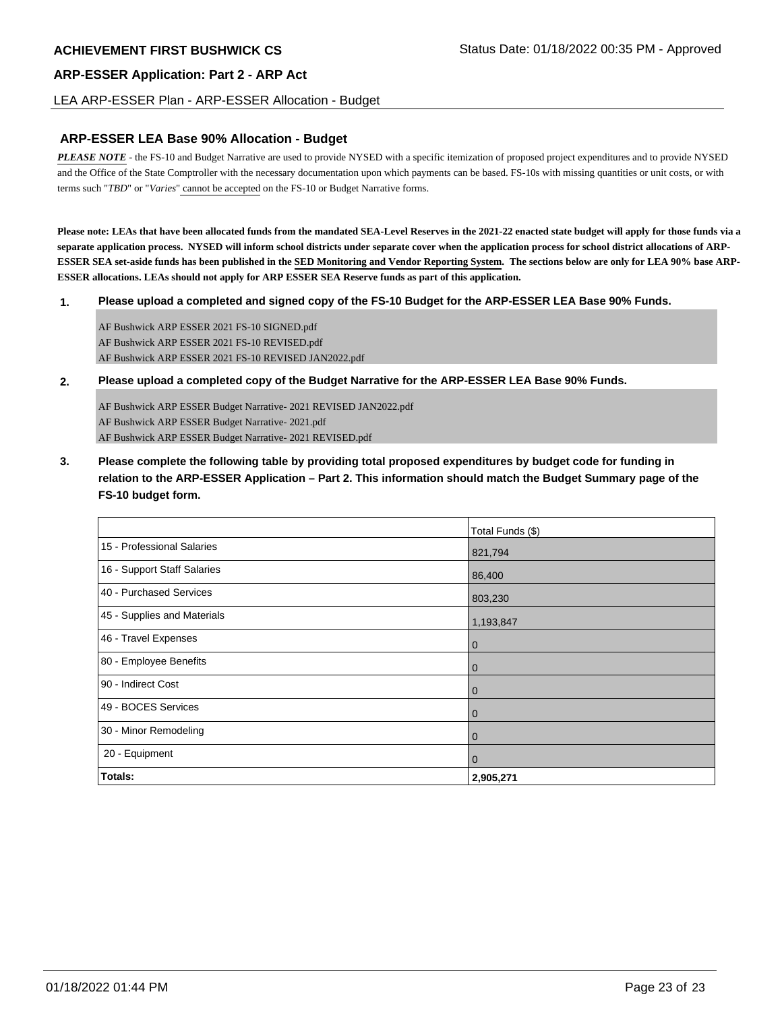### LEA ARP-ESSER Plan - ARP-ESSER Allocation - Budget

## **ARP-ESSER LEA Base 90% Allocation - Budget**

*PLEASE NOTE* - the FS-10 and Budget Narrative are used to provide NYSED with a specific itemization of proposed project expenditures and to provide NYSED and the Office of the State Comptroller with the necessary documentation upon which payments can be based. FS-10s with missing quantities or unit costs, or with terms such "*TBD*" or "*Varies*" cannot be accepted on the FS-10 or Budget Narrative forms.

**Please note: LEAs that have been allocated funds from the mandated SEA-Level Reserves in the 2021-22 enacted state budget will apply for those funds via a separate application process. NYSED will inform school districts under separate cover when the application process for school district allocations of ARP-ESSER SEA set-aside funds has been published in the SED Monitoring and Vendor Reporting System. The sections below are only for LEA 90% base ARP-ESSER allocations. LEAs should not apply for ARP ESSER SEA Reserve funds as part of this application.**

#### **1. Please upload a completed and signed copy of the FS-10 Budget for the ARP-ESSER LEA Base 90% Funds.**

AF Bushwick ARP ESSER 2021 FS-10 SIGNED.pdf AF Bushwick ARP ESSER 2021 FS-10 REVISED.pdf AF Bushwick ARP ESSER 2021 FS-10 REVISED JAN2022.pdf

### **2. Please upload a completed copy of the Budget Narrative for the ARP-ESSER LEA Base 90% Funds.**

AF Bushwick ARP ESSER Budget Narrative- 2021 REVISED JAN2022.pdf AF Bushwick ARP ESSER Budget Narrative- 2021.pdf AF Bushwick ARP ESSER Budget Narrative- 2021 REVISED.pdf

**3. Please complete the following table by providing total proposed expenditures by budget code for funding in relation to the ARP-ESSER Application – Part 2. This information should match the Budget Summary page of the FS-10 budget form.**

|                             | Total Funds (\$) |
|-----------------------------|------------------|
| 15 - Professional Salaries  | 821,794          |
| 16 - Support Staff Salaries | 86,400           |
| 40 - Purchased Services     | 803,230          |
| 45 - Supplies and Materials | 1,193,847        |
| 46 - Travel Expenses        | $\mathbf 0$      |
| 80 - Employee Benefits      | $\mathbf 0$      |
| 90 - Indirect Cost          | $\mathbf 0$      |
| 49 - BOCES Services         | $\mathbf 0$      |
| 30 - Minor Remodeling       | $\mathbf 0$      |
| 20 - Equipment              | $\mathbf 0$      |
| Totals:                     | 2,905,271        |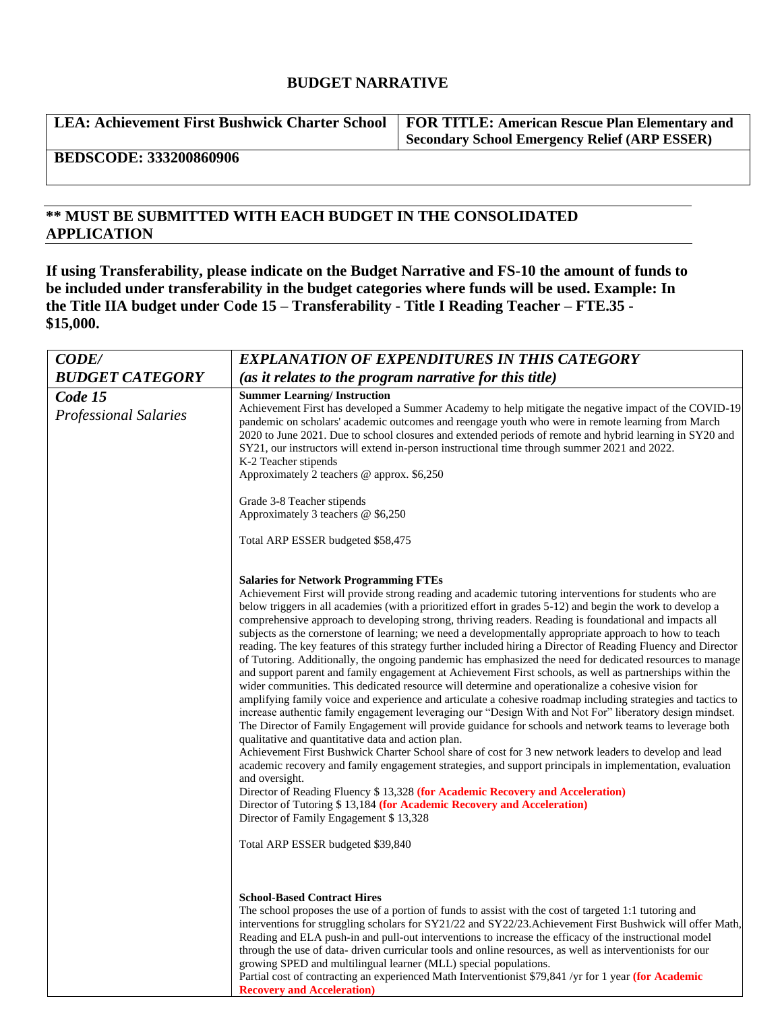# **BUDGET NARRATIVE**

| LEA: Achievement First Bushwick Charter School   FOR TITLE: American Rescue Plan Elementary and |                                               |
|-------------------------------------------------------------------------------------------------|-----------------------------------------------|
|                                                                                                 | Secondary School Emergency Relief (ARP ESSER) |

# **BEDSCODE: 333200860906**

# **\*\* MUST BE SUBMITTED WITH EACH BUDGET IN THE CONSOLIDATED APPLICATION**

**If using Transferability, please indicate on the Budget Narrative and FS-10 the amount of funds to be included under transferability in the budget categories where funds will be used. Example: In the Title IIA budget under Code 15 – Transferability - Title I Reading Teacher – FTE.35 - \$15,000.**

| <b>CODE/</b>                            | <b>EXPLANATION OF EXPENDITURES IN THIS CATEGORY</b>                                                                                                                                                                                                                                                                                                                                                                                                                                                                                                                                                                                                                                                                                                                                                                                                                                                                                                                                                                                                                                                                                                                                                                                                                                                                                                                                                                                                                                                                                                                                                                                                                                                                                                                                                                      |
|-----------------------------------------|--------------------------------------------------------------------------------------------------------------------------------------------------------------------------------------------------------------------------------------------------------------------------------------------------------------------------------------------------------------------------------------------------------------------------------------------------------------------------------------------------------------------------------------------------------------------------------------------------------------------------------------------------------------------------------------------------------------------------------------------------------------------------------------------------------------------------------------------------------------------------------------------------------------------------------------------------------------------------------------------------------------------------------------------------------------------------------------------------------------------------------------------------------------------------------------------------------------------------------------------------------------------------------------------------------------------------------------------------------------------------------------------------------------------------------------------------------------------------------------------------------------------------------------------------------------------------------------------------------------------------------------------------------------------------------------------------------------------------------------------------------------------------------------------------------------------------|
| <b>BUDGET CATEGORY</b>                  | (as it relates to the program narrative for this title)                                                                                                                                                                                                                                                                                                                                                                                                                                                                                                                                                                                                                                                                                                                                                                                                                                                                                                                                                                                                                                                                                                                                                                                                                                                                                                                                                                                                                                                                                                                                                                                                                                                                                                                                                                  |
| Code 15<br><b>Professional Salaries</b> | <b>Summer Learning/Instruction</b><br>Achievement First has developed a Summer Academy to help mitigate the negative impact of the COVID-19<br>pandemic on scholars' academic outcomes and reengage youth who were in remote learning from March<br>2020 to June 2021. Due to school closures and extended periods of remote and hybrid learning in SY20 and<br>SY21, our instructors will extend in-person instructional time through summer 2021 and 2022.<br>K-2 Teacher stipends<br>Approximately 2 teachers @ approx. \$6,250                                                                                                                                                                                                                                                                                                                                                                                                                                                                                                                                                                                                                                                                                                                                                                                                                                                                                                                                                                                                                                                                                                                                                                                                                                                                                       |
|                                         | Grade 3-8 Teacher stipends<br>Approximately 3 teachers $@$ \$6,250                                                                                                                                                                                                                                                                                                                                                                                                                                                                                                                                                                                                                                                                                                                                                                                                                                                                                                                                                                                                                                                                                                                                                                                                                                                                                                                                                                                                                                                                                                                                                                                                                                                                                                                                                       |
|                                         | Total ARP ESSER budgeted \$58,475                                                                                                                                                                                                                                                                                                                                                                                                                                                                                                                                                                                                                                                                                                                                                                                                                                                                                                                                                                                                                                                                                                                                                                                                                                                                                                                                                                                                                                                                                                                                                                                                                                                                                                                                                                                        |
|                                         | <b>Salaries for Network Programming FTEs</b><br>Achievement First will provide strong reading and academic tutoring interventions for students who are<br>below triggers in all academies (with a prioritized effort in grades 5-12) and begin the work to develop a<br>comprehensive approach to developing strong, thriving readers. Reading is foundational and impacts all<br>subjects as the cornerstone of learning; we need a developmentally appropriate approach to how to teach<br>reading. The key features of this strategy further included hiring a Director of Reading Fluency and Director<br>of Tutoring. Additionally, the ongoing pandemic has emphasized the need for dedicated resources to manage<br>and support parent and family engagement at Achievement First schools, as well as partnerships within the<br>wider communities. This dedicated resource will determine and operationalize a cohesive vision for<br>amplifying family voice and experience and articulate a cohesive roadmap including strategies and tactics to<br>increase authentic family engagement leveraging our "Design With and Not For" liberatory design mindset.<br>The Director of Family Engagement will provide guidance for schools and network teams to leverage both<br>qualitative and quantitative data and action plan.<br>Achievement First Bushwick Charter School share of cost for 3 new network leaders to develop and lead<br>academic recovery and family engagement strategies, and support principals in implementation, evaluation<br>and oversight.<br>Director of Reading Fluency \$ 13,328 (for Academic Recovery and Acceleration)<br>Director of Tutoring \$13,184 (for Academic Recovery and Acceleration)<br>Director of Family Engagement \$13,328<br>Total ARP ESSER budgeted \$39,840 |
|                                         | <b>School-Based Contract Hires</b><br>The school proposes the use of a portion of funds to assist with the cost of targeted 1:1 tutoring and<br>interventions for struggling scholars for SY21/22 and SY22/23. Achievement First Bushwick will offer Math,<br>Reading and ELA push-in and pull-out interventions to increase the efficacy of the instructional model<br>through the use of data-driven curricular tools and online resources, as well as interventionists for our<br>growing SPED and multilingual learner (MLL) special populations.<br>Partial cost of contracting an experienced Math Interventionist \$79,841 /yr for 1 year (for Academic<br><b>Recovery and Acceleration</b> )                                                                                                                                                                                                                                                                                                                                                                                                                                                                                                                                                                                                                                                                                                                                                                                                                                                                                                                                                                                                                                                                                                                     |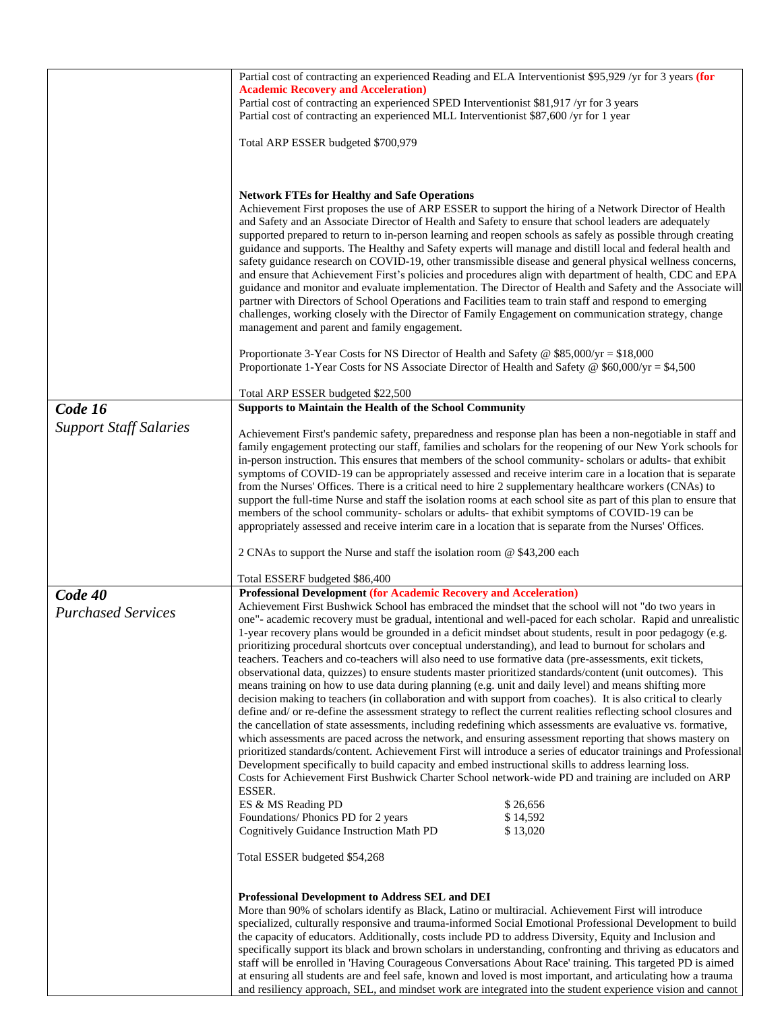|                               | Partial cost of contracting an experienced Reading and ELA Interventionist \$95,929 /yr for 3 years (for<br><b>Academic Recovery and Acceleration)</b>                                                                                                                                                                                                                                                                                                                                                                                                                                                                                                                                                                                                                                                                                                                                                                                                                                                                                                                                                                                                                                                                                                                                                                                                                                                                                                                                                                                                                                  |
|-------------------------------|-----------------------------------------------------------------------------------------------------------------------------------------------------------------------------------------------------------------------------------------------------------------------------------------------------------------------------------------------------------------------------------------------------------------------------------------------------------------------------------------------------------------------------------------------------------------------------------------------------------------------------------------------------------------------------------------------------------------------------------------------------------------------------------------------------------------------------------------------------------------------------------------------------------------------------------------------------------------------------------------------------------------------------------------------------------------------------------------------------------------------------------------------------------------------------------------------------------------------------------------------------------------------------------------------------------------------------------------------------------------------------------------------------------------------------------------------------------------------------------------------------------------------------------------------------------------------------------------|
|                               | Partial cost of contracting an experienced SPED Interventionist \$81,917 /yr for 3 years<br>Partial cost of contracting an experienced MLL Interventionist \$87,600 /yr for 1 year                                                                                                                                                                                                                                                                                                                                                                                                                                                                                                                                                                                                                                                                                                                                                                                                                                                                                                                                                                                                                                                                                                                                                                                                                                                                                                                                                                                                      |
|                               | Total ARP ESSER budgeted \$700,979                                                                                                                                                                                                                                                                                                                                                                                                                                                                                                                                                                                                                                                                                                                                                                                                                                                                                                                                                                                                                                                                                                                                                                                                                                                                                                                                                                                                                                                                                                                                                      |
|                               |                                                                                                                                                                                                                                                                                                                                                                                                                                                                                                                                                                                                                                                                                                                                                                                                                                                                                                                                                                                                                                                                                                                                                                                                                                                                                                                                                                                                                                                                                                                                                                                         |
|                               |                                                                                                                                                                                                                                                                                                                                                                                                                                                                                                                                                                                                                                                                                                                                                                                                                                                                                                                                                                                                                                                                                                                                                                                                                                                                                                                                                                                                                                                                                                                                                                                         |
|                               | <b>Network FTEs for Healthy and Safe Operations</b><br>Achievement First proposes the use of ARP ESSER to support the hiring of a Network Director of Health<br>and Safety and an Associate Director of Health and Safety to ensure that school leaders are adequately<br>supported prepared to return to in-person learning and reopen schools as safely as possible through creating<br>guidance and supports. The Healthy and Safety experts will manage and distill local and federal health and<br>safety guidance research on COVID-19, other transmissible disease and general physical wellness concerns,<br>and ensure that Achievement First's policies and procedures align with department of health, CDC and EPA<br>guidance and monitor and evaluate implementation. The Director of Health and Safety and the Associate will<br>partner with Directors of School Operations and Facilities team to train staff and respond to emerging<br>challenges, working closely with the Director of Family Engagement on communication strategy, change<br>management and parent and family engagement.                                                                                                                                                                                                                                                                                                                                                                                                                                                                           |
|                               | Proportionate 3-Year Costs for NS Director of Health and Safety @ \$85,000/yr = \$18,000<br>Proportionate 1-Year Costs for NS Associate Director of Health and Safety @ \$60,000/yr = \$4,500                                                                                                                                                                                                                                                                                                                                                                                                                                                                                                                                                                                                                                                                                                                                                                                                                                                                                                                                                                                                                                                                                                                                                                                                                                                                                                                                                                                           |
|                               | Total ARP ESSER budgeted \$22,500                                                                                                                                                                                                                                                                                                                                                                                                                                                                                                                                                                                                                                                                                                                                                                                                                                                                                                                                                                                                                                                                                                                                                                                                                                                                                                                                                                                                                                                                                                                                                       |
| Code 16                       | Supports to Maintain the Health of the School Community                                                                                                                                                                                                                                                                                                                                                                                                                                                                                                                                                                                                                                                                                                                                                                                                                                                                                                                                                                                                                                                                                                                                                                                                                                                                                                                                                                                                                                                                                                                                 |
| <b>Support Staff Salaries</b> | Achievement First's pandemic safety, preparedness and response plan has been a non-negotiable in staff and<br>family engagement protecting our staff, families and scholars for the reopening of our New York schools for<br>in-person instruction. This ensures that members of the school community- scholars or adults- that exhibit<br>symptoms of COVID-19 can be appropriately assessed and receive interim care in a location that is separate<br>from the Nurses' Offices. There is a critical need to hire 2 supplementary healthcare workers (CNAs) to<br>support the full-time Nurse and staff the isolation rooms at each school site as part of this plan to ensure that<br>members of the school community-scholars or adults- that exhibit symptoms of COVID-19 can be<br>appropriately assessed and receive interim care in a location that is separate from the Nurses' Offices.                                                                                                                                                                                                                                                                                                                                                                                                                                                                                                                                                                                                                                                                                       |
|                               | 2 CNAs to support the Nurse and staff the isolation room @ \$43,200 each                                                                                                                                                                                                                                                                                                                                                                                                                                                                                                                                                                                                                                                                                                                                                                                                                                                                                                                                                                                                                                                                                                                                                                                                                                                                                                                                                                                                                                                                                                                |
|                               | Total ESSERF budgeted \$86,400                                                                                                                                                                                                                                                                                                                                                                                                                                                                                                                                                                                                                                                                                                                                                                                                                                                                                                                                                                                                                                                                                                                                                                                                                                                                                                                                                                                                                                                                                                                                                          |
| Code 40                       | <b>Professional Development (for Academic Recovery and Acceleration)</b>                                                                                                                                                                                                                                                                                                                                                                                                                                                                                                                                                                                                                                                                                                                                                                                                                                                                                                                                                                                                                                                                                                                                                                                                                                                                                                                                                                                                                                                                                                                |
| <b>Purchased Services</b>     | Achievement First Bushwick School has embraced the mindset that the school will not "do two years in<br>one"- academic recovery must be gradual, intentional and well-paced for each scholar. Rapid and unrealistic<br>1-year recovery plans would be grounded in a deficit mindset about students, result in poor pedagogy (e.g.<br>prioritizing procedural shortcuts over conceptual understanding), and lead to burnout for scholars and<br>teachers. Teachers and co-teachers will also need to use formative data (pre-assessments, exit tickets,<br>observational data, quizzes) to ensure students master prioritized standards/content (unit outcomes). This<br>means training on how to use data during planning (e.g. unit and daily level) and means shifting more<br>decision making to teachers (in collaboration and with support from coaches). It is also critical to clearly<br>define and/ or re-define the assessment strategy to reflect the current realities reflecting school closures and<br>the cancellation of state assessments, including redefining which assessments are evaluative vs. formative,<br>which assessments are paced across the network, and ensuring assessment reporting that shows mastery on<br>prioritized standards/content. Achievement First will introduce a series of educator trainings and Professional<br>Development specifically to build capacity and embed instructional skills to address learning loss.<br>Costs for Achievement First Bushwick Charter School network-wide PD and training are included on ARP<br>ESSER. |
|                               | ES & MS Reading PD<br>\$26,656<br>\$14,592<br>Foundations/ Phonics PD for 2 years                                                                                                                                                                                                                                                                                                                                                                                                                                                                                                                                                                                                                                                                                                                                                                                                                                                                                                                                                                                                                                                                                                                                                                                                                                                                                                                                                                                                                                                                                                       |
|                               | Cognitively Guidance Instruction Math PD<br>\$13,020                                                                                                                                                                                                                                                                                                                                                                                                                                                                                                                                                                                                                                                                                                                                                                                                                                                                                                                                                                                                                                                                                                                                                                                                                                                                                                                                                                                                                                                                                                                                    |
|                               | Total ESSER budgeted \$54,268                                                                                                                                                                                                                                                                                                                                                                                                                                                                                                                                                                                                                                                                                                                                                                                                                                                                                                                                                                                                                                                                                                                                                                                                                                                                                                                                                                                                                                                                                                                                                           |
|                               | <b>Professional Development to Address SEL and DEI</b><br>More than 90% of scholars identify as Black, Latino or multiracial. Achievement First will introduce<br>specialized, culturally responsive and trauma-informed Social Emotional Professional Development to build<br>the capacity of educators. Additionally, costs include PD to address Diversity, Equity and Inclusion and<br>specifically support its black and brown scholars in understanding, confronting and thriving as educators and<br>staff will be enrolled in 'Having Courageous Conversations About Race' training. This targeted PD is aimed<br>at ensuring all students are and feel safe, known and loved is most important, and articulating how a trauma                                                                                                                                                                                                                                                                                                                                                                                                                                                                                                                                                                                                                                                                                                                                                                                                                                                  |

and resiliency approach, SEL, and mindset work are integrated into the student experience vision and cannot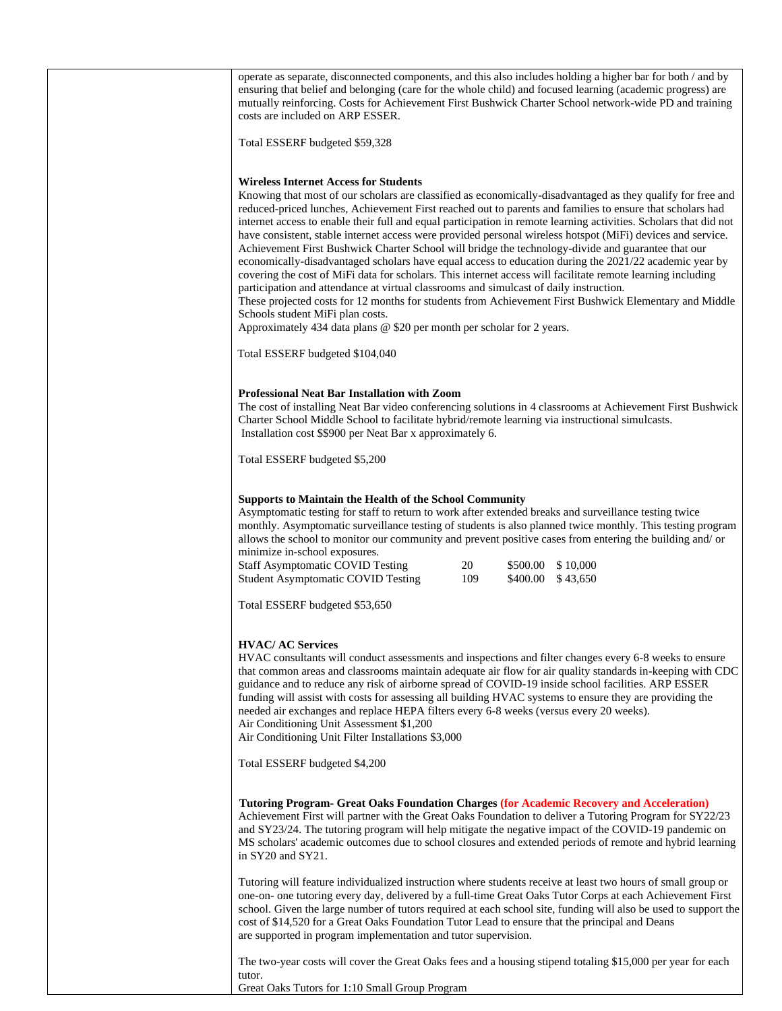| operate as separate, disconnected components, and this also includes holding a higher bar for both / and by<br>ensuring that belief and belonging (care for the whole child) and focused learning (academic progress) are<br>mutually reinforcing. Costs for Achievement First Bushwick Charter School network-wide PD and training<br>costs are included on ARP ESSER.                                                                                                                                                                                                                                                                                                                                                                                                                                                                                                                                                                                                                                                                                                                                                                                       |
|---------------------------------------------------------------------------------------------------------------------------------------------------------------------------------------------------------------------------------------------------------------------------------------------------------------------------------------------------------------------------------------------------------------------------------------------------------------------------------------------------------------------------------------------------------------------------------------------------------------------------------------------------------------------------------------------------------------------------------------------------------------------------------------------------------------------------------------------------------------------------------------------------------------------------------------------------------------------------------------------------------------------------------------------------------------------------------------------------------------------------------------------------------------|
| Total ESSERF budgeted \$59,328                                                                                                                                                                                                                                                                                                                                                                                                                                                                                                                                                                                                                                                                                                                                                                                                                                                                                                                                                                                                                                                                                                                                |
| <b>Wireless Internet Access for Students</b><br>Knowing that most of our scholars are classified as economically-disadvantaged as they qualify for free and<br>reduced-priced lunches, Achievement First reached out to parents and families to ensure that scholars had<br>internet access to enable their full and equal participation in remote learning activities. Scholars that did not<br>have consistent, stable internet access were provided personal wireless hotspot (MiFi) devices and service.<br>Achievement First Bushwick Charter School will bridge the technology-divide and guarantee that our<br>economically-disadvantaged scholars have equal access to education during the 2021/22 academic year by<br>covering the cost of MiFi data for scholars. This internet access will facilitate remote learning including<br>participation and attendance at virtual classrooms and simulcast of daily instruction.<br>These projected costs for 12 months for students from Achievement First Bushwick Elementary and Middle<br>Schools student MiFi plan costs.<br>Approximately 434 data plans @ \$20 per month per scholar for 2 years. |
| Total ESSERF budgeted \$104,040                                                                                                                                                                                                                                                                                                                                                                                                                                                                                                                                                                                                                                                                                                                                                                                                                                                                                                                                                                                                                                                                                                                               |
|                                                                                                                                                                                                                                                                                                                                                                                                                                                                                                                                                                                                                                                                                                                                                                                                                                                                                                                                                                                                                                                                                                                                                               |
| <b>Professional Neat Bar Installation with Zoom</b><br>The cost of installing Neat Bar video conferencing solutions in 4 classrooms at Achievement First Bushwick<br>Charter School Middle School to facilitate hybrid/remote learning via instructional simulcasts.<br>Installation cost \$\$900 per Neat Bar x approximately 6.                                                                                                                                                                                                                                                                                                                                                                                                                                                                                                                                                                                                                                                                                                                                                                                                                             |
| Total ESSERF budgeted \$5,200                                                                                                                                                                                                                                                                                                                                                                                                                                                                                                                                                                                                                                                                                                                                                                                                                                                                                                                                                                                                                                                                                                                                 |
| <b>Supports to Maintain the Health of the School Community</b><br>Asymptomatic testing for staff to return to work after extended breaks and surveillance testing twice<br>monthly. Asymptomatic surveillance testing of students is also planned twice monthly. This testing program<br>allows the school to monitor our community and prevent positive cases from entering the building and/ or<br>minimize in-school exposures.<br><b>Staff Asymptomatic COVID Testing</b><br>20<br>\$500.00 \$10,000<br>109<br><b>Student Asymptomatic COVID Testing</b><br>$$400.00 \quad $43,650$<br>Total ESSERF budgeted \$53,650                                                                                                                                                                                                                                                                                                                                                                                                                                                                                                                                     |
|                                                                                                                                                                                                                                                                                                                                                                                                                                                                                                                                                                                                                                                                                                                                                                                                                                                                                                                                                                                                                                                                                                                                                               |
| <b>HVAC/ AC Services</b><br>HVAC consultants will conduct assessments and inspections and filter changes every 6-8 weeks to ensure<br>that common areas and classrooms maintain adequate air flow for air quality standards in-keeping with CDC<br>guidance and to reduce any risk of airborne spread of COVID-19 inside school facilities. ARP ESSER<br>funding will assist with costs for assessing all building HVAC systems to ensure they are providing the<br>needed air exchanges and replace HEPA filters every 6-8 weeks (versus every 20 weeks).<br>Air Conditioning Unit Assessment \$1,200<br>Air Conditioning Unit Filter Installations \$3,000                                                                                                                                                                                                                                                                                                                                                                                                                                                                                                  |
| Total ESSERF budgeted \$4,200                                                                                                                                                                                                                                                                                                                                                                                                                                                                                                                                                                                                                                                                                                                                                                                                                                                                                                                                                                                                                                                                                                                                 |
| <b>Tutoring Program- Great Oaks Foundation Charges (for Academic Recovery and Acceleration)</b><br>Achievement First will partner with the Great Oaks Foundation to deliver a Tutoring Program for SY22/23<br>and SY23/24. The tutoring program will help mitigate the negative impact of the COVID-19 pandemic on<br>MS scholars' academic outcomes due to school closures and extended periods of remote and hybrid learning<br>in SY20 and SY21.                                                                                                                                                                                                                                                                                                                                                                                                                                                                                                                                                                                                                                                                                                           |
| Tutoring will feature individualized instruction where students receive at least two hours of small group or<br>one-on- one tutoring every day, delivered by a full-time Great Oaks Tutor Corps at each Achievement First<br>school. Given the large number of tutors required at each school site, funding will also be used to support the<br>cost of \$14,520 for a Great Oaks Foundation Tutor Lead to ensure that the principal and Deans<br>are supported in program implementation and tutor supervision.                                                                                                                                                                                                                                                                                                                                                                                                                                                                                                                                                                                                                                              |
| The two-year costs will cover the Great Oaks fees and a housing stipend totaling \$15,000 per year for each<br>tutor.                                                                                                                                                                                                                                                                                                                                                                                                                                                                                                                                                                                                                                                                                                                                                                                                                                                                                                                                                                                                                                         |

Great Oaks Tutors for 1:10 Small Group Program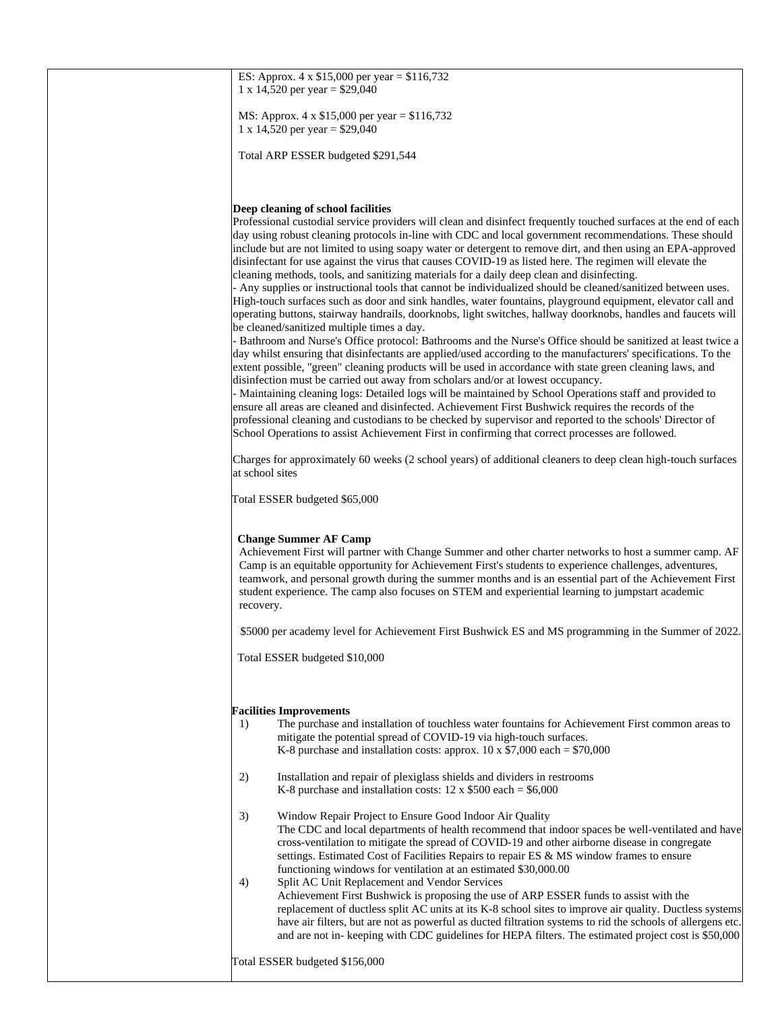| ES: Approx. $4 \times \$15,000$ per year = $\$116,732$<br>1 x 14,520 per year = $$29,040$                                                                                                                                                                                                                                                                                                                                                                                                                                                                                                                                                                                                                                                                                                                                                                                                                                                                                                                                                                                                                                                                                                                                                                                                                                                                                                                                                                                                                                                                                                                                                                                                                                |
|--------------------------------------------------------------------------------------------------------------------------------------------------------------------------------------------------------------------------------------------------------------------------------------------------------------------------------------------------------------------------------------------------------------------------------------------------------------------------------------------------------------------------------------------------------------------------------------------------------------------------------------------------------------------------------------------------------------------------------------------------------------------------------------------------------------------------------------------------------------------------------------------------------------------------------------------------------------------------------------------------------------------------------------------------------------------------------------------------------------------------------------------------------------------------------------------------------------------------------------------------------------------------------------------------------------------------------------------------------------------------------------------------------------------------------------------------------------------------------------------------------------------------------------------------------------------------------------------------------------------------------------------------------------------------------------------------------------------------|
| MS: Approx. 4 x \$15,000 per year = \$116,732<br>1 x 14,520 per year = $$29,040$                                                                                                                                                                                                                                                                                                                                                                                                                                                                                                                                                                                                                                                                                                                                                                                                                                                                                                                                                                                                                                                                                                                                                                                                                                                                                                                                                                                                                                                                                                                                                                                                                                         |
| Total ARP ESSER budgeted \$291,544                                                                                                                                                                                                                                                                                                                                                                                                                                                                                                                                                                                                                                                                                                                                                                                                                                                                                                                                                                                                                                                                                                                                                                                                                                                                                                                                                                                                                                                                                                                                                                                                                                                                                       |
| Deep cleaning of school facilities                                                                                                                                                                                                                                                                                                                                                                                                                                                                                                                                                                                                                                                                                                                                                                                                                                                                                                                                                                                                                                                                                                                                                                                                                                                                                                                                                                                                                                                                                                                                                                                                                                                                                       |
| Professional custodial service providers will clean and disinfect frequently touched surfaces at the end of each<br>day using robust cleaning protocols in-line with CDC and local government recommendations. These should<br>include but are not limited to using soapy water or detergent to remove dirt, and then using an EPA-approved<br>disinfectant for use against the virus that causes COVID-19 as listed here. The regimen will elevate the<br>cleaning methods, tools, and sanitizing materials for a daily deep clean and disinfecting.<br>- Any supplies or instructional tools that cannot be individualized should be cleaned/sanitized between uses.<br>High-touch surfaces such as door and sink handles, water fountains, playground equipment, elevator call and<br>operating buttons, stairway handrails, doorknobs, light switches, hallway doorknobs, handles and faucets will<br>be cleaned/sanitized multiple times a day.<br>- Bathroom and Nurse's Office protocol: Bathrooms and the Nurse's Office should be sanitized at least twice a<br>day whilst ensuring that disinfectants are applied/used according to the manufacturers' specifications. To the<br>extent possible, "green" cleaning products will be used in accordance with state green cleaning laws, and<br>disinfection must be carried out away from scholars and/or at lowest occupancy.<br>- Maintaining cleaning logs: Detailed logs will be maintained by School Operations staff and provided to<br>ensure all areas are cleaned and disinfected. Achievement First Bushwick requires the records of the<br>professional cleaning and custodians to be checked by supervisor and reported to the schools' Director of |
| School Operations to assist Achievement First in confirming that correct processes are followed.                                                                                                                                                                                                                                                                                                                                                                                                                                                                                                                                                                                                                                                                                                                                                                                                                                                                                                                                                                                                                                                                                                                                                                                                                                                                                                                                                                                                                                                                                                                                                                                                                         |
| Charges for approximately 60 weeks (2 school years) of additional cleaners to deep clean high-touch surfaces<br>at school sites                                                                                                                                                                                                                                                                                                                                                                                                                                                                                                                                                                                                                                                                                                                                                                                                                                                                                                                                                                                                                                                                                                                                                                                                                                                                                                                                                                                                                                                                                                                                                                                          |
| Total ESSER budgeted \$65,000                                                                                                                                                                                                                                                                                                                                                                                                                                                                                                                                                                                                                                                                                                                                                                                                                                                                                                                                                                                                                                                                                                                                                                                                                                                                                                                                                                                                                                                                                                                                                                                                                                                                                            |
| <b>Change Summer AF Camp</b><br>Achievement First will partner with Change Summer and other charter networks to host a summer camp. AF<br>Camp is an equitable opportunity for Achievement First's students to experience challenges, adventures,<br>teamwork, and personal growth during the summer months and is an essential part of the Achievement First<br>student experience. The camp also focuses on STEM and experiential learning to jumpstart academic<br>recovery.                                                                                                                                                                                                                                                                                                                                                                                                                                                                                                                                                                                                                                                                                                                                                                                                                                                                                                                                                                                                                                                                                                                                                                                                                                          |
| \$5000 per academy level for Achievement First Bushwick ES and MS programming in the Summer of 2022                                                                                                                                                                                                                                                                                                                                                                                                                                                                                                                                                                                                                                                                                                                                                                                                                                                                                                                                                                                                                                                                                                                                                                                                                                                                                                                                                                                                                                                                                                                                                                                                                      |
| Total ESSER budgeted \$10,000                                                                                                                                                                                                                                                                                                                                                                                                                                                                                                                                                                                                                                                                                                                                                                                                                                                                                                                                                                                                                                                                                                                                                                                                                                                                                                                                                                                                                                                                                                                                                                                                                                                                                            |
| <b>Facilities Improvements</b>                                                                                                                                                                                                                                                                                                                                                                                                                                                                                                                                                                                                                                                                                                                                                                                                                                                                                                                                                                                                                                                                                                                                                                                                                                                                                                                                                                                                                                                                                                                                                                                                                                                                                           |
| The purchase and installation of touchless water fountains for Achievement First common areas to<br>1)<br>mitigate the potential spread of COVID-19 via high-touch surfaces.<br>K-8 purchase and installation costs: approx. 10 x $$7,000$ each = \$70,000                                                                                                                                                                                                                                                                                                                                                                                                                                                                                                                                                                                                                                                                                                                                                                                                                                                                                                                                                                                                                                                                                                                                                                                                                                                                                                                                                                                                                                                               |
| 2)<br>Installation and repair of plexiglass shields and dividers in restrooms<br>K-8 purchase and installation costs: $12 \times $500$ each = \$6,000                                                                                                                                                                                                                                                                                                                                                                                                                                                                                                                                                                                                                                                                                                                                                                                                                                                                                                                                                                                                                                                                                                                                                                                                                                                                                                                                                                                                                                                                                                                                                                    |
| 3)<br>Window Repair Project to Ensure Good Indoor Air Quality<br>The CDC and local departments of health recommend that indoor spaces be well-ventilated and have<br>cross-ventilation to mitigate the spread of COVID-19 and other airborne disease in congregate<br>settings. Estimated Cost of Facilities Repairs to repair ES & MS window frames to ensure<br>functioning windows for ventilation at an estimated \$30,000.00<br>4)<br>Split AC Unit Replacement and Vendor Services                                                                                                                                                                                                                                                                                                                                                                                                                                                                                                                                                                                                                                                                                                                                                                                                                                                                                                                                                                                                                                                                                                                                                                                                                                 |
| Achievement First Bushwick is proposing the use of ARP ESSER funds to assist with the<br>replacement of ductless split AC units at its K-8 school sites to improve air quality. Ductless systems<br>have air filters, but are not as powerful as ducted filtration systems to rid the schools of allergens etc.<br>and are not in-keeping with CDC guidelines for HEPA filters. The estimated project cost is \$50,000                                                                                                                                                                                                                                                                                                                                                                                                                                                                                                                                                                                                                                                                                                                                                                                                                                                                                                                                                                                                                                                                                                                                                                                                                                                                                                   |
| Total ESSER budgeted \$156,000                                                                                                                                                                                                                                                                                                                                                                                                                                                                                                                                                                                                                                                                                                                                                                                                                                                                                                                                                                                                                                                                                                                                                                                                                                                                                                                                                                                                                                                                                                                                                                                                                                                                                           |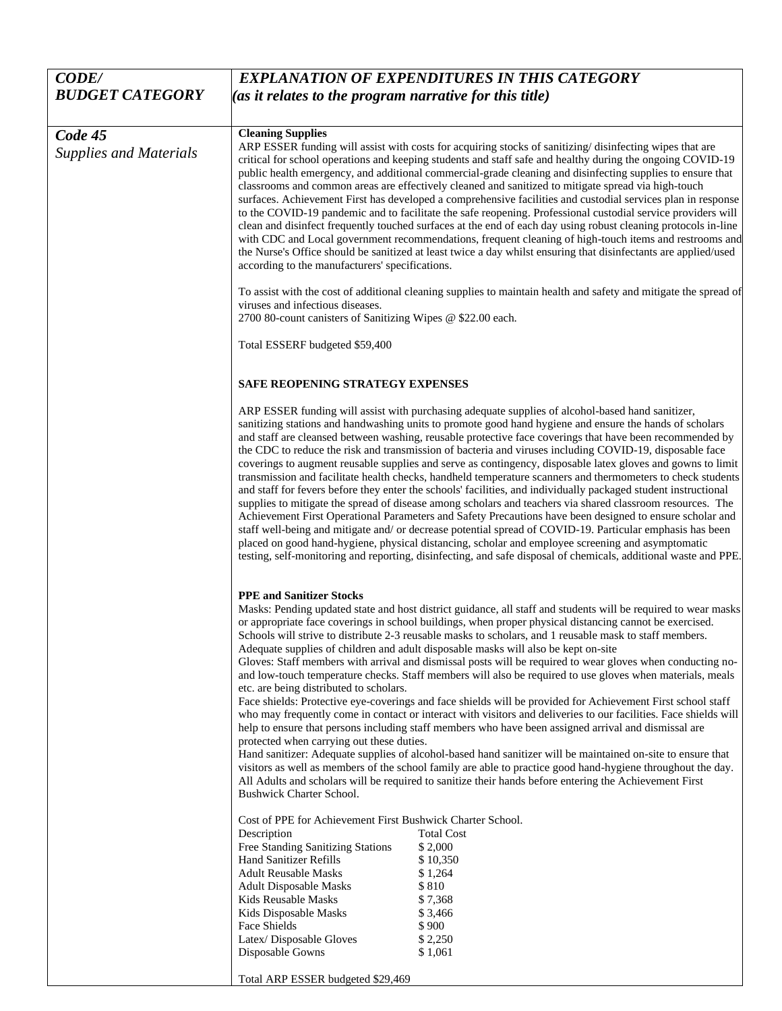| <b>CODE/</b>                             | <b>EXPLANATION OF EXPENDITURES IN THIS CATEGORY</b>                                                                                                                                                                                                                                                                                                                                                                                                                                                                                                                                                                                                                                                                                                                                                                                                                                                                                                                                                                                                                                                                                                                                                                                                                                                                                                                                                                                                                                                    |
|------------------------------------------|--------------------------------------------------------------------------------------------------------------------------------------------------------------------------------------------------------------------------------------------------------------------------------------------------------------------------------------------------------------------------------------------------------------------------------------------------------------------------------------------------------------------------------------------------------------------------------------------------------------------------------------------------------------------------------------------------------------------------------------------------------------------------------------------------------------------------------------------------------------------------------------------------------------------------------------------------------------------------------------------------------------------------------------------------------------------------------------------------------------------------------------------------------------------------------------------------------------------------------------------------------------------------------------------------------------------------------------------------------------------------------------------------------------------------------------------------------------------------------------------------------|
| <b>BUDGET CATEGORY</b>                   | (as it relates to the program narrative for this title)                                                                                                                                                                                                                                                                                                                                                                                                                                                                                                                                                                                                                                                                                                                                                                                                                                                                                                                                                                                                                                                                                                                                                                                                                                                                                                                                                                                                                                                |
|                                          |                                                                                                                                                                                                                                                                                                                                                                                                                                                                                                                                                                                                                                                                                                                                                                                                                                                                                                                                                                                                                                                                                                                                                                                                                                                                                                                                                                                                                                                                                                        |
| Code 45<br><b>Supplies and Materials</b> | <b>Cleaning Supplies</b><br>ARP ESSER funding will assist with costs for acquiring stocks of sanitizing/disinfecting wipes that are<br>critical for school operations and keeping students and staff safe and healthy during the ongoing COVID-19<br>public health emergency, and additional commercial-grade cleaning and disinfecting supplies to ensure that<br>classrooms and common areas are effectively cleaned and sanitized to mitigate spread via high-touch<br>surfaces. Achievement First has developed a comprehensive facilities and custodial services plan in response<br>to the COVID-19 pandemic and to facilitate the safe reopening. Professional custodial service providers will<br>clean and disinfect frequently touched surfaces at the end of each day using robust cleaning protocols in-line<br>with CDC and Local government recommendations, frequent cleaning of high-touch items and restrooms and<br>the Nurse's Office should be sanitized at least twice a day whilst ensuring that disinfectants are applied/used<br>according to the manufacturers' specifications.                                                                                                                                                                                                                                                                                                                                                                                               |
|                                          | To assist with the cost of additional cleaning supplies to maintain health and safety and mitigate the spread of<br>viruses and infectious diseases.<br>2700 80-count canisters of Sanitizing Wipes @ \$22.00 each.                                                                                                                                                                                                                                                                                                                                                                                                                                                                                                                                                                                                                                                                                                                                                                                                                                                                                                                                                                                                                                                                                                                                                                                                                                                                                    |
|                                          | Total ESSERF budgeted \$59,400                                                                                                                                                                                                                                                                                                                                                                                                                                                                                                                                                                                                                                                                                                                                                                                                                                                                                                                                                                                                                                                                                                                                                                                                                                                                                                                                                                                                                                                                         |
|                                          | <b>SAFE REOPENING STRATEGY EXPENSES</b>                                                                                                                                                                                                                                                                                                                                                                                                                                                                                                                                                                                                                                                                                                                                                                                                                                                                                                                                                                                                                                                                                                                                                                                                                                                                                                                                                                                                                                                                |
|                                          | ARP ESSER funding will assist with purchasing adequate supplies of alcohol-based hand sanitizer,<br>sanitizing stations and handwashing units to promote good hand hygiene and ensure the hands of scholars<br>and staff are cleansed between washing, reusable protective face coverings that have been recommended by<br>the CDC to reduce the risk and transmission of bacteria and viruses including COVID-19, disposable face<br>coverings to augment reusable supplies and serve as contingency, disposable latex gloves and gowns to limit<br>transmission and facilitate health checks, handheld temperature scanners and thermometers to check students<br>and staff for fevers before they enter the schools' facilities, and individually packaged student instructional<br>supplies to mitigate the spread of disease among scholars and teachers via shared classroom resources. The<br>Achievement First Operational Parameters and Safety Precautions have been designed to ensure scholar and<br>staff well-being and mitigate and/ or decrease potential spread of COVID-19. Particular emphasis has been<br>placed on good hand-hygiene, physical distancing, scholar and employee screening and asymptomatic<br>testing, self-monitoring and reporting, disinfecting, and safe disposal of chemicals, additional waste and PPE.                                                                                                                                                     |
|                                          | <b>PPE</b> and Sanitizer Stocks<br>Masks: Pending updated state and host district guidance, all staff and students will be required to wear masks<br>or appropriate face coverings in school buildings, when proper physical distancing cannot be exercised.<br>Schools will strive to distribute 2-3 reusable masks to scholars, and 1 reusable mask to staff members.<br>Adequate supplies of children and adult disposable masks will also be kept on-site<br>Gloves: Staff members with arrival and dismissal posts will be required to wear gloves when conducting no-<br>and low-touch temperature checks. Staff members will also be required to use gloves when materials, meals<br>etc. are being distributed to scholars.<br>Face shields: Protective eye-coverings and face shields will be provided for Achievement First school staff<br>who may frequently come in contact or interact with visitors and deliveries to our facilities. Face shields will<br>help to ensure that persons including staff members who have been assigned arrival and dismissal are<br>protected when carrying out these duties.<br>Hand sanitizer: Adequate supplies of alcohol-based hand sanitizer will be maintained on-site to ensure that<br>visitors as well as members of the school family are able to practice good hand-hygiene throughout the day.<br>All Adults and scholars will be required to sanitize their hands before entering the Achievement First<br><b>Bushwick Charter School.</b> |
|                                          | Cost of PPE for Achievement First Bushwick Charter School.<br><b>Total Cost</b><br>Description<br>Free Standing Sanitizing Stations<br>\$2,000<br>Hand Sanitizer Refills<br>\$10,350<br><b>Adult Reusable Masks</b><br>\$1,264<br>\$810<br><b>Adult Disposable Masks</b><br>\$7,368<br>Kids Reusable Masks<br>Kids Disposable Masks<br>\$3,466<br>Face Shields<br>\$900<br>Latex/Disposable Gloves<br>\$2,250<br>Disposable Gowns<br>\$1,061<br>Total ARP ESSER budgeted \$29,469                                                                                                                                                                                                                                                                                                                                                                                                                                                                                                                                                                                                                                                                                                                                                                                                                                                                                                                                                                                                                      |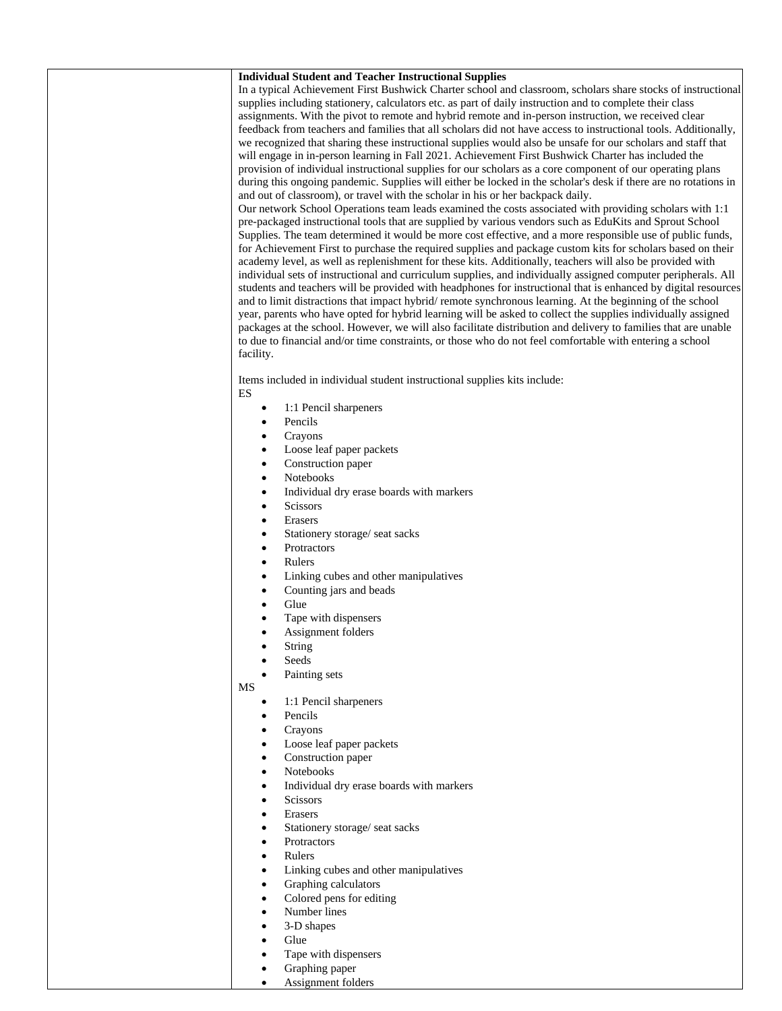| <b>Individual Student and Teacher Instructional Supplies</b>                                                                                                                                                                    |
|---------------------------------------------------------------------------------------------------------------------------------------------------------------------------------------------------------------------------------|
| In a typical Achievement First Bushwick Charter school and classroom, scholars share stocks of instructional                                                                                                                    |
| supplies including stationery, calculators etc. as part of daily instruction and to complete their class                                                                                                                        |
| assignments. With the pivot to remote and hybrid remote and in-person instruction, we received clear                                                                                                                            |
| feedback from teachers and families that all scholars did not have access to instructional tools. Additionally,                                                                                                                 |
| we recognized that sharing these instructional supplies would also be unsafe for our scholars and staff that<br>will engage in in-person learning in Fall 2021. Achievement First Bushwick Charter has included the             |
| provision of individual instructional supplies for our scholars as a core component of our operating plans                                                                                                                      |
| during this ongoing pandemic. Supplies will either be locked in the scholar's desk if there are no rotations in                                                                                                                 |
| and out of classroom), or travel with the scholar in his or her backpack daily.                                                                                                                                                 |
| Our network School Operations team leads examined the costs associated with providing scholars with 1:1                                                                                                                         |
| pre-packaged instructional tools that are supplied by various vendors such as EduKits and Sprout School                                                                                                                         |
| Supplies. The team determined it would be more cost effective, and a more responsible use of public funds,                                                                                                                      |
| for Achievement First to purchase the required supplies and package custom kits for scholars based on their                                                                                                                     |
| academy level, as well as replenishment for these kits. Additionally, teachers will also be provided with                                                                                                                       |
| individual sets of instructional and curriculum supplies, and individually assigned computer peripherals. All<br>students and teachers will be provided with headphones for instructional that is enhanced by digital resources |
| and to limit distractions that impact hybrid/remote synchronous learning. At the beginning of the school                                                                                                                        |
| year, parents who have opted for hybrid learning will be asked to collect the supplies individually assigned                                                                                                                    |
| packages at the school. However, we will also facilitate distribution and delivery to families that are unable                                                                                                                  |
| to due to financial and/or time constraints, or those who do not feel comfortable with entering a school                                                                                                                        |
| facility.                                                                                                                                                                                                                       |
|                                                                                                                                                                                                                                 |
| Items included in individual student instructional supplies kits include:                                                                                                                                                       |
| ES                                                                                                                                                                                                                              |
| 1:1 Pencil sharpeners<br>٠<br>Pencils<br>٠                                                                                                                                                                                      |
| Crayons<br>$\bullet$                                                                                                                                                                                                            |
| Loose leaf paper packets<br>$\bullet$                                                                                                                                                                                           |
| Construction paper<br>٠                                                                                                                                                                                                         |
| <b>Notebooks</b><br>٠                                                                                                                                                                                                           |
| Individual dry erase boards with markers<br>$\bullet$                                                                                                                                                                           |
| Scissors<br>$\bullet$                                                                                                                                                                                                           |
| Erasers<br>$\bullet$                                                                                                                                                                                                            |
| Stationery storage/ seat sacks<br>$\bullet$                                                                                                                                                                                     |
| Protractors<br>٠                                                                                                                                                                                                                |
| Rulers<br>$\bullet$                                                                                                                                                                                                             |
| Linking cubes and other manipulatives<br>$\bullet$                                                                                                                                                                              |
| Counting jars and beads<br>$\bullet$                                                                                                                                                                                            |
| Glue<br>$\bullet$                                                                                                                                                                                                               |
| Tape with dispensers<br>$\bullet$<br>Assignment folders<br>ò                                                                                                                                                                    |
| String                                                                                                                                                                                                                          |
| Seeds                                                                                                                                                                                                                           |
| Painting sets                                                                                                                                                                                                                   |
| MS                                                                                                                                                                                                                              |
| 1:1 Pencil sharpeners<br>$\bullet$                                                                                                                                                                                              |
| Pencils                                                                                                                                                                                                                         |
| Crayons                                                                                                                                                                                                                         |
| Loose leaf paper packets                                                                                                                                                                                                        |
| Construction paper<br>$\bullet$                                                                                                                                                                                                 |
| Notebooks<br>٠                                                                                                                                                                                                                  |
| Individual dry erase boards with markers<br>٠                                                                                                                                                                                   |
| <b>Scissors</b><br>٠                                                                                                                                                                                                            |
| Erasers<br>٠<br>Stationery storage/ seat sacks                                                                                                                                                                                  |
| Protractors<br>$\bullet$                                                                                                                                                                                                        |
| Rulers<br>$\bullet$                                                                                                                                                                                                             |
| Linking cubes and other manipulatives<br>$\bullet$                                                                                                                                                                              |
| Graphing calculators                                                                                                                                                                                                            |
| Colored pens for editing                                                                                                                                                                                                        |
| Number lines                                                                                                                                                                                                                    |
| 3-D shapes<br>$\bullet$                                                                                                                                                                                                         |
| Glue<br>$\bullet$                                                                                                                                                                                                               |
| Tape with dispensers<br>$\bullet$                                                                                                                                                                                               |
| Graphing paper                                                                                                                                                                                                                  |
| Assignment folders                                                                                                                                                                                                              |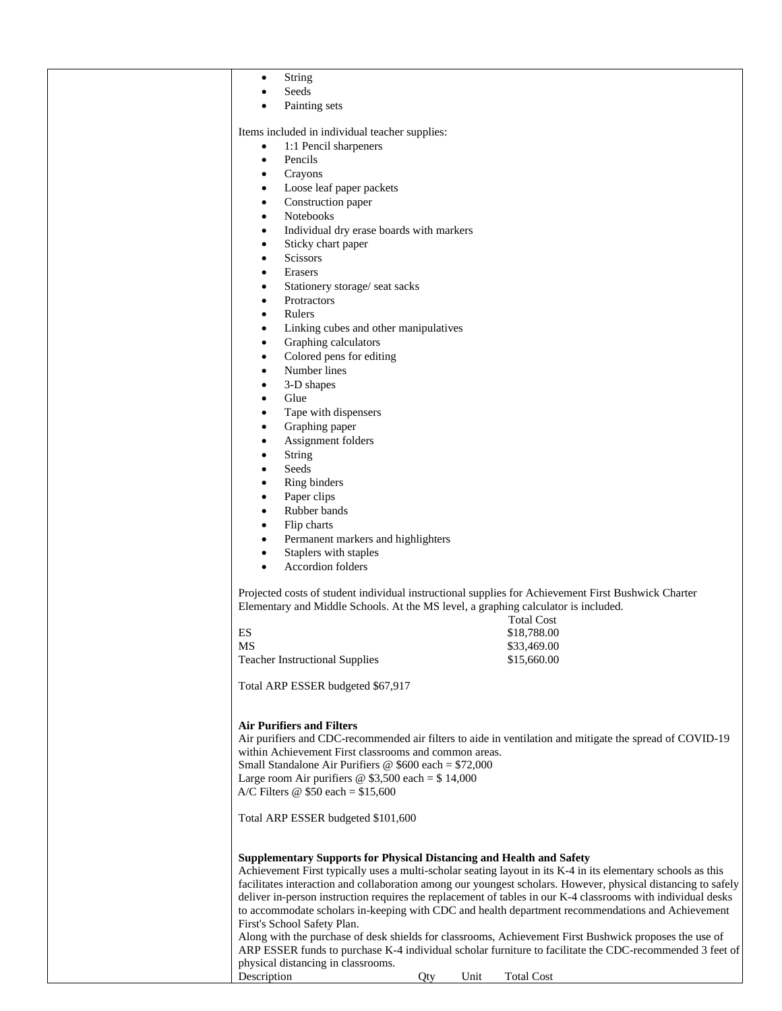| String<br>٠                                                                               |                                                                                                                                                                                                                                                                                                                                                                                                                                                                                                                                   |
|-------------------------------------------------------------------------------------------|-----------------------------------------------------------------------------------------------------------------------------------------------------------------------------------------------------------------------------------------------------------------------------------------------------------------------------------------------------------------------------------------------------------------------------------------------------------------------------------------------------------------------------------|
| Seeds                                                                                     |                                                                                                                                                                                                                                                                                                                                                                                                                                                                                                                                   |
|                                                                                           |                                                                                                                                                                                                                                                                                                                                                                                                                                                                                                                                   |
| Painting sets                                                                             |                                                                                                                                                                                                                                                                                                                                                                                                                                                                                                                                   |
|                                                                                           |                                                                                                                                                                                                                                                                                                                                                                                                                                                                                                                                   |
| Items included in individual teacher supplies:                                            |                                                                                                                                                                                                                                                                                                                                                                                                                                                                                                                                   |
| 1:1 Pencil sharpeners<br>$\bullet$                                                        |                                                                                                                                                                                                                                                                                                                                                                                                                                                                                                                                   |
| Pencils<br>$\bullet$                                                                      |                                                                                                                                                                                                                                                                                                                                                                                                                                                                                                                                   |
| Crayons<br>$\bullet$                                                                      |                                                                                                                                                                                                                                                                                                                                                                                                                                                                                                                                   |
| Loose leaf paper packets<br>$\bullet$                                                     |                                                                                                                                                                                                                                                                                                                                                                                                                                                                                                                                   |
| Construction paper                                                                        |                                                                                                                                                                                                                                                                                                                                                                                                                                                                                                                                   |
| $\bullet$                                                                                 |                                                                                                                                                                                                                                                                                                                                                                                                                                                                                                                                   |
| Notebooks<br>٠                                                                            |                                                                                                                                                                                                                                                                                                                                                                                                                                                                                                                                   |
| Individual dry erase boards with markers<br>$\bullet$                                     |                                                                                                                                                                                                                                                                                                                                                                                                                                                                                                                                   |
| Sticky chart paper<br>$\bullet$                                                           |                                                                                                                                                                                                                                                                                                                                                                                                                                                                                                                                   |
| <b>Scissors</b><br>$\bullet$                                                              |                                                                                                                                                                                                                                                                                                                                                                                                                                                                                                                                   |
| Erasers<br>$\bullet$                                                                      |                                                                                                                                                                                                                                                                                                                                                                                                                                                                                                                                   |
| Stationery storage/ seat sacks<br>$\bullet$                                               |                                                                                                                                                                                                                                                                                                                                                                                                                                                                                                                                   |
|                                                                                           |                                                                                                                                                                                                                                                                                                                                                                                                                                                                                                                                   |
| Protractors<br>٠                                                                          |                                                                                                                                                                                                                                                                                                                                                                                                                                                                                                                                   |
| Rulers<br>$\bullet$                                                                       |                                                                                                                                                                                                                                                                                                                                                                                                                                                                                                                                   |
| Linking cubes and other manipulatives<br>$\bullet$                                        |                                                                                                                                                                                                                                                                                                                                                                                                                                                                                                                                   |
| Graphing calculators<br>$\bullet$                                                         |                                                                                                                                                                                                                                                                                                                                                                                                                                                                                                                                   |
| Colored pens for editing<br>$\bullet$                                                     |                                                                                                                                                                                                                                                                                                                                                                                                                                                                                                                                   |
| Number lines                                                                              |                                                                                                                                                                                                                                                                                                                                                                                                                                                                                                                                   |
| $\bullet$                                                                                 |                                                                                                                                                                                                                                                                                                                                                                                                                                                                                                                                   |
| 3-D shapes<br>٠                                                                           |                                                                                                                                                                                                                                                                                                                                                                                                                                                                                                                                   |
| Glue<br>$\bullet$                                                                         |                                                                                                                                                                                                                                                                                                                                                                                                                                                                                                                                   |
| Tape with dispensers<br>$\bullet$                                                         |                                                                                                                                                                                                                                                                                                                                                                                                                                                                                                                                   |
| Graphing paper<br>$\bullet$                                                               |                                                                                                                                                                                                                                                                                                                                                                                                                                                                                                                                   |
| Assignment folders<br>$\bullet$                                                           |                                                                                                                                                                                                                                                                                                                                                                                                                                                                                                                                   |
| <b>String</b><br>$\bullet$                                                                |                                                                                                                                                                                                                                                                                                                                                                                                                                                                                                                                   |
|                                                                                           |                                                                                                                                                                                                                                                                                                                                                                                                                                                                                                                                   |
| Seeds<br>٠                                                                                |                                                                                                                                                                                                                                                                                                                                                                                                                                                                                                                                   |
| Ring binders<br>٠                                                                         |                                                                                                                                                                                                                                                                                                                                                                                                                                                                                                                                   |
| Paper clips<br>$\bullet$                                                                  |                                                                                                                                                                                                                                                                                                                                                                                                                                                                                                                                   |
| Rubber bands<br>$\bullet$                                                                 |                                                                                                                                                                                                                                                                                                                                                                                                                                                                                                                                   |
| Flip charts<br>$\bullet$                                                                  |                                                                                                                                                                                                                                                                                                                                                                                                                                                                                                                                   |
|                                                                                           |                                                                                                                                                                                                                                                                                                                                                                                                                                                                                                                                   |
| Permanent markers and highlighters<br>$\bullet$                                           |                                                                                                                                                                                                                                                                                                                                                                                                                                                                                                                                   |
| Staplers with staples<br>$\bullet$                                                        |                                                                                                                                                                                                                                                                                                                                                                                                                                                                                                                                   |
| <b>Accordion</b> folders<br>$\bullet$                                                     |                                                                                                                                                                                                                                                                                                                                                                                                                                                                                                                                   |
|                                                                                           |                                                                                                                                                                                                                                                                                                                                                                                                                                                                                                                                   |
|                                                                                           | Projected costs of student individual instructional supplies for Achievement First Bushwick Charter                                                                                                                                                                                                                                                                                                                                                                                                                               |
|                                                                                           | Elementary and Middle Schools. At the MS level, a graphing calculator is included.                                                                                                                                                                                                                                                                                                                                                                                                                                                |
|                                                                                           | <b>Total Cost</b>                                                                                                                                                                                                                                                                                                                                                                                                                                                                                                                 |
| ES                                                                                        |                                                                                                                                                                                                                                                                                                                                                                                                                                                                                                                                   |
|                                                                                           | \$18,788.00                                                                                                                                                                                                                                                                                                                                                                                                                                                                                                                       |
| MS                                                                                        | \$33,469.00                                                                                                                                                                                                                                                                                                                                                                                                                                                                                                                       |
| <b>Teacher Instructional Supplies</b>                                                     | \$15,660.00                                                                                                                                                                                                                                                                                                                                                                                                                                                                                                                       |
|                                                                                           |                                                                                                                                                                                                                                                                                                                                                                                                                                                                                                                                   |
| Total ARP ESSER budgeted \$67,917                                                         |                                                                                                                                                                                                                                                                                                                                                                                                                                                                                                                                   |
|                                                                                           |                                                                                                                                                                                                                                                                                                                                                                                                                                                                                                                                   |
| <b>Air Purifiers and Filters</b><br>within Achievement First classrooms and common areas. | Air purifiers and CDC-recommended air filters to aide in ventilation and mitigate the spread of COVID-19                                                                                                                                                                                                                                                                                                                                                                                                                          |
| Small Standalone Air Purifiers $\omega$ \$600 each = \$72,000                             |                                                                                                                                                                                                                                                                                                                                                                                                                                                                                                                                   |
|                                                                                           |                                                                                                                                                                                                                                                                                                                                                                                                                                                                                                                                   |
| Large room Air purifiers $\circledcirc$ \$3,500 each = \$14,000                           |                                                                                                                                                                                                                                                                                                                                                                                                                                                                                                                                   |
| A/C Filters $\omega$ \$50 each = \$15,600                                                 |                                                                                                                                                                                                                                                                                                                                                                                                                                                                                                                                   |
|                                                                                           |                                                                                                                                                                                                                                                                                                                                                                                                                                                                                                                                   |
| Total ARP ESSER budgeted \$101,600                                                        |                                                                                                                                                                                                                                                                                                                                                                                                                                                                                                                                   |
|                                                                                           |                                                                                                                                                                                                                                                                                                                                                                                                                                                                                                                                   |
| First's School Safety Plan.                                                               | <b>Supplementary Supports for Physical Distancing and Health and Safety</b><br>Achievement First typically uses a multi-scholar seating layout in its K-4 in its elementary schools as this<br>facilitates interaction and collaboration among our youngest scholars. However, physical distancing to safely<br>deliver in-person instruction requires the replacement of tables in our K-4 classrooms with individual desks<br>to accommodate scholars in-keeping with CDC and health department recommendations and Achievement |
|                                                                                           | Along with the purchase of desk shields for classrooms, Achievement First Bushwick proposes the use of                                                                                                                                                                                                                                                                                                                                                                                                                            |
|                                                                                           | ARP ESSER funds to purchase K-4 individual scholar furniture to facilitate the CDC-recommended 3 feet of                                                                                                                                                                                                                                                                                                                                                                                                                          |
| physical distancing in classrooms.                                                        |                                                                                                                                                                                                                                                                                                                                                                                                                                                                                                                                   |
| Description                                                                               | Unit<br><b>Total Cost</b><br>Qty                                                                                                                                                                                                                                                                                                                                                                                                                                                                                                  |
|                                                                                           |                                                                                                                                                                                                                                                                                                                                                                                                                                                                                                                                   |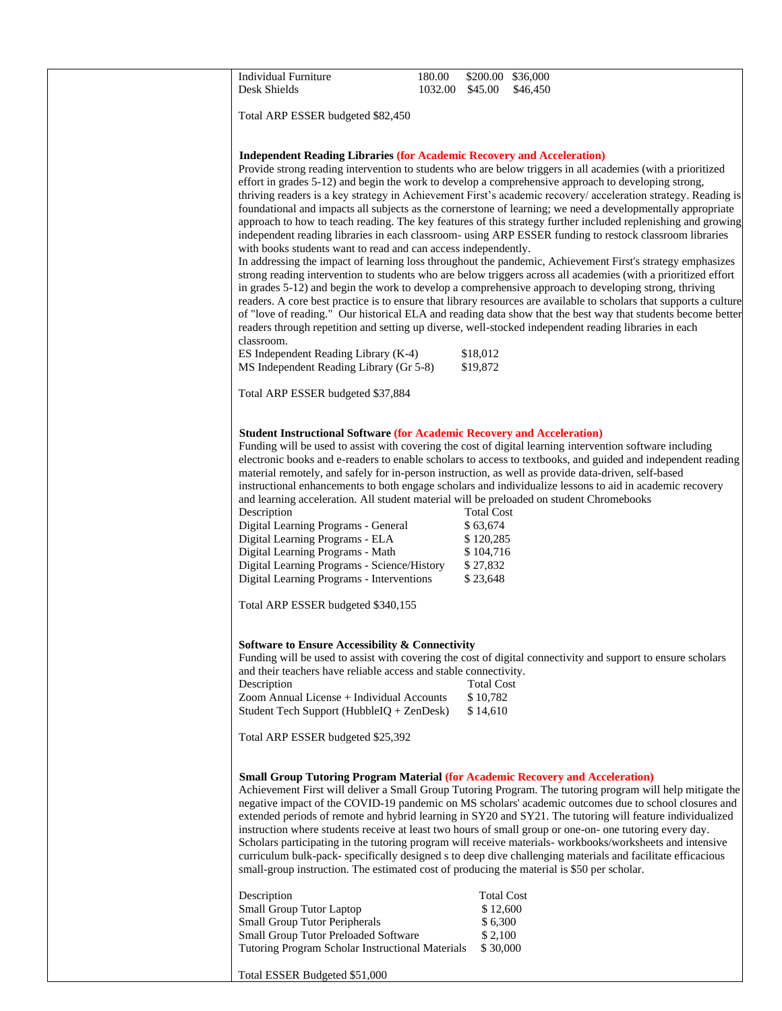| <b>Individual Furniture</b><br>Desk Shields                                                                                                                                                                                                                                                                                                                                                                                                                    | 180.00<br>1032.00 | \$200.00 \$36,000<br>\$45.00                                                    | \$46,450                                                                                                                                                                                                                                                                                                                                                                                                                                                                                                                                                                                                                                                                                                                                                                                                                                                                                                                                                                                                                                                                                                                                                                                                                                                                                                                                                                 |
|----------------------------------------------------------------------------------------------------------------------------------------------------------------------------------------------------------------------------------------------------------------------------------------------------------------------------------------------------------------------------------------------------------------------------------------------------------------|-------------------|---------------------------------------------------------------------------------|--------------------------------------------------------------------------------------------------------------------------------------------------------------------------------------------------------------------------------------------------------------------------------------------------------------------------------------------------------------------------------------------------------------------------------------------------------------------------------------------------------------------------------------------------------------------------------------------------------------------------------------------------------------------------------------------------------------------------------------------------------------------------------------------------------------------------------------------------------------------------------------------------------------------------------------------------------------------------------------------------------------------------------------------------------------------------------------------------------------------------------------------------------------------------------------------------------------------------------------------------------------------------------------------------------------------------------------------------------------------------|
| Total ARP ESSER budgeted \$82,450                                                                                                                                                                                                                                                                                                                                                                                                                              |                   |                                                                                 |                                                                                                                                                                                                                                                                                                                                                                                                                                                                                                                                                                                                                                                                                                                                                                                                                                                                                                                                                                                                                                                                                                                                                                                                                                                                                                                                                                          |
| <b>Independent Reading Libraries (for Academic Recovery and Acceleration)</b><br>with books students want to read and can access independently.<br>classroom.<br>ES Independent Reading Library (K-4)<br>MS Independent Reading Library (Gr 5-8)                                                                                                                                                                                                               |                   | \$18,012<br>\$19,872                                                            | Provide strong reading intervention to students who are below triggers in all academies (with a prioritized<br>effort in grades 5-12) and begin the work to develop a comprehensive approach to developing strong,<br>thriving readers is a key strategy in Achievement First's academic recovery/ acceleration strategy. Reading is<br>foundational and impacts all subjects as the cornerstone of learning; we need a developmentally appropriate<br>approach to how to teach reading. The key features of this strategy further included replenishing and growing<br>independent reading libraries in each classroom- using ARP ESSER funding to restock classroom libraries<br>In addressing the impact of learning loss throughout the pandemic, Achievement First's strategy emphasizes<br>strong reading intervention to students who are below triggers across all academies (with a prioritized effort<br>in grades 5-12) and begin the work to develop a comprehensive approach to developing strong, thriving<br>readers. A core best practice is to ensure that library resources are available to scholars that supports a culture<br>of "love of reading." Our historical ELA and reading data show that the best way that students become better<br>readers through repetition and setting up diverse, well-stocked independent reading libraries in each |
|                                                                                                                                                                                                                                                                                                                                                                                                                                                                |                   |                                                                                 |                                                                                                                                                                                                                                                                                                                                                                                                                                                                                                                                                                                                                                                                                                                                                                                                                                                                                                                                                                                                                                                                                                                                                                                                                                                                                                                                                                          |
| Total ARP ESSER budgeted \$37,884<br><b>Student Instructional Software (for Academic Recovery and Acceleration)</b>                                                                                                                                                                                                                                                                                                                                            |                   |                                                                                 |                                                                                                                                                                                                                                                                                                                                                                                                                                                                                                                                                                                                                                                                                                                                                                                                                                                                                                                                                                                                                                                                                                                                                                                                                                                                                                                                                                          |
| material remotely, and safely for in-person instruction, as well as provide data-driven, self-based<br>and learning acceleration. All student material will be preloaded on student Chromebooks<br>Description<br>Digital Learning Programs - General<br>Digital Learning Programs - ELA<br>Digital Learning Programs - Math<br>Digital Learning Programs - Science/History<br>Digital Learning Programs - Interventions<br>Total ARP ESSER budgeted \$340,155 |                   | <b>Total Cost</b><br>\$63,674<br>\$120,285<br>\$104,716<br>\$27,832<br>\$23,648 | Funding will be used to assist with covering the cost of digital learning intervention software including<br>electronic books and e-readers to enable scholars to access to textbooks, and guided and independent reading<br>instructional enhancements to both engage scholars and individualize lessons to aid in academic recovery                                                                                                                                                                                                                                                                                                                                                                                                                                                                                                                                                                                                                                                                                                                                                                                                                                                                                                                                                                                                                                    |
| <b>Software to Ensure Accessibility &amp; Connectivity</b><br>and their teachers have reliable access and stable connectivity.<br>Description<br>Zoom Annual License + Individual Accounts<br>Student Tech Support (HubbleIQ + ZenDesk)<br>Total ARP ESSER budgeted \$25,392                                                                                                                                                                                   |                   | <b>Total Cost</b><br>\$10,782<br>\$14,610                                       | Funding will be used to assist with covering the cost of digital connectivity and support to ensure scholars                                                                                                                                                                                                                                                                                                                                                                                                                                                                                                                                                                                                                                                                                                                                                                                                                                                                                                                                                                                                                                                                                                                                                                                                                                                             |
| <b>Small Group Tutoring Program Material (for Academic Recovery and Acceleration)</b><br>small-group instruction. The estimated cost of producing the material is \$50 per scholar.<br>Description<br><b>Small Group Tutor Laptop</b>                                                                                                                                                                                                                          |                   | <b>Total Cost</b><br>\$12,600                                                   | Achievement First will deliver a Small Group Tutoring Program. The tutoring program will help mitigate the<br>negative impact of the COVID-19 pandemic on MS scholars' academic outcomes due to school closures and<br>extended periods of remote and hybrid learning in SY20 and SY21. The tutoring will feature individualized<br>instruction where students receive at least two hours of small group or one-on- one tutoring every day.<br>Scholars participating in the tutoring program will receive materials-workbooks/worksheets and intensive<br>curriculum bulk-pack- specifically designed s to deep dive challenging materials and facilitate efficacious                                                                                                                                                                                                                                                                                                                                                                                                                                                                                                                                                                                                                                                                                                   |
| Small Group Tutor Peripherals<br>Small Group Tutor Preloaded Software<br>Tutoring Program Scholar Instructional Materials<br>Total ESSER Budgeted \$51,000                                                                                                                                                                                                                                                                                                     |                   | \$6,300<br>\$2,100<br>\$30,000                                                  |                                                                                                                                                                                                                                                                                                                                                                                                                                                                                                                                                                                                                                                                                                                                                                                                                                                                                                                                                                                                                                                                                                                                                                                                                                                                                                                                                                          |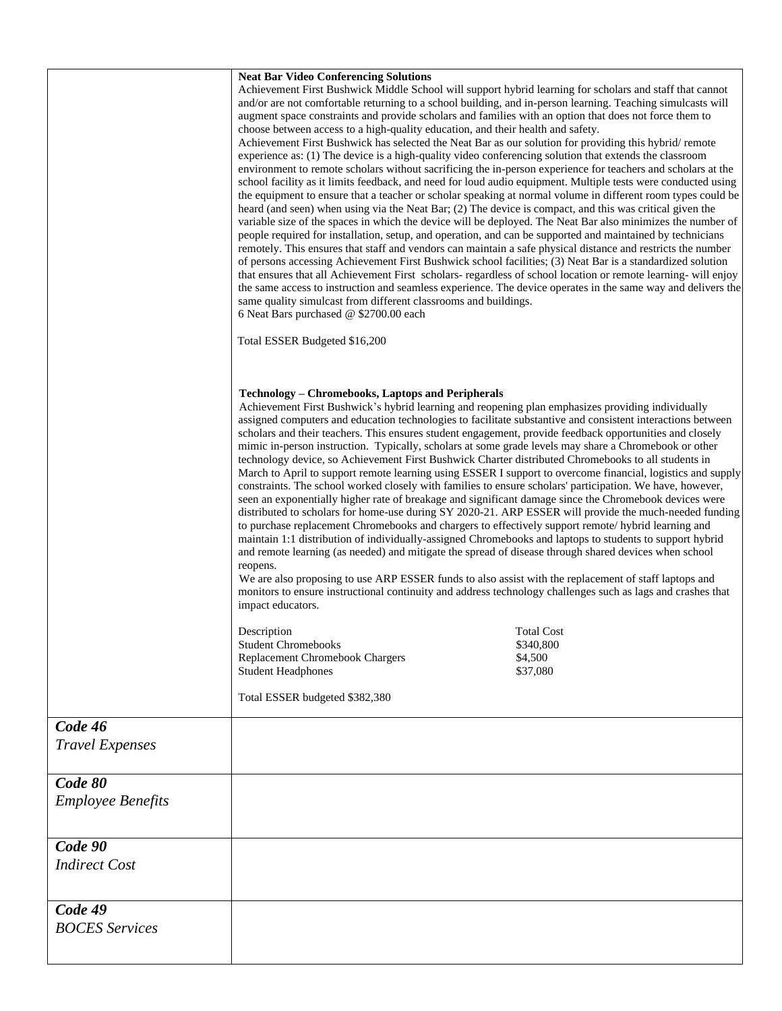|                          | <b>Neat Bar Video Conferencing Solutions</b>                                                                                                                                                                             |                   |  |  |
|--------------------------|--------------------------------------------------------------------------------------------------------------------------------------------------------------------------------------------------------------------------|-------------------|--|--|
|                          | Achievement First Bushwick Middle School will support hybrid learning for scholars and staff that cannot                                                                                                                 |                   |  |  |
|                          | and/or are not comfortable returning to a school building, and in-person learning. Teaching simulcasts will                                                                                                              |                   |  |  |
|                          | augment space constraints and provide scholars and families with an option that does not force them to                                                                                                                   |                   |  |  |
|                          | choose between access to a high-quality education, and their health and safety.                                                                                                                                          |                   |  |  |
|                          | Achievement First Bushwick has selected the Neat Bar as our solution for providing this hybrid/remote                                                                                                                    |                   |  |  |
|                          | experience as: (1) The device is a high-quality video conferencing solution that extends the classroom                                                                                                                   |                   |  |  |
|                          | environment to remote scholars without sacrificing the in-person experience for teachers and scholars at the                                                                                                             |                   |  |  |
|                          | school facility as it limits feedback, and need for loud audio equipment. Multiple tests were conducted using                                                                                                            |                   |  |  |
|                          | the equipment to ensure that a teacher or scholar speaking at normal volume in different room types could be                                                                                                             |                   |  |  |
|                          | heard (and seen) when using via the Neat Bar; (2) The device is compact, and this was critical given the<br>variable size of the spaces in which the device will be deployed. The Neat Bar also minimizes the number of  |                   |  |  |
|                          | people required for installation, setup, and operation, and can be supported and maintained by technicians                                                                                                               |                   |  |  |
|                          | remotely. This ensures that staff and vendors can maintain a safe physical distance and restricts the number                                                                                                             |                   |  |  |
|                          | of persons accessing Achievement First Bushwick school facilities; (3) Neat Bar is a standardized solution                                                                                                               |                   |  |  |
|                          | that ensures that all Achievement First scholars-regardless of school location or remote learning- will enjoy                                                                                                            |                   |  |  |
|                          | the same access to instruction and seamless experience. The device operates in the same way and delivers the                                                                                                             |                   |  |  |
|                          | same quality simulcast from different classrooms and buildings.                                                                                                                                                          |                   |  |  |
|                          | 6 Neat Bars purchased @ \$2700.00 each                                                                                                                                                                                   |                   |  |  |
|                          | Total ESSER Budgeted \$16,200                                                                                                                                                                                            |                   |  |  |
|                          |                                                                                                                                                                                                                          |                   |  |  |
|                          | <b>Technology – Chromebooks, Laptops and Peripherals</b>                                                                                                                                                                 |                   |  |  |
|                          | Achievement First Bushwick's hybrid learning and reopening plan emphasizes providing individually                                                                                                                        |                   |  |  |
|                          | assigned computers and education technologies to facilitate substantive and consistent interactions between                                                                                                              |                   |  |  |
|                          | scholars and their teachers. This ensures student engagement, provide feedback opportunities and closely                                                                                                                 |                   |  |  |
|                          | mimic in-person instruction. Typically, scholars at some grade levels may share a Chromebook or other                                                                                                                    |                   |  |  |
|                          | technology device, so Achievement First Bushwick Charter distributed Chromebooks to all students in                                                                                                                      |                   |  |  |
|                          | March to April to support remote learning using ESSER I support to overcome financial, logistics and supply<br>constraints. The school worked closely with families to ensure scholars' participation. We have, however, |                   |  |  |
|                          | seen an exponentially higher rate of breakage and significant damage since the Chromebook devices were                                                                                                                   |                   |  |  |
|                          | distributed to scholars for home-use during SY 2020-21. ARP ESSER will provide the much-needed funding                                                                                                                   |                   |  |  |
|                          | to purchase replacement Chromebooks and chargers to effectively support remote/ hybrid learning and                                                                                                                      |                   |  |  |
|                          | maintain 1:1 distribution of individually-assigned Chromebooks and laptops to students to support hybrid                                                                                                                 |                   |  |  |
|                          | and remote learning (as needed) and mitigate the spread of disease through shared devices when school                                                                                                                    |                   |  |  |
|                          | reopens.                                                                                                                                                                                                                 |                   |  |  |
|                          | We are also proposing to use ARP ESSER funds to also assist with the replacement of staff laptops and                                                                                                                    |                   |  |  |
|                          | monitors to ensure instructional continuity and address technology challenges such as lags and crashes that<br>impact educators.                                                                                         |                   |  |  |
|                          |                                                                                                                                                                                                                          |                   |  |  |
|                          | Description                                                                                                                                                                                                              | <b>Total Cost</b> |  |  |
|                          | <b>Student Chromebooks</b>                                                                                                                                                                                               | \$340,800         |  |  |
|                          | Replacement Chromebook Chargers                                                                                                                                                                                          | \$4,500           |  |  |
|                          | <b>Student Headphones</b>                                                                                                                                                                                                | \$37,080          |  |  |
|                          | Total ESSER budgeted \$382,380                                                                                                                                                                                           |                   |  |  |
|                          |                                                                                                                                                                                                                          |                   |  |  |
| Code 46                  |                                                                                                                                                                                                                          |                   |  |  |
| <b>Travel Expenses</b>   |                                                                                                                                                                                                                          |                   |  |  |
|                          |                                                                                                                                                                                                                          |                   |  |  |
| Code 80                  |                                                                                                                                                                                                                          |                   |  |  |
| <b>Employee Benefits</b> |                                                                                                                                                                                                                          |                   |  |  |
|                          |                                                                                                                                                                                                                          |                   |  |  |
|                          |                                                                                                                                                                                                                          |                   |  |  |
| Code 90                  |                                                                                                                                                                                                                          |                   |  |  |
| <b>Indirect Cost</b>     |                                                                                                                                                                                                                          |                   |  |  |
|                          |                                                                                                                                                                                                                          |                   |  |  |
| Code 49                  |                                                                                                                                                                                                                          |                   |  |  |
| <b>BOCES</b> Services    |                                                                                                                                                                                                                          |                   |  |  |
|                          |                                                                                                                                                                                                                          |                   |  |  |
|                          |                                                                                                                                                                                                                          |                   |  |  |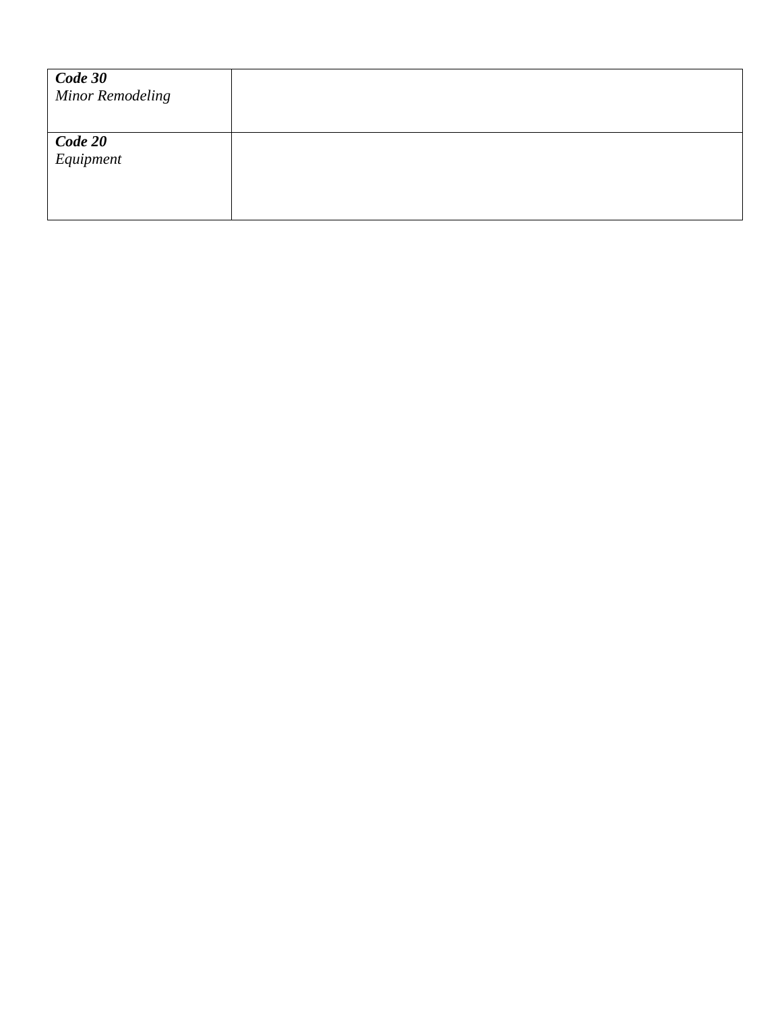| Code 30<br><b>Minor Remodeling</b> |  |
|------------------------------------|--|
| Code 20<br>Equipment               |  |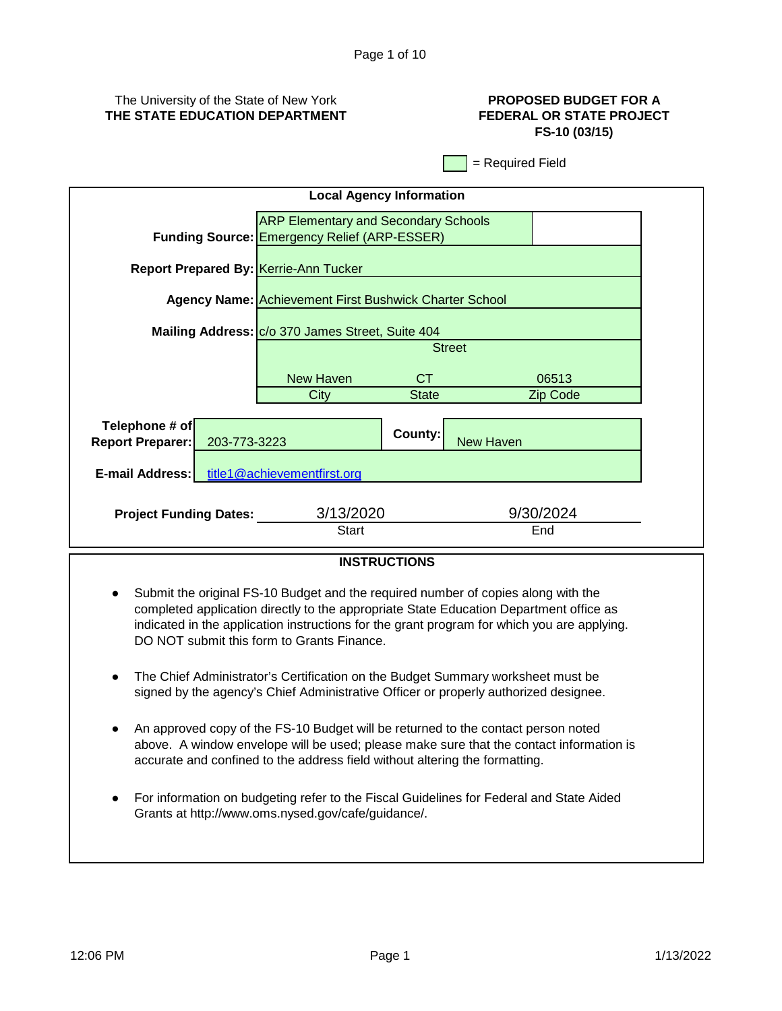## The University of the State of New York **THE STATE EDUCATION DEPARTMENT**

## **PROPOSED BUDGET FOR A FEDERAL OR STATE PROJECT FS-10 (03/15)**

= Required Field

| <b>ARP Elementary and Secondary Schools</b><br><b>Funding Source: Emergency Relief (ARP-ESSER)</b><br><b>Report Prepared By: Kerrie-Ann Tucker</b><br><b>Agency Name: Achievement First Bushwick Charter School</b><br>Mailing Address: C/o 370 James Street, Suite 404<br><b>Street</b><br>New Haven<br>CT.<br>06513<br>City<br><b>State</b><br>Zip Code<br>Telephone # of<br>County:<br><b>New Haven</b><br><b>Report Preparer:</b><br>203-773-3223<br><b>E-mail Address:</b><br>title1@achievementfirst.org<br>3/13/2020<br>9/30/2024<br><b>Project Funding Dates:</b><br>Start<br>End | <b>Local Agency Information</b> |  |  |  |  |  |
|-------------------------------------------------------------------------------------------------------------------------------------------------------------------------------------------------------------------------------------------------------------------------------------------------------------------------------------------------------------------------------------------------------------------------------------------------------------------------------------------------------------------------------------------------------------------------------------------|---------------------------------|--|--|--|--|--|
|                                                                                                                                                                                                                                                                                                                                                                                                                                                                                                                                                                                           |                                 |  |  |  |  |  |
|                                                                                                                                                                                                                                                                                                                                                                                                                                                                                                                                                                                           |                                 |  |  |  |  |  |
|                                                                                                                                                                                                                                                                                                                                                                                                                                                                                                                                                                                           |                                 |  |  |  |  |  |
|                                                                                                                                                                                                                                                                                                                                                                                                                                                                                                                                                                                           |                                 |  |  |  |  |  |
|                                                                                                                                                                                                                                                                                                                                                                                                                                                                                                                                                                                           |                                 |  |  |  |  |  |
|                                                                                                                                                                                                                                                                                                                                                                                                                                                                                                                                                                                           |                                 |  |  |  |  |  |
|                                                                                                                                                                                                                                                                                                                                                                                                                                                                                                                                                                                           |                                 |  |  |  |  |  |
|                                                                                                                                                                                                                                                                                                                                                                                                                                                                                                                                                                                           |                                 |  |  |  |  |  |
|                                                                                                                                                                                                                                                                                                                                                                                                                                                                                                                                                                                           |                                 |  |  |  |  |  |
|                                                                                                                                                                                                                                                                                                                                                                                                                                                                                                                                                                                           |                                 |  |  |  |  |  |
|                                                                                                                                                                                                                                                                                                                                                                                                                                                                                                                                                                                           |                                 |  |  |  |  |  |
|                                                                                                                                                                                                                                                                                                                                                                                                                                                                                                                                                                                           |                                 |  |  |  |  |  |
|                                                                                                                                                                                                                                                                                                                                                                                                                                                                                                                                                                                           |                                 |  |  |  |  |  |

## **INSTRUCTIONS**

- Submit the original FS-10 Budget and the required number of copies along with the completed application directly to the appropriate State Education Department office as indicated in the application instructions for the grant program for which you are applying. DO NOT submit this form to Grants Finance.
- The Chief Administrator's Certification on the Budget Summary worksheet must be signed by the agency's Chief Administrative Officer or properly authorized designee.
- An approved copy of the FS-10 Budget will be returned to the contact person noted above. A window envelope will be used; please make sure that the contact information is accurate and confined to the address field without altering the formatting.
- For information on budgeting refer to the Fiscal Guidelines for Federal and State Aided Grants at http://www.oms.nysed.gov/cafe/guidance/.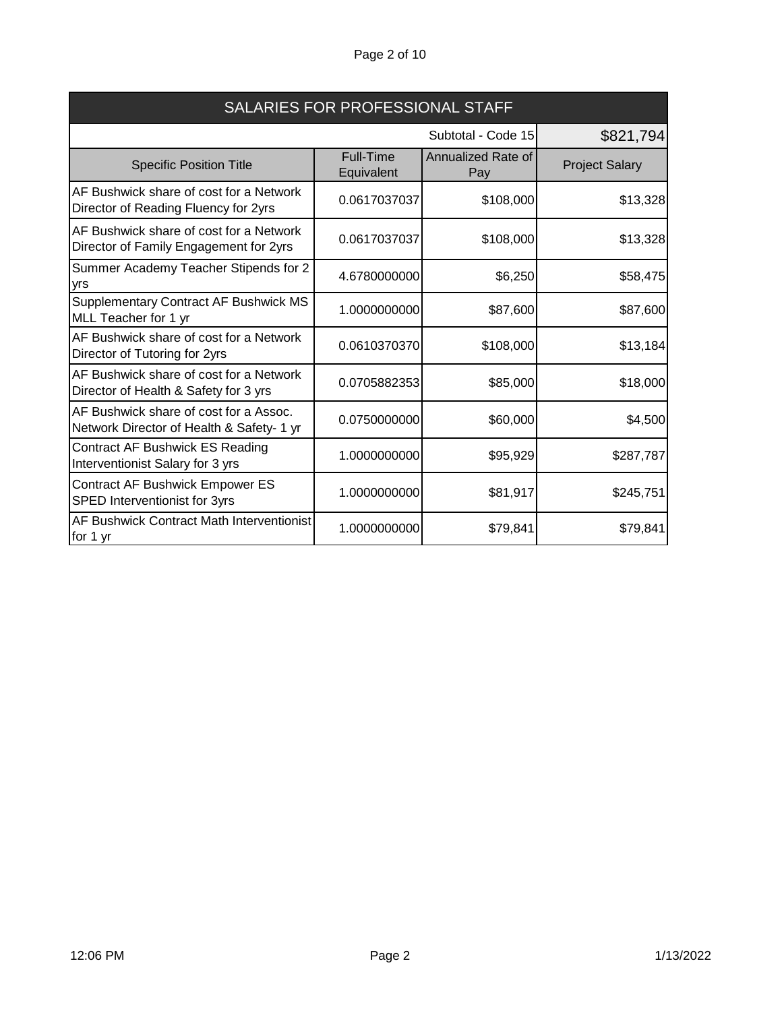# Page 2 of 10

| SALARIES FOR PROFESSIONAL STAFF                                                     |                         |                                  |                       |
|-------------------------------------------------------------------------------------|-------------------------|----------------------------------|-----------------------|
|                                                                                     |                         | Subtotal - Code 15               | \$821,794             |
| <b>Specific Position Title</b>                                                      | Full-Time<br>Equivalent | <b>Annualized Rate of</b><br>Pay | <b>Project Salary</b> |
| AF Bushwick share of cost for a Network<br>Director of Reading Fluency for 2yrs     | 0.0617037037            | \$108,000                        | \$13,328              |
| AF Bushwick share of cost for a Network<br>Director of Family Engagement for 2yrs   | 0.0617037037            | \$108,000                        | \$13,328              |
| Summer Academy Teacher Stipends for 2<br>yrs                                        | 4.6780000000            | \$6,250                          | \$58,475              |
| <b>Supplementary Contract AF Bushwick MS</b><br>MLL Teacher for 1 yr                | 1.0000000000            | \$87,600                         | \$87,600              |
| AF Bushwick share of cost for a Network<br>Director of Tutoring for 2yrs            | 0.0610370370            | \$108,000                        | \$13,184              |
| AF Bushwick share of cost for a Network<br>Director of Health & Safety for 3 yrs    | 0.0705882353            | \$85,000                         | \$18,000              |
| AF Bushwick share of cost for a Assoc.<br>Network Director of Health & Safety- 1 yr | 0.0750000000            | \$60,000                         | \$4,500               |
| Contract AF Bushwick ES Reading<br>Interventionist Salary for 3 yrs                 | 1.0000000000            | \$95,929                         | \$287,787             |
| Contract AF Bushwick Empower ES<br>SPED Interventionist for 3yrs                    | 1.0000000000            | \$81,917                         | \$245,751             |
| AF Bushwick Contract Math Interventionist<br>for 1 yr                               | 1.0000000000            | \$79,841                         | \$79,841              |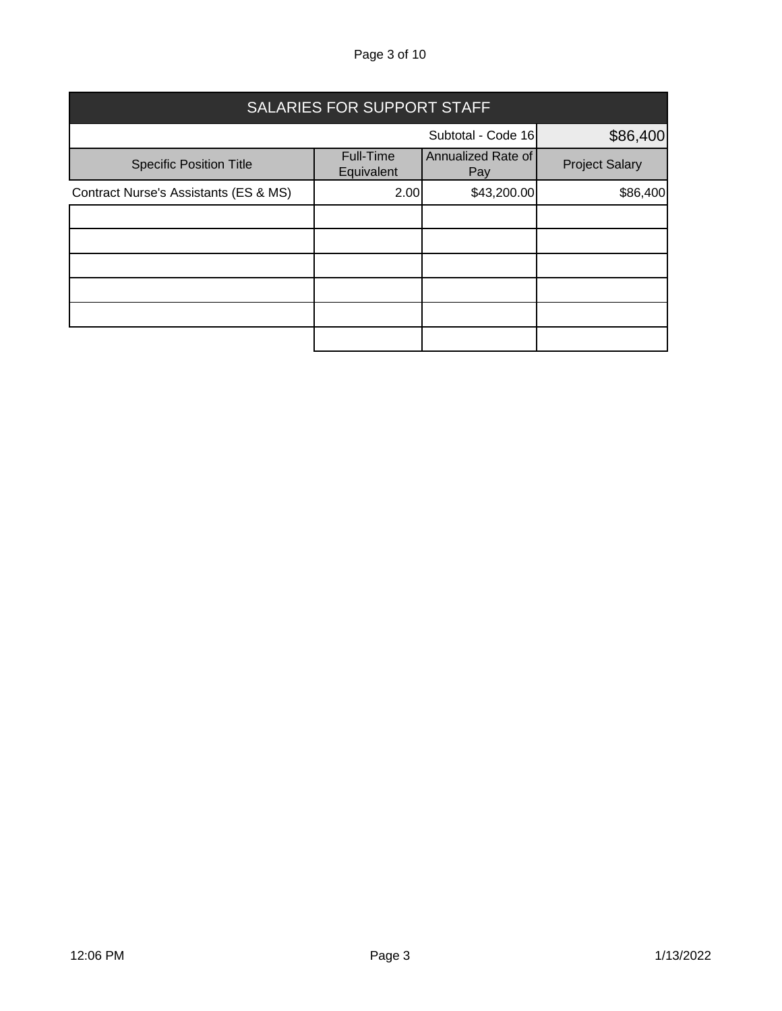Page 3 of 10

| SALARIES FOR SUPPORT STAFF            |                         |                           |                       |  |
|---------------------------------------|-------------------------|---------------------------|-----------------------|--|
|                                       |                         | Subtotal - Code 16        | \$86,400              |  |
| <b>Specific Position Title</b>        | Full-Time<br>Equivalent | Annualized Rate of<br>Pay | <b>Project Salary</b> |  |
| Contract Nurse's Assistants (ES & MS) | 2.00                    | \$43,200.00               | \$86,400              |  |
|                                       |                         |                           |                       |  |
|                                       |                         |                           |                       |  |
|                                       |                         |                           |                       |  |
|                                       |                         |                           |                       |  |
|                                       |                         |                           |                       |  |
|                                       |                         |                           |                       |  |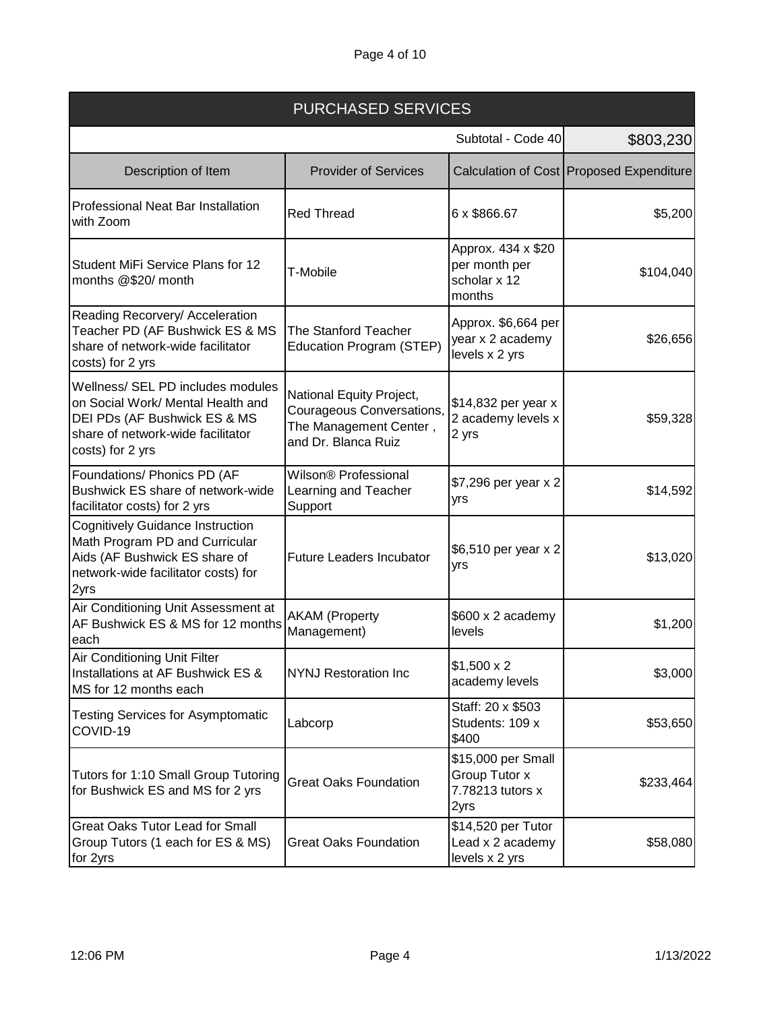| <b>PURCHASED SERVICES</b>                                                                                                                                       |                                                                                                        |                                                                 |                                            |
|-----------------------------------------------------------------------------------------------------------------------------------------------------------------|--------------------------------------------------------------------------------------------------------|-----------------------------------------------------------------|--------------------------------------------|
|                                                                                                                                                                 |                                                                                                        | Subtotal - Code 40                                              | \$803,230                                  |
| Description of Item                                                                                                                                             | <b>Provider of Services</b>                                                                            |                                                                 | Calculation of Cost   Proposed Expenditure |
| Professional Neat Bar Installation<br>with Zoom                                                                                                                 | <b>Red Thread</b>                                                                                      | 6 x \$866.67                                                    | \$5,200                                    |
| Student MiFi Service Plans for 12<br>months @\$20/ month                                                                                                        | T-Mobile                                                                                               | Approx. 434 x \$20<br>per month per<br>scholar x 12<br>months   | \$104,040                                  |
| Reading Recorvery/ Acceleration<br>Teacher PD (AF Bushwick ES & MS<br>share of network-wide facilitator<br>costs) for 2 yrs                                     | The Stanford Teacher<br>Education Program (STEP)                                                       | Approx. \$6,664 per<br>year x 2 academy<br>levels x 2 yrs       | \$26,656                                   |
| Wellness/ SEL PD includes modules<br>on Social Work/ Mental Health and<br>DEI PDs (AF Bushwick ES & MS<br>share of network-wide facilitator<br>costs) for 2 yrs | National Equity Project,<br>Courageous Conversations,<br>The Management Center,<br>and Dr. Blanca Ruiz | \$14,832 per year x<br>2 academy levels x<br>2 yrs              | \$59,328                                   |
| Foundations/ Phonics PD (AF<br>Bushwick ES share of network-wide<br>facilitator costs) for 2 yrs                                                                | Wilson® Professional<br>Learning and Teacher<br>Support                                                | \$7,296 per year x 2<br>yrs                                     | \$14,592                                   |
| <b>Cognitively Guidance Instruction</b><br>Math Program PD and Curricular<br>Aids (AF Bushwick ES share of<br>network-wide facilitator costs) for<br>2yrs       | <b>Future Leaders Incubator</b>                                                                        | \$6,510 per year x 2<br>yrs                                     | \$13,020                                   |
| Air Conditioning Unit Assessment at<br>AF Bushwick ES & MS for 12 months<br>each                                                                                | <b>AKAM (Property</b><br>Management)                                                                   | \$600 x 2 academy<br>levels                                     | \$1,200                                    |
| Air Conditioning Unit Filter<br>Installations at AF Bushwick ES &<br>MS for 12 months each                                                                      | <b>NYNJ Restoration Inc</b>                                                                            | $$1,500 \times 2$<br>academy levels                             | \$3,000                                    |
| <b>Testing Services for Asymptomatic</b><br>COVID-19                                                                                                            | Labcorp                                                                                                | Staff: 20 x \$503<br>Students: 109 x<br>\$400                   | \$53,650                                   |
| Tutors for 1:10 Small Group Tutoring<br>for Bushwick ES and MS for 2 yrs                                                                                        | <b>Great Oaks Foundation</b>                                                                           | \$15,000 per Small<br>Group Tutor x<br>7.78213 tutors x<br>2yrs | \$233,464                                  |
| <b>Great Oaks Tutor Lead for Small</b><br>Group Tutors (1 each for ES & MS)<br>for 2yrs                                                                         | <b>Great Oaks Foundation</b>                                                                           | \$14,520 per Tutor<br>Lead x 2 academy<br>levels x 2 yrs        | \$58,080                                   |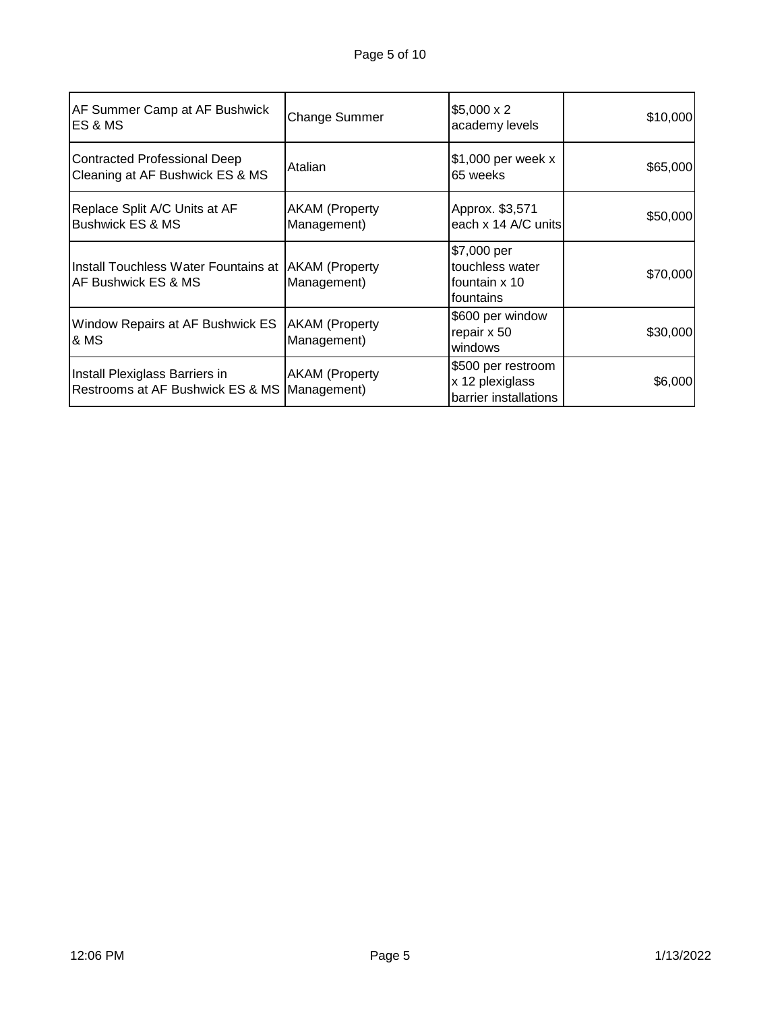| AF Summer Camp at AF Bushwick<br><b>ES&amp;MS</b>                            | <b>Change Summer</b>                 | $$5,000 \times 2$<br>academy levels                            | \$10,000 |
|------------------------------------------------------------------------------|--------------------------------------|----------------------------------------------------------------|----------|
| <b>Contracted Professional Deep</b><br>Cleaning at AF Bushwick ES & MS       | Atalian                              | \$1,000 per week x<br>65 weeks                                 | \$65,000 |
| Replace Split A/C Units at AF<br><b>Bushwick ES &amp; MS</b>                 | <b>AKAM</b> (Property<br>Management) | Approx. \$3,571<br>each x 14 A/C units                         | \$50,000 |
| Install Touchless Water Fountains at   AKAM (Property<br>AF Bushwick ES & MS | Management)                          | \$7,000 per<br>touchless water<br>fountain x 10<br>fountains   | \$70,000 |
| Window Repairs at AF Bushwick ES<br>& MS                                     | <b>AKAM</b> (Property<br>Management) | \$600 per window<br>repair x 50<br>windows                     | \$30,000 |
| Install Plexiglass Barriers in<br>Restrooms at AF Bushwick ES & MS           | <b>AKAM</b> (Property<br>Management) | \$500 per restroom<br>x 12 plexiglass<br>barrier installations | \$6,000  |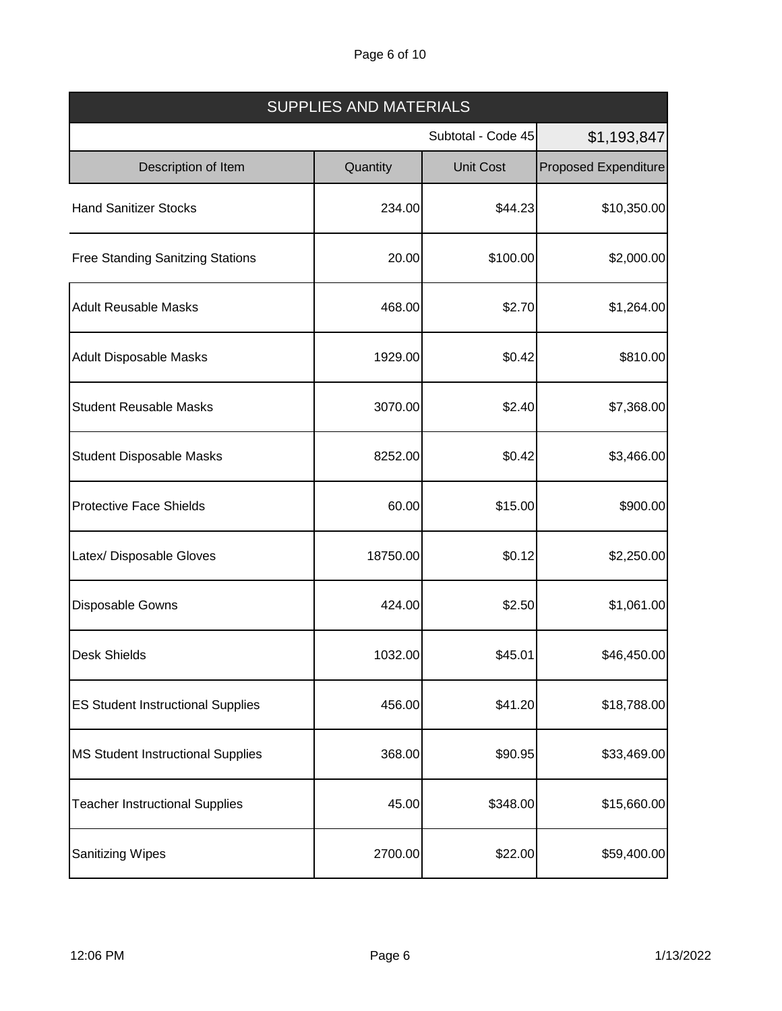# Page 6 of 10

| <b>SUPPLIES AND MATERIALS</b>            |          |                    |                             |  |
|------------------------------------------|----------|--------------------|-----------------------------|--|
|                                          |          | Subtotal - Code 45 | \$1,193,847                 |  |
| Description of Item                      | Quantity | <b>Unit Cost</b>   | <b>Proposed Expenditure</b> |  |
| <b>Hand Sanitizer Stocks</b>             | 234.00   | \$44.23            | \$10,350.00                 |  |
| <b>Free Standing Sanitzing Stations</b>  | 20.00    | \$100.00           | \$2,000.00                  |  |
| <b>Adult Reusable Masks</b>              | 468.00   | \$2.70             | \$1,264.00                  |  |
| <b>Adult Disposable Masks</b>            | 1929.00  | \$0.42             | \$810.00                    |  |
| <b>Student Reusable Masks</b>            | 3070.00  | \$2.40             | \$7,368.00                  |  |
| <b>Student Disposable Masks</b>          | 8252.00  | \$0.42             | \$3,466.00                  |  |
| <b>Protective Face Shields</b>           | 60.00    | \$15.00            | \$900.00                    |  |
| Latex/ Disposable Gloves                 | 18750.00 | \$0.12             | \$2,250.00                  |  |
| Disposable Gowns                         | 424.00   | \$2.50             | \$1,061.00                  |  |
| Desk Shields                             | 1032.00  | \$45.01            | \$46,450.00                 |  |
| <b>ES Student Instructional Supplies</b> | 456.00   | \$41.20            | \$18,788.00                 |  |
| <b>MS Student Instructional Supplies</b> | 368.00   | \$90.95            | \$33,469.00                 |  |
| <b>Teacher Instructional Supplies</b>    | 45.00    | \$348.00           | \$15,660.00                 |  |
| <b>Sanitizing Wipes</b>                  | 2700.00  | \$22.00            | \$59,400.00                 |  |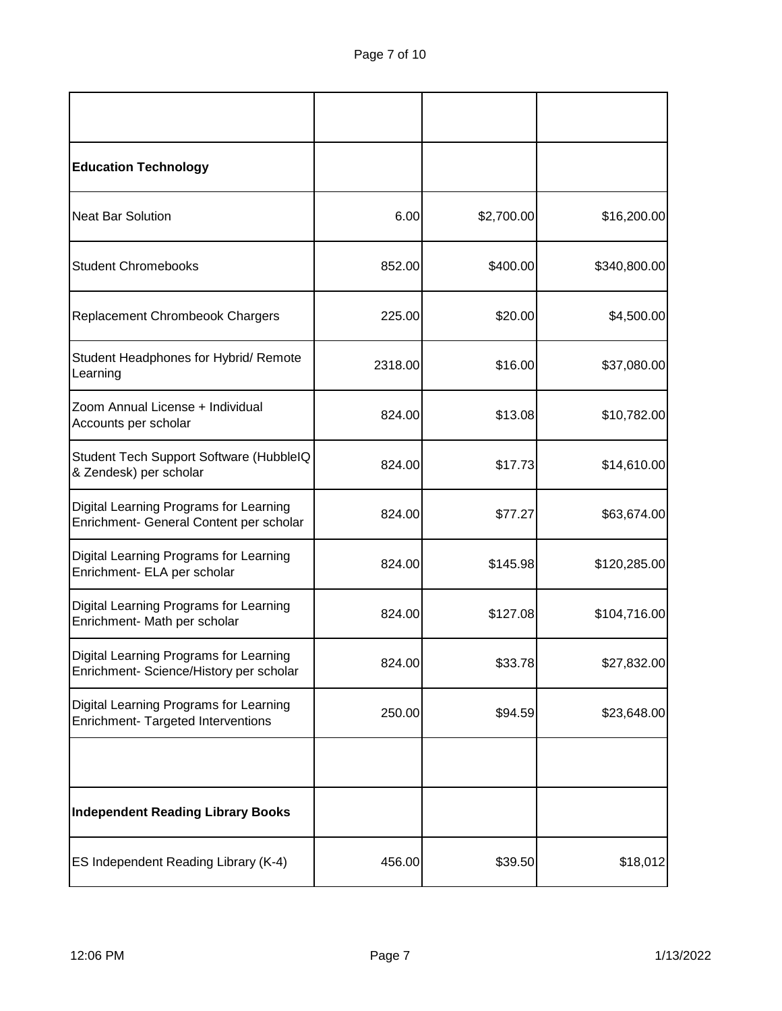| <b>Education Technology</b>                                                       |         |            |              |
|-----------------------------------------------------------------------------------|---------|------------|--------------|
| <b>Neat Bar Solution</b>                                                          | 6.00    | \$2,700.00 | \$16,200.00  |
| <b>Student Chromebooks</b>                                                        | 852.00  | \$400.00   | \$340,800.00 |
| Replacement Chrombeook Chargers                                                   | 225.00  | \$20.00    | \$4,500.00   |
| Student Headphones for Hybrid/ Remote<br>Learning                                 | 2318.00 | \$16.00    | \$37,080.00  |
| Zoom Annual License + Individual<br>Accounts per scholar                          | 824.00  | \$13.08    | \$10,782.00  |
| Student Tech Support Software (HubbleIQ<br>& Zendesk) per scholar                 | 824.00  | \$17.73    | \$14,610.00  |
| Digital Learning Programs for Learning<br>Enrichment- General Content per scholar | 824.00  | \$77.27    | \$63,674.00  |
| Digital Learning Programs for Learning<br>Enrichment- ELA per scholar             | 824.00  | \$145.98   | \$120,285.00 |
| Digital Learning Programs for Learning<br>Enrichment- Math per scholar            | 824.00  | \$127.08   | \$104,716.00 |
| Digital Learning Programs for Learning<br>Enrichment- Science/History per scholar | 824.00  | \$33.78    | \$27,832.00  |
| Digital Learning Programs for Learning<br>Enrichment- Targeted Interventions      | 250.00  | \$94.59    | \$23,648.00  |
|                                                                                   |         |            |              |
| <b>Independent Reading Library Books</b>                                          |         |            |              |
| ES Independent Reading Library (K-4)                                              | 456.00  | \$39.50    | \$18,012     |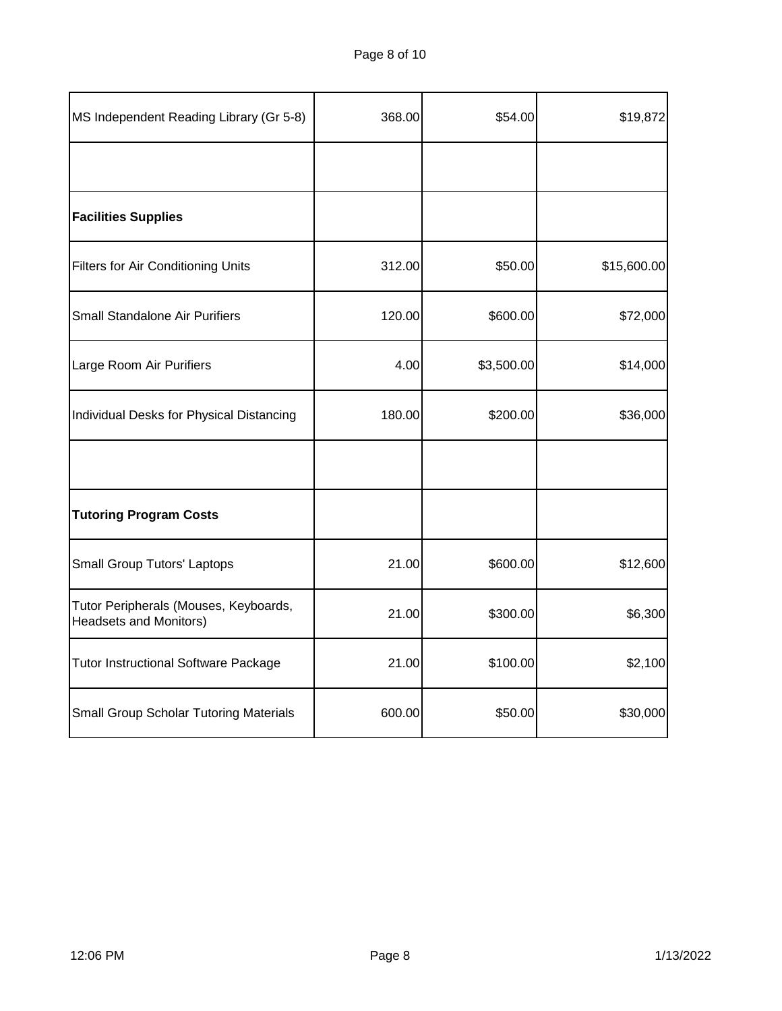| MS Independent Reading Library (Gr 5-8)                         | 368.00 | \$54.00    | \$19,872    |
|-----------------------------------------------------------------|--------|------------|-------------|
|                                                                 |        |            |             |
| <b>Facilities Supplies</b>                                      |        |            |             |
| <b>Filters for Air Conditioning Units</b>                       | 312.00 | \$50.00    | \$15,600.00 |
| Small Standalone Air Purifiers                                  | 120.00 | \$600.00   | \$72,000    |
| Large Room Air Purifiers                                        | 4.00   | \$3,500.00 | \$14,000    |
| Individual Desks for Physical Distancing                        | 180.00 | \$200.00   | \$36,000    |
|                                                                 |        |            |             |
| <b>Tutoring Program Costs</b>                                   |        |            |             |
| <b>Small Group Tutors' Laptops</b>                              | 21.00  | \$600.00   | \$12,600    |
| Tutor Peripherals (Mouses, Keyboards,<br>Headsets and Monitors) | 21.00  | \$300.00   | \$6,300     |
| <b>Tutor Instructional Software Package</b>                     | 21.00  | \$100.00   | \$2,100     |
| <b>Small Group Scholar Tutoring Materials</b>                   | 600.00 | \$50.00    | \$30,000    |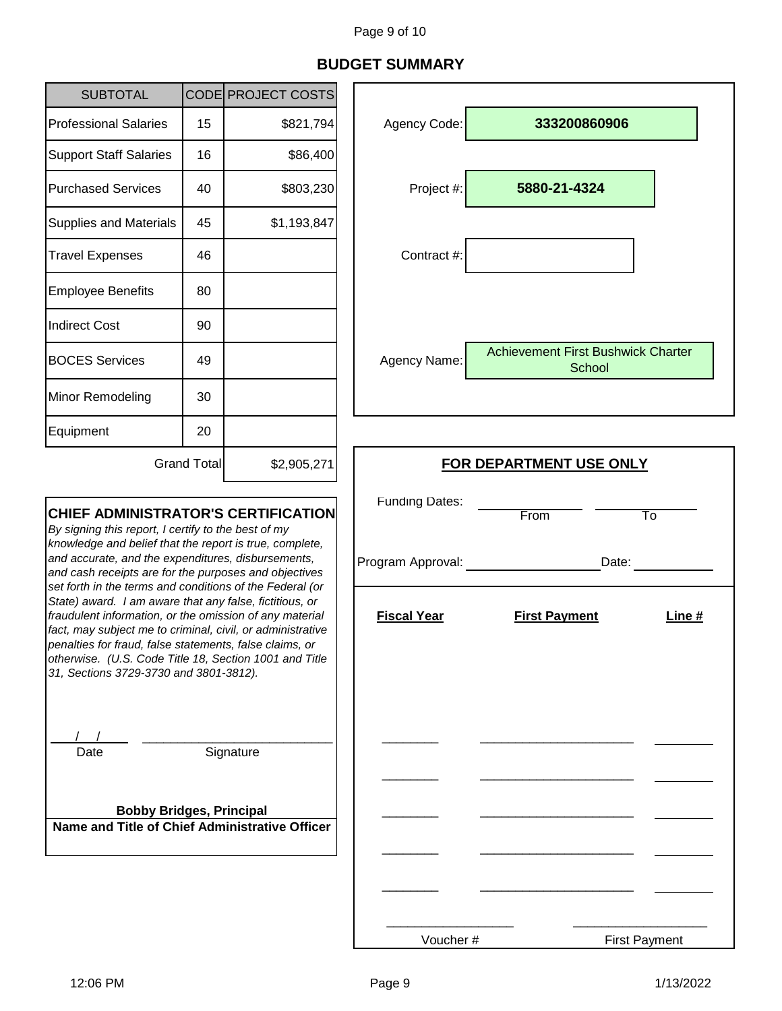# **BUDGET SUMMARY**

| <b>SUBTOTAL</b>                                                                                                                                                                                                                                                                                                                                                                                                                                                                                                                                                                                                                                                                            |             | CODE PROJECT COSTS                         |                                  |                                                     |
|--------------------------------------------------------------------------------------------------------------------------------------------------------------------------------------------------------------------------------------------------------------------------------------------------------------------------------------------------------------------------------------------------------------------------------------------------------------------------------------------------------------------------------------------------------------------------------------------------------------------------------------------------------------------------------------------|-------------|--------------------------------------------|----------------------------------|-----------------------------------------------------|
| <b>Professional Salaries</b>                                                                                                                                                                                                                                                                                                                                                                                                                                                                                                                                                                                                                                                               | 15          | \$821,794                                  | Agency Code:                     | 333200860906                                        |
| <b>Support Staff Salaries</b>                                                                                                                                                                                                                                                                                                                                                                                                                                                                                                                                                                                                                                                              | 16          | \$86,400                                   |                                  |                                                     |
| <b>Purchased Services</b>                                                                                                                                                                                                                                                                                                                                                                                                                                                                                                                                                                                                                                                                  | 40          | \$803,230                                  | Project #:                       | 5880-21-4324                                        |
| <b>Supplies and Materials</b>                                                                                                                                                                                                                                                                                                                                                                                                                                                                                                                                                                                                                                                              | 45          | \$1,193,847                                |                                  |                                                     |
| <b>Travel Expenses</b>                                                                                                                                                                                                                                                                                                                                                                                                                                                                                                                                                                                                                                                                     | 46          |                                            | Contract #:                      |                                                     |
| <b>Employee Benefits</b>                                                                                                                                                                                                                                                                                                                                                                                                                                                                                                                                                                                                                                                                   | 80          |                                            |                                  |                                                     |
| <b>Indirect Cost</b>                                                                                                                                                                                                                                                                                                                                                                                                                                                                                                                                                                                                                                                                       | 90          |                                            |                                  |                                                     |
| <b>BOCES Services</b>                                                                                                                                                                                                                                                                                                                                                                                                                                                                                                                                                                                                                                                                      | 49          |                                            | Agency Name:                     | <b>Achievement First Bushwick Charter</b><br>School |
| Minor Remodeling                                                                                                                                                                                                                                                                                                                                                                                                                                                                                                                                                                                                                                                                           | 30          |                                            |                                  |                                                     |
| Equipment                                                                                                                                                                                                                                                                                                                                                                                                                                                                                                                                                                                                                                                                                  | 20          |                                            |                                  |                                                     |
|                                                                                                                                                                                                                                                                                                                                                                                                                                                                                                                                                                                                                                                                                            | Grand Total | \$2,905,271                                | <b>FOR DEPARTMENT USE ONLY</b>   |                                                     |
| <b>CHIEF ADMINISTRATOR'S CERTIFICATION</b><br>By signing this report, I certify to the best of my<br>knowledge and belief that the report is true, complete,<br>and accurate, and the expenditures, disbursements,<br>and cash receipts are for the purposes and objectives<br>set forth in the terms and conditions of the Federal (or<br>State) award. I am aware that any false, fictitious, or<br>fraudulent information, or the omission of any material<br>fact, may subject me to criminal, civil, or administrative<br>penalties for fraud, false statements, false claims, or<br>otherwise. (U.S. Code Title 18, Section 1001 and Title<br>31, Sections 3729-3730 and 3801-3812). |             | <b>Funding Dates:</b><br>Program Approval: | From<br>To<br>Date:              |                                                     |
|                                                                                                                                                                                                                                                                                                                                                                                                                                                                                                                                                                                                                                                                                            |             | <b>Fiscal Year</b>                         | <b>First Payment</b><br>Line $#$ |                                                     |
| Date<br><b>Bobby Bridges, Principal</b>                                                                                                                                                                                                                                                                                                                                                                                                                                                                                                                                                                                                                                                    |             | Signature                                  |                                  |                                                     |
| Name and Title of Chief Administrative Officer                                                                                                                                                                                                                                                                                                                                                                                                                                                                                                                                                                                                                                             |             |                                            |                                  |                                                     |

Voucher #

J.

First Payment